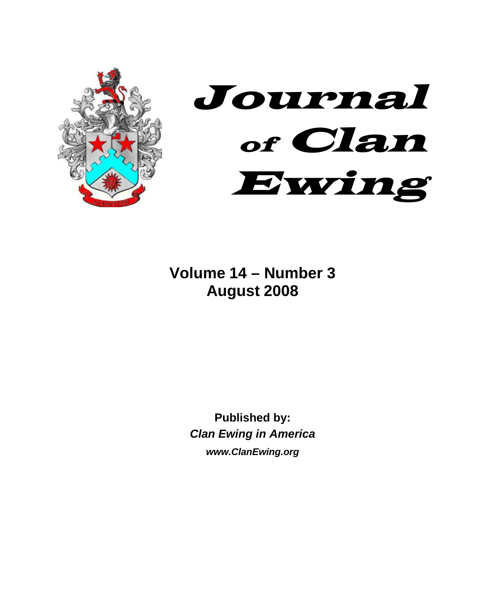



# **Volume 14 – Number 3 August 2008**

**Published by:**  *Clan Ewing in America www.ClanEwing.org*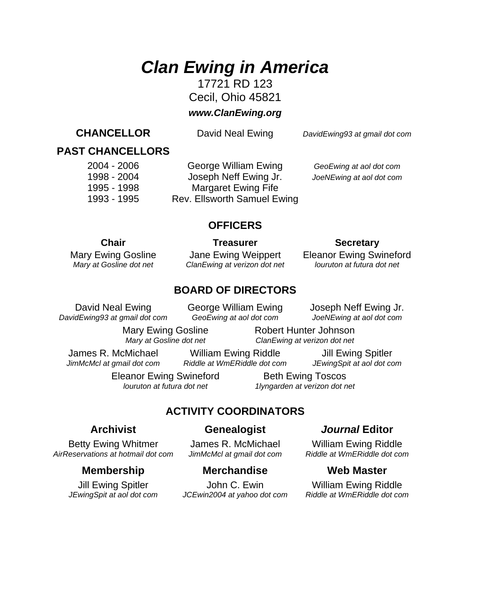# *Clan Ewing in America*

17721 RD 123 Cecil, Ohio 45821

#### *www.ClanEwing.org*

**CHANCELLOR** David Neal Ewing*DavidEwing93 at gmail dot com*

### **PAST CHANCELLORS**

 2004 - 2006 George William Ewing *GeoEwing at aol dot com* 1998 - 2004 Joseph Neff Ewing Jr. *JoeNEwing at aol dot com* 1995 - 1998 Margaret Ewing Fife 1993 - 1995 Rev. Ellsworth Samuel Ewing

### **OFFICERS**

*Mary at Gosline dot net ClanEwing at verizon dot net louruton at futura dot net* 

#### **Chair** Treasurer Secretary

Mary Ewing Gosline Jane Ewing Weippert Eleanor Ewing Swineford

## **BOARD OF DIRECTORS**

 *DavidEwing93 at gmail dot com GeoEwing at aol dot com JoeNEwing at aol dot com* 

David Neal Ewing George William Ewing Joseph Neff Ewing Jr.

Mary Ewing Gosline **Robert Hunter Johnson**  *Mary at Gosline dot net ClanEwing at verizon dot net* 

*JimMcMcl at gmail dot com* 

James R. McMichael Milliam Ewing Riddle Jill Ewing Spitler<br>JimMcMcl at gmail dot com Riddle at WmERiddle dot com JEwing Spit at aol dot com

Eleanor Ewing Swineford Beth Ewing Toscos

 *louruton at futura dot net 1lyngarden at verizon dot net* 

### **ACTIVITY COORDINATORS**

Betty Ewing Whitmer James R. McMichael William Ewing Riddle<br>
Reservations at hotmail dot com JimMcMcI at gmail dot com Riddle at WmERiddle dot com AirReservations at hotmail dot com

### **Membership Merchandise Web Master**

Jill Ewing Spitler **John C. Ewin** William Ewing Riddle<br>John C. Ewin William Ewing Riddle at Van Example Association of two United Sections *JEwingSpit at aol dot com JCEwin2004 at yahoo dot com* 

#### **Archivist Genealogist** *Journal* **Editor**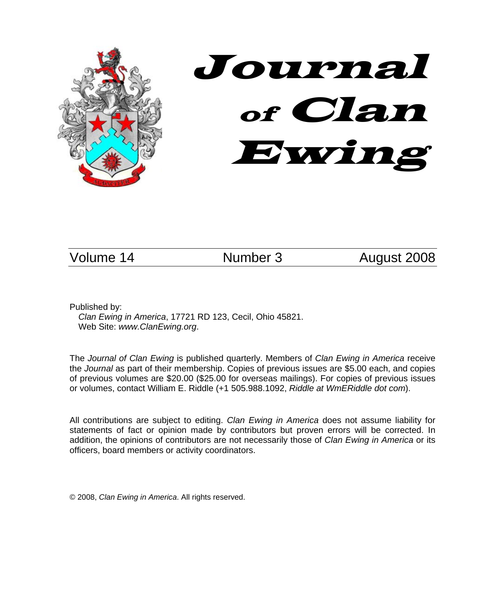



Volume 14 **Number 3** August 2008

Published by:

*Clan Ewing in America*, 17721 RD 123, Cecil, Ohio 45821. Web Site: *www.ClanEwing.org*.

The *Journal of Clan Ewing* is published quarterly. Members of *Clan Ewing in America* receive the *Journal* as part of their membership. Copies of previous issues are \$5.00 each, and copies of previous volumes are \$20.00 (\$25.00 for overseas mailings). For copies of previous issues or volumes, contact William E. Riddle (+1 505.988.1092, *Riddle at WmERiddle dot com*).

All contributions are subject to editing. *Clan Ewing in America* does not assume liability for statements of fact or opinion made by contributors but proven errors will be corrected. In addition, the opinions of contributors are not necessarily those of *Clan Ewing in America* or its officers, board members or activity coordinators.

© 2008, *Clan Ewing in America*. All rights reserved.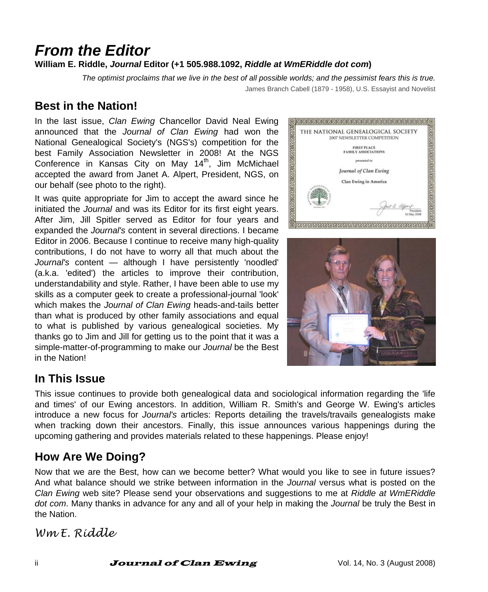# *From the Editor*

#### **William E. Riddle,** *Journal* **Editor (+1 505.988.1092,** *Riddle at WmERiddle dot com***)**

*The optimist proclaims that we live in the best of all possible worlds; and the pessimist fears this is true.* 

James Branch Cabell (1879 - 1958), U.S. Essayist and Novelist

## **Best in the Nation!**

In the last issue, *Clan Ewing* Chancellor David Neal Ewing announced that the *Journal of Clan Ewing* had won the National Genealogical Society's (NGS's) competition for the best Family Association Newsletter in 2008! At the NGS Conference in Kansas City on May  $14<sup>th</sup>$ , Jim McMichael accepted the award from Janet A. Alpert, President, NGS, on our behalf (see photo to the right).

It was quite appropriate for Jim to accept the award since he initiated the *Journal* and was its Editor for its first eight years. After Jim, Jill Spitler served as Editor for four years and expanded the *Journal's* content in several directions. I became Editor in 2006. Because I continue to receive many high-quality contributions, I do not have to worry all that much about the *Journal's* content — although I have persistently 'noodled' (a.k.a. 'edited') the articles to improve their contribution, understandability and style. Rather, I have been able to use my skills as a computer geek to create a professional-journal 'look' which makes the *Journal of Clan Ewing* heads-and-tails better than what is produced by other family associations and equal to what is published by various genealogical societies. My thanks go to Jim and Jill for getting us to the point that it was a simple-matter-of-programming to make our *Journal* be the Best in the Nation!



## **In This Issue**

This issue continues to provide both genealogical data and sociological information regarding the 'life and times' of our Ewing ancestors. In addition, William R. Smith's and George W. Ewing's articles introduce a new focus for *Journal's* articles: Reports detailing the travels/travails genealogists make when tracking down their ancestors. Finally, this issue announces various happenings during the upcoming gathering and provides materials related to these happenings. Please enjoy!

## **How Are We Doing?**

Now that we are the Best, how can we become better? What would you like to see in future issues? And what balance should we strike between information in the *Journal* versus what is posted on the *Clan Ewing* web site? Please send your observations and suggestions to me at *Riddle at WmERiddle dot com*. Many thanks in advance for any and all of your help in making the *Journal* be truly the Best in the Nation.

*Wm E. Riddle*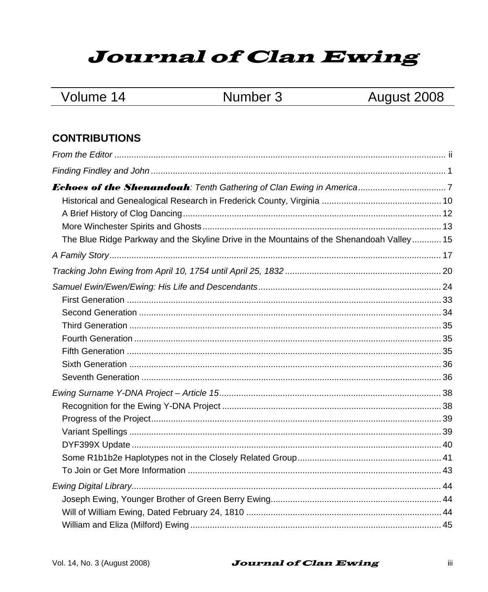# **Journal of Clan Ewing**

| Volume 14 |  |  |
|-----------|--|--|
|-----------|--|--|

## **CONTRIBUTIONS**

| The Blue Ridge Parkway and the Skyline Drive in the Mountains of the Shenandoah Valley 15 |  |
|-------------------------------------------------------------------------------------------|--|
|                                                                                           |  |
|                                                                                           |  |
|                                                                                           |  |
|                                                                                           |  |
|                                                                                           |  |
|                                                                                           |  |
|                                                                                           |  |
|                                                                                           |  |
|                                                                                           |  |
|                                                                                           |  |
|                                                                                           |  |
|                                                                                           |  |
|                                                                                           |  |
|                                                                                           |  |
|                                                                                           |  |
|                                                                                           |  |
|                                                                                           |  |
|                                                                                           |  |
|                                                                                           |  |
|                                                                                           |  |
|                                                                                           |  |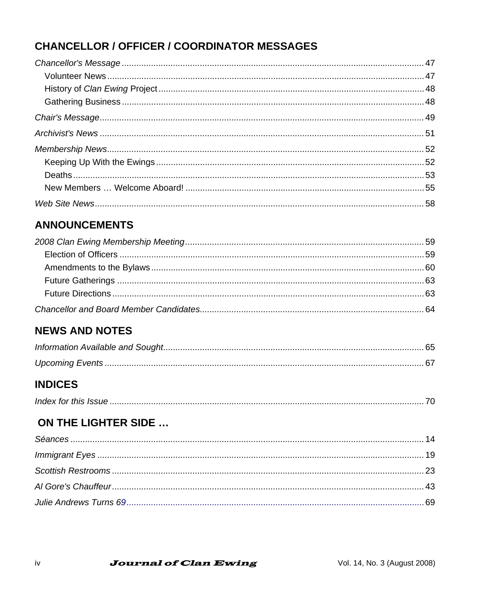## **CHANCELLOR / OFFICER / COORDINATOR MESSAGES**

## **ANNOUNCEMENTS**

## **NEWS AND NOTES**

## **INDICES**

|--|

## **ON THE LIGHTER SIDE ...**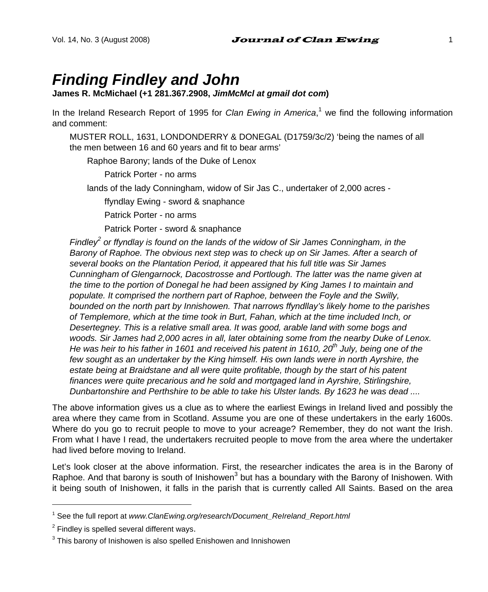# *Finding Findley and John*

**James R. McMichael (+1 281.367.2908,** *JimMcMcl at gmail dot com***)** 

In the Ireland Research Report of 1995 for *Clan Ewing in America*,<sup>1</sup> we find the following information and comment:

MUSTER ROLL, 1631, LONDONDERRY & DONEGAL (D1759/3c/2) 'being the names of all the men between 16 and 60 years and fit to bear arms'

Raphoe Barony; lands of the Duke of Lenox

Patrick Porter - no arms

lands of the lady Conningham, widow of Sir Jas C., undertaker of 2,000 acres -

ffyndlay Ewing - sword & snaphance

Patrick Porter - no arms

Patrick Porter - sword & snaphance

*Findley<sup>2</sup> or ffyndlay is found on the lands of the widow of Sir James Conningham, in the Barony of Raphoe. The obvious next step was to check up on Sir James. After a search of several books on the Plantation Period, it appeared that his full title was Sir James Cunningham of Glengarnock, Dacostrosse and Portlough. The latter was the name given at the time to the portion of Donegal he had been assigned by King James I to maintain and populate. It comprised the northern part of Raphoe, between the Foyle and the Swilly, bounded on the north part by Innishowen. That narrows ffyndllay's likely home to the parishes of Templemore, which at the time took in Burt, Fahan, which at the time included Inch, or Desertegney. This is a relative small area. It was good, arable land with some bogs and woods. Sir James had 2,000 acres in all, later obtaining some from the nearby Duke of Lenox. He was heir to his father in 1601 and received his patent in 1610, 20<sup>th</sup> July, being one of the* few sought as an undertaker by the King himself. His own lands were in north Ayrshire, the *estate being at Braidstane and all were quite profitable, though by the start of his patent finances were quite precarious and he sold and mortgaged land in Ayrshire, Stirlingshire, Dunbartonshire and Perthshire to be able to take his Ulster lands. By 1623 he was dead ....* 

The above information gives us a clue as to where the earliest Ewings in Ireland lived and possibly the area where they came from in Scotland. Assume you are one of these undertakers in the early 1600s. Where do you go to recruit people to move to your acreage? Remember, they do not want the Irish. From what I have I read, the undertakers recruited people to move from the area where the undertaker had lived before moving to Ireland.

Let's look closer at the above information. First, the researcher indicates the area is in the Barony of Raphoe. And that barony is south of Inishowen<sup>3</sup> but has a boundary with the Barony of Inishowen. With it being south of Inishowen, it falls in the parish that is currently called All Saints. Based on the area

<sup>&</sup>lt;sup>1</sup> See the full report at *www.ClanEwing.org/research/Document\_ReIreland\_Report.html* 

 $2$  Findley is spelled several different ways.

 $3$  This barony of Inishowen is also spelled Enishowen and Innishowen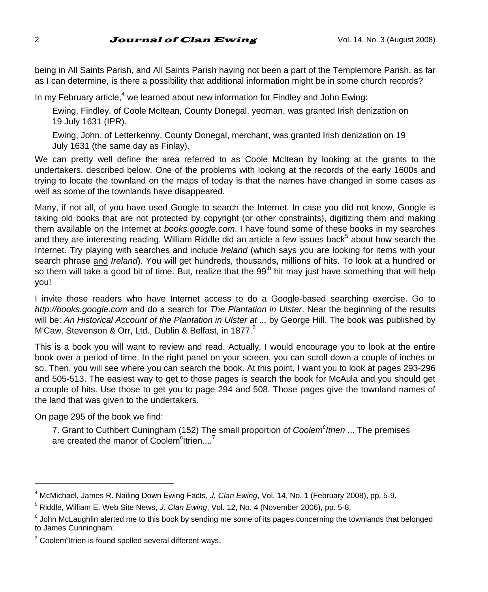#### 2 **Journal of Clan Ewing**  $V$ ol. 14, No. 3 (August 2008)

being in All Saints Parish, and All Saints Parish having not been a part of the Templemore Parish, as far as I can determine, is there a possibility that additional information might be in some church records?

In my February article,<sup>4</sup> we learned about new information for Findley and John Ewing:

Ewing, Findley, of Coole McItean, County Donegal, yeoman, was granted Irish denization on 19 July 1631 (IPR).

Ewing, John, of Letterkenny, County Donegal, merchant, was granted Irish denization on 19 July 1631 (the same day as Finlay).

We can pretty well define the area referred to as Coole McItean by looking at the grants to the undertakers, described below. One of the problems with looking at the records of the early 1600s and trying to locate the townland on the maps of today is that the names have changed in some cases as well as some of the townlands have disappeared.

Many, if not all, of you have used Google to search the Internet. In case you did not know, Google is taking old books that are not protected by copyright (or other constraints), digitizing them and making them available on the Internet at *books.google.com*. I have found some of these books in my searches and they are interesting reading. William Riddle did an article a few issues back<sup>5</sup> about how search the Internet. Try playing with searches and include *Ireland* (which says you are looking for items with your search phrase and *Ireland*). You will get hundreds, thousands, millions of hits. To look at a hundred or so them will take a good bit of time. But, realize that the  $99<sup>th</sup>$  hit may just have something that will help you!

I invite those readers who have Internet access to do a Google-based searching exercise. Go to *http://books.google.com* and do a search for *The Plantation in Ulster*. Near the beginning of the results will be: *An Historical Account of the Plantation in Ulster at ...* by George Hill. The book was published by M'Caw, Stevenson & Orr, Ltd., Dublin & Belfast, in 1877.<sup>6</sup>

This is a book you will want to review and read. Actually, I would encourage you to look at the entire book over a period of time. In the right panel on your screen, you can scroll down a couple of inches or so. Then, you will see where you can search the book. At this point, I want you to look at pages 293-296 and 505-513. The easiest way to get to those pages is search the book for McAula and you should get a couple of hits. Use those to get you to page 294 and 508. Those pages give the townland names of the land that was given to the undertakers.

On page 295 of the book we find:

l

7. Grant to Cuthbert Cuningham (152) The small proportion of *Coolem<sup>c</sup>ltrien* ... The premises are created the manor of Coolem<sup>c</sup>Itrien....<sup>7</sup>

<sup>4</sup> McMichael, James R. Nailing Down Ewing Facts, *J. Clan Ewing*, Vol. 14, No. 1 (February 2008), pp. 5-9.

<sup>5</sup> Riddle, William E. Web Site News, *J. Clan Ewing*, Vol. 12, No. 4 (November 2006), pp. 5-8.

<sup>&</sup>lt;sup>6</sup> John McLaughlin alerted me to this book by sending me some of its pages concerning the townlands that belonged to James Cunningham.

 $\mathrm{^{7}}$  Coolem $\mathrm{^{6}}$ Itrien is found spelled several different ways.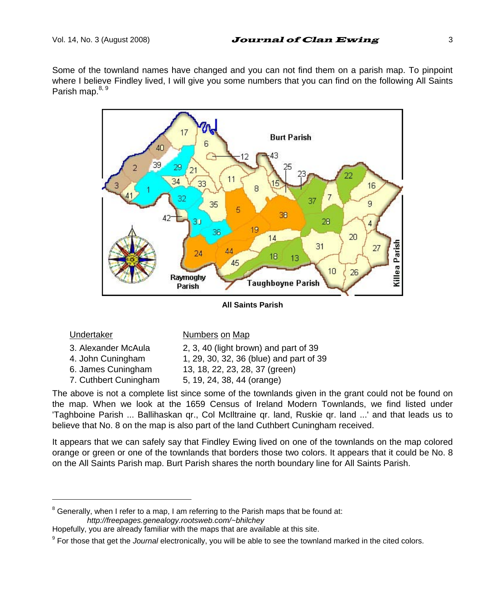Some of the townland names have changed and you can not find them on a parish map. To pinpoint where I believe Findley lived, I will give you some numbers that you can find on the following All Saints Parish map. 8, 9



**All Saints Parish** 

l

- Undertaker Numbers on Map
- 3. Alexander McAula 2, 3, 40 (light brown) and part of 39
- 4. John Cuningham 1, 29, 30, 32, 36 (blue) and part of 39
- 6. James Cuningham 13, 18, 22, 23, 28, 37 (green)
- 
- 
- 
- 
- 
- 7. Cuthbert Cuningham 5, 19, 24, 38, 44 (orange)

The above is not a complete list since some of the townlands given in the grant could not be found on the map. When we look at the 1659 Census of Ireland Modern Townlands, we find listed under 'Taghboine Parish ... Ballihaskan qr., Col McIltraine qr. land, Ruskie qr. land ...' and that leads us to believe that No. 8 on the map is also part of the land Cuthbert Cuningham received.

It appears that we can safely say that Findley Ewing lived on one of the townlands on the map colored orange or green or one of the townlands that borders those two colors. It appears that it could be No. 8 on the All Saints Parish map. Burt Parish shares the north boundary line for All Saints Parish.

 $8$  Generally, when I refer to a map, I am referring to the Parish maps that be found at: *http://freepages.genealogy.rootsweb.com/~bhilchey* 

Hopefully, you are already familiar with the maps that are available at this site.

<sup>&</sup>lt;sup>9</sup> For those that get the *Journal* electronically, you will be able to see the townland marked in the cited colors.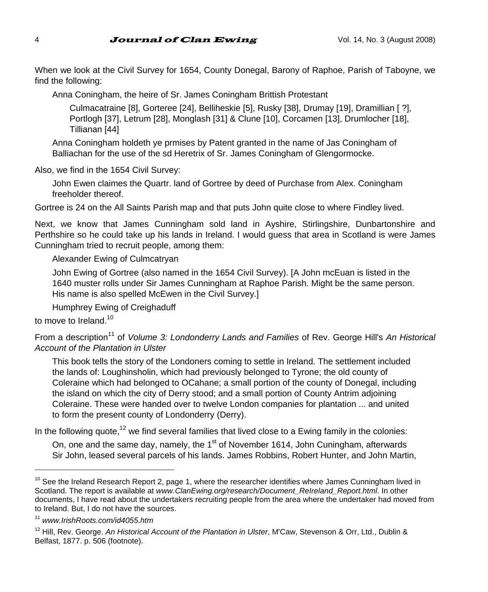#### 4  $Journal$   $of$   $Clan$   $Ewing$   $\qquad \qquad \text{Vol. 14, No. 3 (August 2008)}$

When we look at the Civil Survey for 1654, County Donegal, Barony of Raphoe, Parish of Taboyne, we find the following:

Anna Coningham, the heire of Sr. James Coningham Brittish Protestant

Culmacatraine [8], Gorteree [24], Belliheskie [5], Rusky [38], Drumay [19], Dramillian [ ?], Portlogh [37], Letrum [28], Monglash [31] & Clune [10], Corcamen [13], Drumlocher [18], Tillianan [44]

Anna Coningham holdeth ye prmises by Patent granted in the name of Jas Coningham of Balliachan for the use of the sd Heretrix of Sr. James Coningham of Glengormocke.

Also, we find in the 1654 Civil Survey:

John Ewen claimes the Quartr. land of Gortree by deed of Purchase from Alex. Coningham freeholder thereof.

Gortree is 24 on the All Saints Parish map and that puts John quite close to where Findley lived.

Next, we know that James Cunningham sold land in Ayshire, Stirlingshire, Dunbartonshire and Perthshire so he could take up his lands in Ireland. I would guess that area in Scotland is were James Cunningham tried to recruit people, among them:

Alexander Ewing of Culmcatryan

John Ewing of Gortree (also named in the 1654 Civil Survey). [A John mcEuan is listed in the 1640 muster rolls under Sir James Cunningham at Raphoe Parish. Might be the same person. His name is also spelled McEwen in the Civil Survey.]

Humphrey Ewing of Creighaduff

to move to Ireland  $10$ 

l

From a description<sup>11</sup> of *Volume 3: Londonderry Lands and Families* of Rev. George Hill's An Historical *Account of the Plantation in Ulster*

This book tells the story of the Londoners coming to settle in Ireland. The settlement included the lands of: Loughinsholin, which had previously belonged to Tyrone; the old county of Coleraine which had belonged to OCahane; a small portion of the county of Donegal, including the island on which the city of Derry stood; and a small portion of County Antrim adjoining Coleraine. These were handed over to twelve London companies for plantation ... and united to form the present county of Londonderry (Derry).

In the following quote,<sup>12</sup> we find several families that lived close to a Ewing family in the colonies:

On, one and the same day, namely, the 1<sup>st</sup> of November 1614, John Cuningham, afterwards Sir John, leased several parcels of his lands. James Robbins, Robert Hunter, and John Martin,

<sup>&</sup>lt;sup>10</sup> See the Ireland Research Report 2, page 1, where the researcher identifies where James Cunningham lived in Scotland. The report is available at *www.ClanEwing.org/research/Document\_ReIreland\_Report.html*. In other documents, I have read about the undertakers recruiting people from the area where the undertaker had moved from to Ireland. But, I do not have the sources.

<sup>11</sup> *www.IrishRoots.com/id4055.htm*

<sup>12</sup> Hill, Rev. George. *An Historical Account of the Plantation in Ulster*, M'Caw, Stevenson & Orr, Ltd., Dublin & Belfast, 1877. p. 506 (footnote).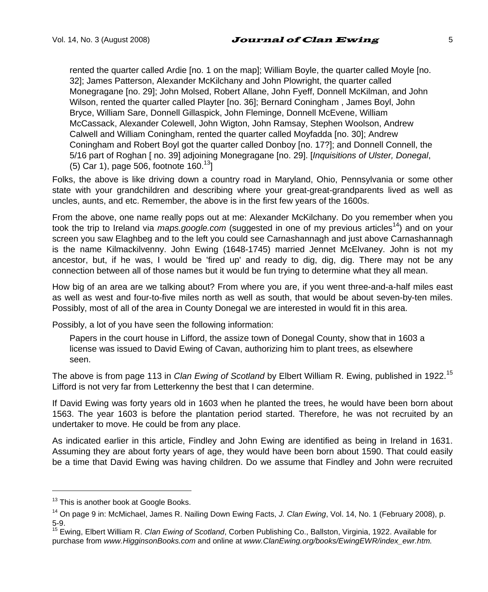rented the quarter called Ardie [no. 1 on the map]; William Boyle, the quarter called Moyle [no. 32]; James Patterson, Alexander McKilchany and John Plowright, the quarter called Monegragane [no. 29]; John Molsed, Robert Allane, John Fyeff, Donnell McKilman, and John Wilson, rented the quarter called Playter [no. 36]; Bernard Coningham , James Boyl, John Bryce, William Sare, Donnell Gillaspick, John Fleminge, Donnell McEvene, William McCassack, Alexander Colewell, John Wigton, John Ramsay, Stephen Woolson, Andrew Calwell and William Coningham, rented the quarter called Moyfadda [no. 30]; Andrew Coningham and Robert Boyl got the quarter called Donboy [no. 17?]; and Donnell Connell, the 5/16 part of Roghan [ no. 39] adjoining Monegragane [no. 29]. [*Inquisitions of Ulster, Donegal*, (5) Car 1), page 506, footnote  $160^{13}$ 

Folks, the above is like driving down a country road in Maryland, Ohio, Pennsylvania or some other state with your grandchildren and describing where your great-great-grandparents lived as well as uncles, aunts, and etc. Remember, the above is in the first few years of the 1600s.

From the above, one name really pops out at me: Alexander McKilchany. Do you remember when you took the trip to Ireland via *maps.google.com* (suggested in one of my previous articles<sup>14</sup>) and on your screen you saw Elaghbeg and to the left you could see Carnashannagh and just above Carnashannagh is the name Kilmackilvenny. John Ewing (1648-1745) married Jennet McElvaney. John is not my ancestor, but, if he was, I would be 'fired up' and ready to dig, dig, dig. There may not be any connection between all of those names but it would be fun trying to determine what they all mean.

How big of an area are we talking about? From where you are, if you went three-and-a-half miles east as well as west and four-to-five miles north as well as south, that would be about seven-by-ten miles. Possibly, most of all of the area in County Donegal we are interested in would fit in this area.

Possibly, a lot of you have seen the following information:

Papers in the court house in Lifford, the assize town of Donegal County, show that in 1603 a license was issued to David Ewing of Cavan, authorizing him to plant trees, as elsewhere seen.

The above is from page 113 in *Clan Ewing of Scotland* by Elbert William R. Ewing, published in 1922.<sup>15</sup> Lifford is not very far from Letterkenny the best that I can determine.

If David Ewing was forty years old in 1603 when he planted the trees, he would have been born about 1563. The year 1603 is before the plantation period started. Therefore, he was not recruited by an undertaker to move. He could be from any place.

As indicated earlier in this article, Findley and John Ewing are identified as being in Ireland in 1631. Assuming they are about forty years of age, they would have been born about 1590. That could easily be a time that David Ewing was having children. Do we assume that Findley and John were recruited

<sup>&</sup>lt;sup>13</sup> This is another book at Google Books.

<sup>14</sup> On page 9 in: McMichael, James R. Nailing Down Ewing Facts, *J. Clan Ewing*, Vol. 14, No. 1 (February 2008), p. 5-9.

<sup>15</sup> Ewing, Elbert William R. *Clan Ewing of Scotland*, Corben Publishing Co., Ballston, Virginia, 1922. Available for purchase from *www.HigginsonBooks.com* and online at *www.ClanEwing.org/books/EwingEWR/index\_ewr.htm.*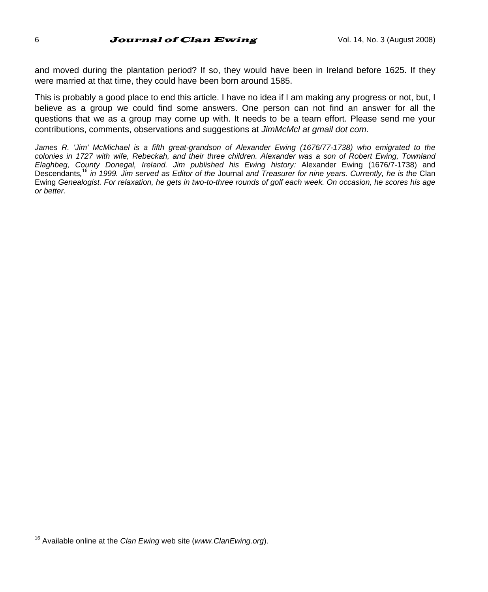and moved during the plantation period? If so, they would have been in Ireland before 1625. If they were married at that time, they could have been born around 1585.

This is probably a good place to end this article. I have no idea if I am making any progress or not, but, I believe as a group we could find some answers. One person can not find an answer for all the questions that we as a group may come up with. It needs to be a team effort. Please send me your contributions, comments, observations and suggestions at *JimMcMcl at gmail dot com*.

James R. 'Jim' McMichael is a fifth great-grandson of Alexander Ewing (1676/77-1738) who emigrated to the *colonies in 1727 with wife, Rebeckah, and their three children. Alexander was a son of Robert Ewing, Townland Elaghbeg, County Donegal, Ireland. Jim published his Ewing history:* Alexander Ewing (1676/7-1738) and Descendants*,* <sup>16</sup> *in 1999. Jim served as Editor of the* Journal *and Treasurer for nine years. Currently, he is the* Clan Ewing *Genealogist. For relaxation, he gets in two-to-three rounds of golf each week. On occasion, he scores his age or better.*

<sup>16</sup> Available online at the *Clan Ewing* web site (*www.ClanEwing.org*).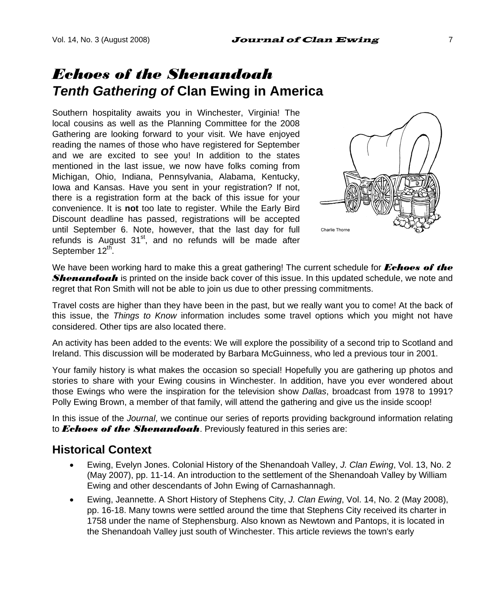# *Echoes of the Shenandoah Tenth Gathering of* **Clan Ewing in America**

Southern hospitality awaits you in Winchester, Virginia! The local cousins as well as the Planning Committee for the 2008 Gathering are looking forward to your visit. We have enjoyed reading the names of those who have registered for September and we are excited to see you! In addition to the states mentioned in the last issue, we now have folks coming from Michigan, Ohio, Indiana, Pennsylvania, Alabama, Kentucky, Iowa and Kansas. Have you sent in your registration? If not, there is a registration form at the back of this issue for your convenience. It is **not** too late to register. While the Early Bird Discount deadline has passed, registrations will be accepted until September 6. Note, however, that the last day for full refunds is August  $31<sup>st</sup>$ , and no refunds will be made after September  $12<sup>th</sup>$ .



We have been working hard to make this a great gathering! The current schedule for *Echoes of the Shenandoah* is printed on the inside back cover of this issue. In this updated schedule, we note and regret that Ron Smith will not be able to join us due to other pressing commitments.

Travel costs are higher than they have been in the past, but we really want you to come! At the back of this issue, the *Things to Know* information includes some travel options which you might not have considered. Other tips are also located there.

An activity has been added to the events: We will explore the possibility of a second trip to Scotland and Ireland. This discussion will be moderated by Barbara McGuinness, who led a previous tour in 2001.

Your family history is what makes the occasion so special! Hopefully you are gathering up photos and stories to share with your Ewing cousins in Winchester. In addition, have you ever wondered about those Ewings who were the inspiration for the television show *Dallas*, broadcast from 1978 to 1991? Polly Ewing Brown, a member of that family, will attend the gathering and give us the inside scoop!

In this issue of the *Journal*, we continue our series of reports providing background information relating to *Echoes of the Shenandoah*. Previously featured in this series are:

## **Historical Context**

- Ewing, Evelyn Jones. Colonial History of the Shenandoah Valley, *J. Clan Ewing*, Vol. 13, No. 2 (May 2007), pp. 11-14. An introduction to the settlement of the Shenandoah Valley by William Ewing and other descendants of John Ewing of Carnashannagh.
- Ewing, Jeannette. A Short History of Stephens City, *J. Clan Ewing*, Vol. 14, No. 2 (May 2008), pp. 16-18. Many towns were settled around the time that Stephens City received its charter in 1758 under the name of Stephensburg. Also known as Newtown and Pantops, it is located in the Shenandoah Valley just south of Winchester. This article reviews the town's early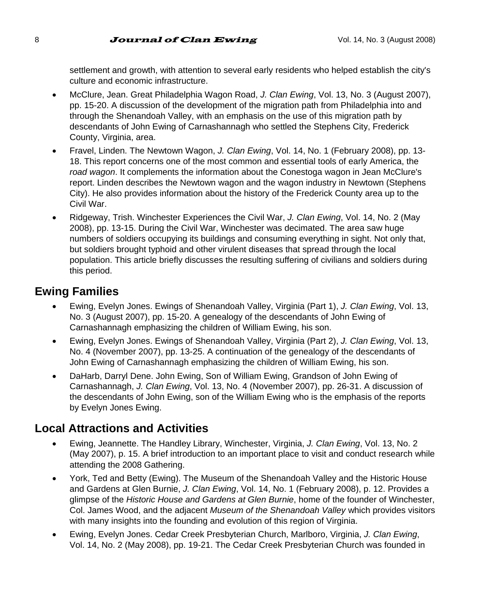settlement and growth, with attention to several early residents who helped establish the city's culture and economic infrastructure.

- McClure, Jean. Great Philadelphia Wagon Road, *J. Clan Ewing*, Vol. 13, No. 3 (August 2007), pp. 15-20. A discussion of the development of the migration path from Philadelphia into and through the Shenandoah Valley, with an emphasis on the use of this migration path by descendants of John Ewing of Carnashannagh who settled the Stephens City, Frederick County, Virginia, area.
- Fravel, Linden. The Newtown Wagon, *J. Clan Ewing*, Vol. 14, No. 1 (February 2008), pp. 13- 18. This report concerns one of the most common and essential tools of early America, the *road wagon*. It complements the information about the Conestoga wagon in Jean McClure's report. Linden describes the Newtown wagon and the wagon industry in Newtown (Stephens City). He also provides information about the history of the Frederick County area up to the Civil War.
- Ridgeway, Trish. Winchester Experiences the Civil War, *J. Clan Ewing*, Vol. 14, No. 2 (May 2008), pp. 13-15. During the Civil War, Winchester was decimated. The area saw huge numbers of soldiers occupying its buildings and consuming everything in sight. Not only that, but soldiers brought typhoid and other virulent diseases that spread through the local population. This article briefly discusses the resulting suffering of civilians and soldiers during this period.

## **Ewing Families**

- Ewing, Evelyn Jones. Ewings of Shenandoah Valley, Virginia (Part 1), *J. Clan Ewing*, Vol. 13, No. 3 (August 2007), pp. 15-20. A genealogy of the descendants of John Ewing of Carnashannagh emphasizing the children of William Ewing, his son.
- Ewing, Evelyn Jones. Ewings of Shenandoah Valley, Virginia (Part 2), *J. Clan Ewing*, Vol. 13, No. 4 (November 2007), pp. 13-25. A continuation of the genealogy of the descendants of John Ewing of Carnashannagh emphasizing the children of William Ewing, his son.
- DaHarb, Darryl Dene. John Ewing, Son of William Ewing, Grandson of John Ewing of Carnashannagh, *J. Clan Ewing*, Vol. 13, No. 4 (November 2007), pp. 26-31. A discussion of the descendants of John Ewing, son of the William Ewing who is the emphasis of the reports by Evelyn Jones Ewing.

## **Local Attractions and Activities**

- Ewing, Jeannette. The Handley Library, Winchester, Virginia, *J. Clan Ewing*, Vol. 13, No. 2 (May 2007), p. 15. A brief introduction to an important place to visit and conduct research while attending the 2008 Gathering.
- York, Ted and Betty (Ewing). The Museum of the Shenandoah Valley and the Historic House and Gardens at Glen Burnie, *J. Clan Ewing*, Vol. 14, No. 1 (February 2008), p. 12. Provides a glimpse of the *Historic House and Gardens at Glen Burnie*, home of the founder of Winchester, Col. James Wood, and the adjacent *Museum of the Shenandoah Valley* which provides visitors with many insights into the founding and evolution of this region of Virginia.
- Ewing, Evelyn Jones. Cedar Creek Presbyterian Church, Marlboro, Virginia, *J. Clan Ewing*, Vol. 14, No. 2 (May 2008), pp. 19-21. The Cedar Creek Presbyterian Church was founded in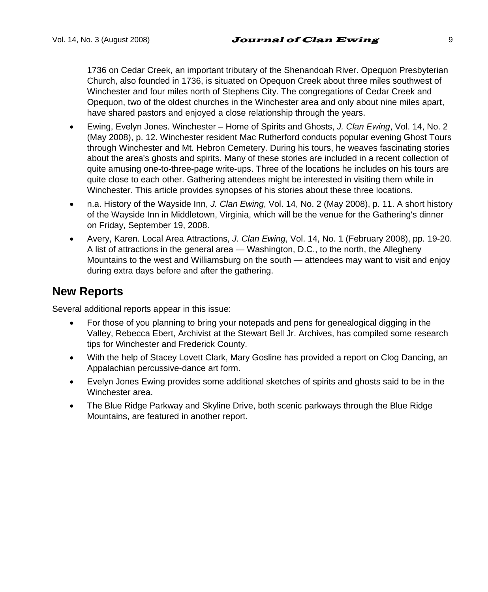1736 on Cedar Creek, an important tributary of the Shenandoah River. Opequon Presbyterian Church, also founded in 1736, is situated on Opequon Creek about three miles southwest of Winchester and four miles north of Stephens City. The congregations of Cedar Creek and Opequon, two of the oldest churches in the Winchester area and only about nine miles apart, have shared pastors and enjoyed a close relationship through the years.

- Ewing, Evelyn Jones. Winchester Home of Spirits and Ghosts, *J. Clan Ewing*, Vol. 14, No. 2 (May 2008), p. 12. Winchester resident Mac Rutherford conducts popular evening Ghost Tours through Winchester and Mt. Hebron Cemetery. During his tours, he weaves fascinating stories about the area's ghosts and spirits. Many of these stories are included in a recent collection of quite amusing one-to-three-page write-ups. Three of the locations he includes on his tours are quite close to each other. Gathering attendees might be interested in visiting them while in Winchester. This article provides synopses of his stories about these three locations.
- n.a. History of the Wayside Inn, *J. Clan Ewing*, Vol. 14, No. 2 (May 2008), p. 11. A short history of the Wayside Inn in Middletown, Virginia, which will be the venue for the Gathering's dinner on Friday, September 19, 2008.
- Avery, Karen. Local Area Attractions, *J. Clan Ewing*, Vol. 14, No. 1 (February 2008), pp. 19-20. A list of attractions in the general area — Washington, D.C., to the north, the Allegheny Mountains to the west and Williamsburg on the south — attendees may want to visit and enjoy during extra days before and after the gathering.

### **New Reports**

Several additional reports appear in this issue:

- For those of you planning to bring your notepads and pens for genealogical digging in the Valley, Rebecca Ebert, Archivist at the Stewart Bell Jr. Archives, has compiled some research tips for Winchester and Frederick County.
- With the help of Stacey Lovett Clark, Mary Gosline has provided a report on Clog Dancing, an Appalachian percussive-dance art form.
- Evelyn Jones Ewing provides some additional sketches of spirits and ghosts said to be in the Winchester area.
- The Blue Ridge Parkway and Skyline Drive, both scenic parkways through the Blue Ridge Mountains, are featured in another report.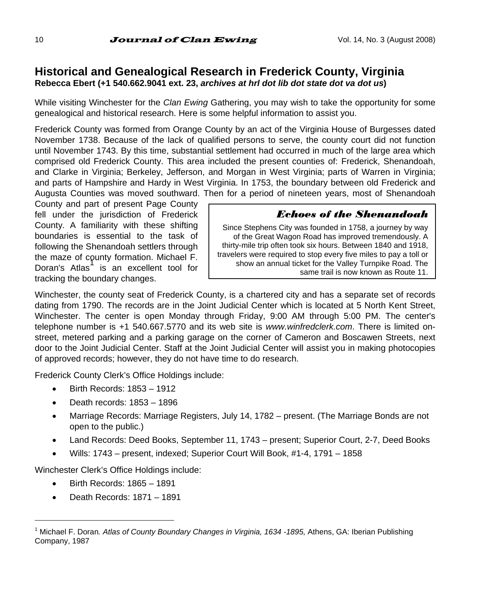### **Historical and Genealogical Research in Frederick County, Virginia Rebecca Ebert (+1 540.662.9041 ext. 23,** *archives at hrl dot lib dot state dot va dot us***)**

While visiting Winchester for the *Clan Ewing* Gathering, you may wish to take the opportunity for some genealogical and historical research. Here is some helpful information to assist you.

Frederick County was formed from Orange County by an act of the Virginia House of Burgesses dated November 1738. Because of the lack of qualified persons to serve, the county court did not function until November 1743. By this time, substantial settlement had occurred in much of the large area which comprised old Frederick County. This area included the present counties of: Frederick, Shenandoah, and Clarke in Virginia; Berkeley, Jefferson, and Morgan in West Virginia; parts of Warren in Virginia; and parts of Hampshire and Hardy in West Virginia. In 1753, the boundary between old Frederick and Augusta Counties was moved southward. Then for a period of nineteen years, most of Shenandoah

County and part of present Page County fell under the jurisdiction of Frederick County. A familiarity with these shifting boundaries is essential to the task of following the Shenandoah settlers through the maze of county formation. Michael F. are malle or equity remainer mention in tracking the boundary changes.

# *Echoes of the Shenandoah*

Since Stephens City was founded in 1758, a journey by way of the Great Wagon Road has improved tremendously. A thirty-mile trip often took six hours. Between 1840 and 1918, travelers were required to stop every five miles to pay a toll or show an annual ticket for the Valley Turnpike Road. The same trail is now known as Route 11.

Winchester, the county seat of Frederick County, is a chartered city and has a separate set of records dating from 1790. The records are in the Joint Judicial Center which is located at 5 North Kent Street, Winchester. The center is open Monday through Friday, 9:00 AM through 5:00 PM. The center's telephone number is +1 540.667.5770 and its web site is *www.winfredclerk.com*. There is limited onstreet, metered parking and a parking garage on the corner of Cameron and Boscawen Streets, next door to the Joint Judicial Center. Staff at the Joint Judicial Center will assist you in making photocopies of approved records; however, they do not have time to do research.

Frederick County Clerk's Office Holdings include:

- Birth Records: 1853 1912
- Death records: 1853 1896
- Marriage Records: Marriage Registers, July 14, 1782 present. (The Marriage Bonds are not open to the public.)
- Land Records: Deed Books, September 11, 1743 present; Superior Court, 2-7, Deed Books
- Wills: 1743 present, indexed; Superior Court Will Book, #1-4, 1791 1858

Winchester Clerk's Office Holdings include:

• Birth Records: 1865 – 1891

l

• Death Records: 1871 – 1891

<sup>&</sup>lt;sup>1</sup> Michael F. Doran. Atlas of County Boundary Changes in Virginia, 1634 -1895, Athens, GA: Iberian Publishing Company, 1987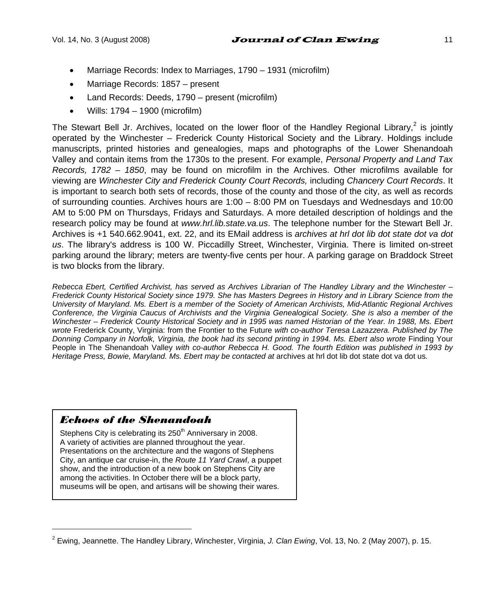- Marriage Records: Index to Marriages, 1790 1931 (microfilm)
- Marriage Records: 1857 present
- Land Records: Deeds, 1790 present (microfilm)
- Wills: 1794 1900 (microfilm)

The Stewart Bell Jr. Archives, located on the lower floor of the Handley Regional Library,<sup>2</sup> is jointly operated by the Winchester – Frederick County Historical Society and the Library. Holdings include manuscripts, printed histories and genealogies, maps and photographs of the Lower Shenandoah Valley and contain items from the 1730s to the present. For example, *Personal Property and Land Tax Records, 1782 – 1850*, may be found on microfilm in the Archives. Other microfilms available for viewing are *Winchester City and Frederick County Court Records,* including *Chancery Court Records*. It is important to search both sets of records, those of the county and those of the city, as well as records of surrounding counties. Archives hours are 1:00 – 8:00 PM on Tuesdays and Wednesdays and 10:00 AM to 5:00 PM on Thursdays, Fridays and Saturdays. A more detailed description of holdings and the research policy may be found at *www.hrl.lib.state.va.us*. The telephone number for the Stewart Bell Jr. Archives is +1 540.662.9041, ext. 22, and its EMail address is *archives at hrl dot lib dot state dot va dot us*. The library's address is 100 W. Piccadilly Street, Winchester, Virginia. There is limited on-street parking around the library; meters are twenty-five cents per hour. A parking garage on Braddock Street is two blocks from the library.

*Rebecca Ebert, Certified Archivist, has served as Archives Librarian of The Handley Library and the Winchester – Frederick County Historical Society since 1979. She has Masters Degrees in History and in Library Science from the University of Maryland. Ms. Ebert is a member of the Society of American Archivists, Mid-Atlantic Regional Archives Conference, the Virginia Caucus of Archivists and the Virginia Genealogical Society. She is also a member of the Winchester – Frederick County Historical Society and in 1995 was named Historian of the Year. In 1988, Ms. Ebert wrote* Frederick County, Virginia: from the Frontier to the Future *with co-author Teresa Lazazzera. Published by The Donning Company in Norfolk, Virginia, the book had its second printing in 1994. Ms. Ebert also wrote* Finding Your People in The Shenandoah Valley *with co-author Rebecca H. Good. The fourth Edition was published in 1993 by*  Heritage Press, Bowie, Maryland. Ms. Ebert may be contacted at archives at hrl dot lib dot state dot va dot us.

### *Echoes of the Shenandoah*

l

Stephens City is celebrating its 250<sup>th</sup> Anniversary in 2008. A variety of activities are planned throughout the year. Presentations on the architecture and the wagons of Stephens City, an antique car cruise-in, the *Route 11 Yard Crawl*, a puppet show, and the introduction of a new book on Stephens City are among the activities. In October there will be a block party, museums will be open, and artisans will be showing their wares.

<sup>2</sup> Ewing, Jeannette. The Handley Library, Winchester, Virginia, *J. Clan Ewing*, Vol. 13, No. 2 (May 2007), p. 15.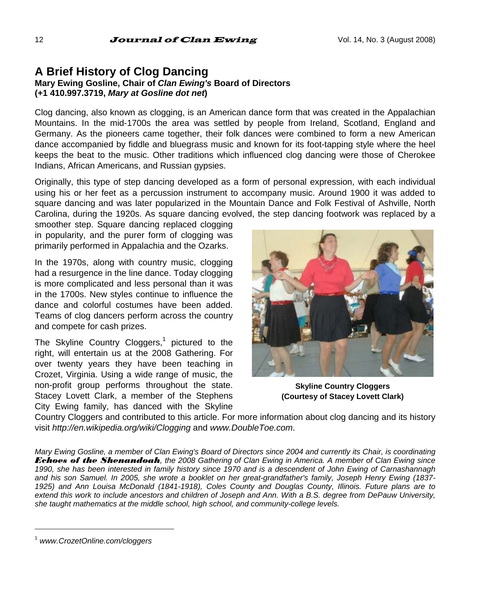#### **A Brief History of Clog Dancing Mary Ewing Gosline, Chair of** *Clan Ewing's* **Board of Directors (+1 410.997.3719,** *Mary at Gosline dot net***)**

Clog dancing, also known as clogging, is an American dance form that was created in the Appalachian Mountains. In the mid-1700s the area was settled by people from Ireland, Scotland, England and Germany. As the pioneers came together, their folk dances were combined to form a new American dance accompanied by fiddle and bluegrass music and known for its foot-tapping style where the heel keeps the beat to the music. Other traditions which influenced clog dancing were those of Cherokee Indians, African Americans, and Russian gypsies.

Originally, this type of step dancing developed as a form of personal expression, with each individual using his or her feet as a percussion instrument to accompany music. Around 1900 it was added to square dancing and was later popularized in the Mountain Dance and Folk Festival of Ashville, North Carolina, during the 1920s. As square dancing evolved, the step dancing footwork was replaced by a

smoother step. Square dancing replaced clogging in popularity, and the purer form of clogging was primarily performed in Appalachia and the Ozarks.

In the 1970s, along with country music, clogging had a resurgence in the line dance. Today clogging is more complicated and less personal than it was in the 1700s. New styles continue to influence the dance and colorful costumes have been added. Teams of clog dancers perform across the country and compete for cash prizes.

The Skyline Country Cloggers, $1$  pictured to the right, will entertain us at the 2008 Gathering. For over twenty years they have been teaching in Crozet, Virginia. Using a wide range of music, the non-profit group performs throughout the state. Stacey Lovett Clark, a member of the Stephens City Ewing family, has danced with the Skyline



**Skyline Country Cloggers (Courtesy of Stacey Lovett Clark)** 

Country Cloggers and contributed to this article. For more information about clog dancing and its history visit *http://en.wikipedia.org/wiki/Clogging* and *www.DoubleToe.com*.

*Mary Ewing Gosline, a member of Clan Ewing's Board of Directors since 2004 and currently its Chair, is coordinating Echoes of the Shenandoah, the 2008 Gathering of Clan Ewing in America. A member of Clan Ewing since 1990, she has been interested in family history since 1970 and is a descendent of John Ewing of Carnashannagh and his son Samuel. In 2005, she wrote a booklet on her great-grandfather's family, Joseph Henry Ewing (1837- 1925) and Ann Louisa McDonald (1841-1918), Coles County and Douglas County, Illinois. Future plans are to extend this work to include ancestors and children of Joseph and Ann. With a B.S. degree from DePauw University, she taught mathematics at the middle school, high school, and community-college levels.* 

<sup>1</sup> *www.CrozetOnline.com/cloggers*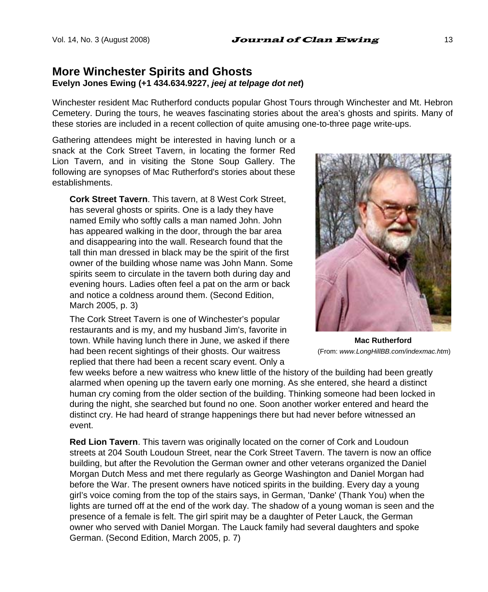## **More Winchester Spirits and Ghosts**

#### **Evelyn Jones Ewing (+1 434.634.9227,** *jeej at telpage dot net***)**

Winchester resident Mac Rutherford conducts popular Ghost Tours through Winchester and Mt. Hebron Cemetery. During the tours, he weaves fascinating stories about the area's ghosts and spirits. Many of these stories are included in a recent collection of quite amusing one-to-three page write-ups.

Gathering attendees might be interested in having lunch or a snack at the Cork Street Tavern, in locating the former Red Lion Tavern, and in visiting the Stone Soup Gallery. The following are synopses of Mac Rutherford's stories about these establishments.

**Cork Street Tavern**. This tavern, at 8 West Cork Street, has several ghosts or spirits. One is a lady they have named Emily who softly calls a man named John. John has appeared walking in the door, through the bar area and disappearing into the wall. Research found that the tall thin man dressed in black may be the spirit of the first owner of the building whose name was John Mann. Some spirits seem to circulate in the tavern both during day and evening hours. Ladies often feel a pat on the arm or back and notice a coldness around them. (Second Edition, March 2005, p. 3)

The Cork Street Tavern is one of Winchester's popular restaurants and is my, and my husband Jim's, favorite in town. While having lunch there in June, we asked if there had been recent sightings of their ghosts. Our waitress replied that there had been a recent scary event. Only a



**Mac Rutherford**  (From: *www.LongHillBB.com/indexmac.htm*)

few weeks before a new waitress who knew little of the history of the building had been greatly alarmed when opening up the tavern early one morning. As she entered, she heard a distinct human cry coming from the older section of the building. Thinking someone had been locked in during the night, she searched but found no one. Soon another worker entered and heard the distinct cry. He had heard of strange happenings there but had never before witnessed an event.

**Red Lion Tavern**. This tavern was originally located on the corner of Cork and Loudoun streets at 204 South Loudoun Street, near the Cork Street Tavern. The tavern is now an office building, but after the Revolution the German owner and other veterans organized the Daniel Morgan Dutch Mess and met there regularly as George Washington and Daniel Morgan had before the War. The present owners have noticed spirits in the building. Every day a young girl's voice coming from the top of the stairs says, in German, 'Danke' (Thank You) when the lights are turned off at the end of the work day. The shadow of a young woman is seen and the presence of a female is felt. The girl spirit may be a daughter of Peter Lauck, the German owner who served with Daniel Morgan. The Lauck family had several daughters and spoke German. (Second Edition, March 2005, p. 7)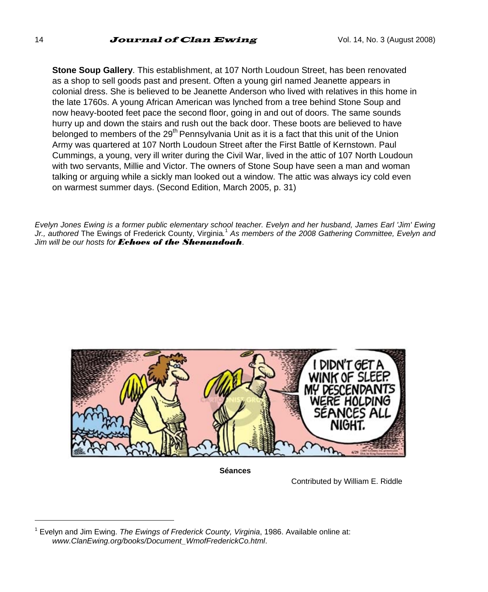**Stone Soup Gallery**. This establishment, at 107 North Loudoun Street, has been renovated as a shop to sell goods past and present. Often a young girl named Jeanette appears in colonial dress. She is believed to be Jeanette Anderson who lived with relatives in this home in the late 1760s. A young African American was lynched from a tree behind Stone Soup and now heavy-booted feet pace the second floor, going in and out of doors. The same sounds hurry up and down the stairs and rush out the back door. These boots are believed to have belonged to members of the 29<sup>th</sup> Pennsylvania Unit as it is a fact that this unit of the Union Army was quartered at 107 North Loudoun Street after the First Battle of Kernstown. Paul Cummings, a young, very ill writer during the Civil War, lived in the attic of 107 North Loudoun with two servants, Millie and Victor. The owners of Stone Soup have seen a man and woman talking or arguing while a sickly man looked out a window. The attic was always icy cold even on warmest summer days. (Second Edition, March 2005, p. 31)

*Evelyn Jones Ewing is a former public elementary school teacher. Evelyn and her husband, James Earl 'Jim' Ewing*  Jr., authored The Ewings of Frederick County, Virginia.<sup>1</sup> As members of the 2008 Gathering Committee, Evelyn and *Jim will be our hosts for Echoes of the Shenandoah*.



**Séances** 

Contributed by William E. Riddle

<sup>&</sup>lt;sup>1</sup> Evelyn and Jim Ewing. *The Ewings of Frederick County, Virginia*, 1986. Available online at: *www.ClanEwing.org/books/Document\_WmofFrederickCo.html*.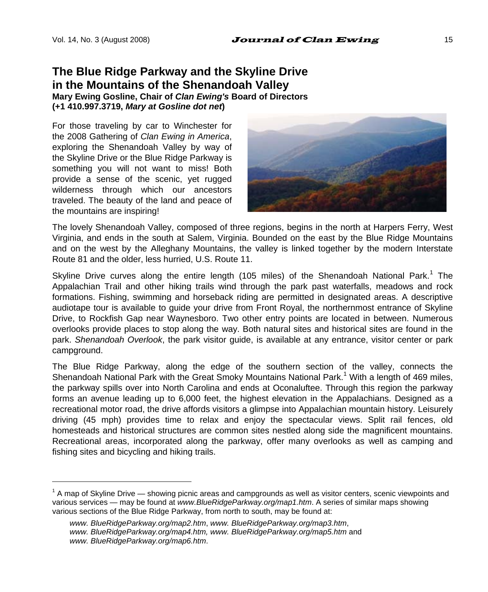l

### **The Blue Ridge Parkway and the Skyline Drive in the Mountains of the Shenandoah Valley Mary Ewing Gosline, Chair of** *Clan Ewing's* **Board of Directors (+1 410.997.3719,** *Mary at Gosline dot net***)**

For those traveling by car to Winchester for the 2008 Gathering of *Clan Ewing in America*, exploring the Shenandoah Valley by way of the Skyline Drive or the Blue Ridge Parkway is something you will not want to miss! Both provide a sense of the scenic, yet rugged wilderness through which our ancestors traveled. The beauty of the land and peace of the mountains are inspiring!



The lovely Shenandoah Valley, composed of three regions, begins in the north at Harpers Ferry, West Virginia, and ends in the south at Salem, Virginia. Bounded on the east by the Blue Ridge Mountains and on the west by the Alleghany Mountains, the valley is linked together by the modern Interstate Route 81 and the older, less hurried, U.S. Route 11.

Skyline Drive curves along the entire length (105 miles) of the Shenandoah National Park.<sup>1</sup> The Appalachian Trail and other hiking trails wind through the park past waterfalls, meadows and rock formations. Fishing, swimming and horseback riding are permitted in designated areas. A descriptive audiotape tour is available to guide your drive from Front Royal, the northernmost entrance of Skyline Drive, to Rockfish Gap near Waynesboro. Two other entry points are located in between. Numerous overlooks provide places to stop along the way. Both natural sites and historical sites are found in the park. *Shenandoah Overlook*, the park visitor guide, is available at any entrance, visitor center or park campground.

The Blue Ridge Parkway, along the edge of the southern section of the valley, connects the Shenandoah National Park with the Great Smoky Mountains National Park.<sup>1</sup> With a length of 469 miles, the parkway spills over into North Carolina and ends at Oconaluftee. Through this region the parkway forms an avenue leading up to 6,000 feet, the highest elevation in the Appalachians. Designed as a recreational motor road, the drive affords visitors a glimpse into Appalachian mountain history. Leisurely driving (45 mph) provides time to relax and enjoy the spectacular views. Split rail fences, old homesteads and historical structures are common sites nestled along side the magnificent mountains. Recreational areas, incorporated along the parkway, offer many overlooks as well as camping and fishing sites and bicycling and hiking trails.

<sup>&</sup>lt;sup>1</sup> A map of Skyline Drive — showing picnic areas and campgrounds as well as visitor centers, scenic viewpoints and various services — may be found at *www.BlueRidgeParkway.org/map1.htm*. A series of similar maps showing various sections of the Blue Ridge Parkway, from north to south, may be found at:

*www. BlueRidgeParkway.org/map2.htm*, *www. BlueRidgeParkway.org/map3.htm*, *www. BlueRidgeParkway.org/map4.htm, www. BlueRidgeParkway.org/map5.htm* and *www. BlueRidgeParkway.org/map6.htm*.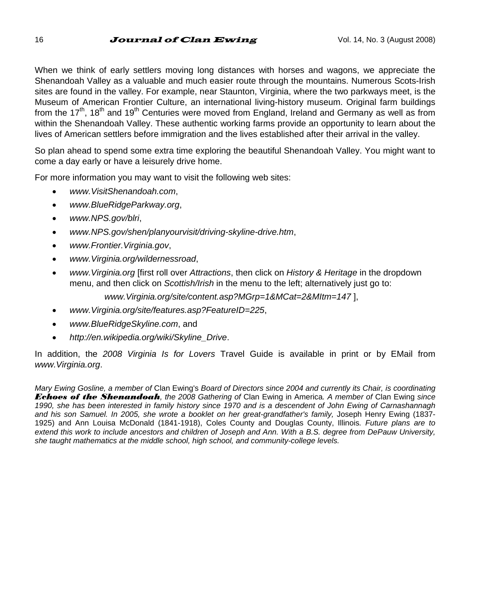#### 16  $Journal$  of Clan Ewing  $Vol.$  14, No. 3 (August 2008)

When we think of early settlers moving long distances with horses and wagons, we appreciate the Shenandoah Valley as a valuable and much easier route through the mountains. Numerous Scots-Irish sites are found in the valley. For example, near Staunton, Virginia, where the two parkways meet, is the Museum of American Frontier Culture, an international living-history museum. Original farm buildings from the  $17<sup>th</sup>$ ,  $18<sup>th</sup>$  and  $19<sup>th</sup>$  Centuries were moved from England, Ireland and Germany as well as from within the Shenandoah Valley. These authentic working farms provide an opportunity to learn about the lives of American settlers before immigration and the lives established after their arrival in the valley.

So plan ahead to spend some extra time exploring the beautiful Shenandoah Valley. You might want to come a day early or have a leisurely drive home.

For more information you may want to visit the following web sites:

- *www.VisitShenandoah.com*,
- *www.BlueRidgeParkway.org*,
- *www.NPS.gov/blri*,
- *www.NPS.gov/shen/planyourvisit/driving-skyline-drive.htm*,
- *www.Frontier.Virginia.gov*,
- *www.Virginia.org/wildernessroad*,
- *www.Virginia.org* [first roll over *Attractions*, then click on *History & Heritage* in the dropdown menu, and then click on *Scottish/Irish* in the menu to the left; alternatively just go to:

*www.Virginia.org/site/content.asp?MGrp=1&MCat=2&MItm=147* ],

- *www.Virginia.org/site/features.asp?FeatureID=225*,
- *www.BlueRidgeSkyline.com*, and
- *http://en.wikipedia.org/wiki/Skyline\_Drive*.

In addition, the *2008 Virginia Is for Lovers* Travel Guide is available in print or by EMail from *www.Virginia.org*.

*Mary Ewing Gosline, a member of* Clan Ewing's *Board of Directors since 2004 and currently its Chair, is coordinating Echoes of the Shenandoah, the 2008 Gathering of* Clan Ewing in America*. A member of* Clan Ewing *since 1990, she has been interested in family history since 1970 and is a descendent of John Ewing of Carnashannagh*  and his son Samuel. In 2005, she wrote a booklet on her great-grandfather's family, Joseph Henry Ewing (1837-1925) and Ann Louisa McDonald (1841-1918), Coles County and Douglas County, Illinois*. Future plans are to extend this work to include ancestors and children of Joseph and Ann. With a B.S. degree from DePauw University, she taught mathematics at the middle school, high school, and community-college levels.*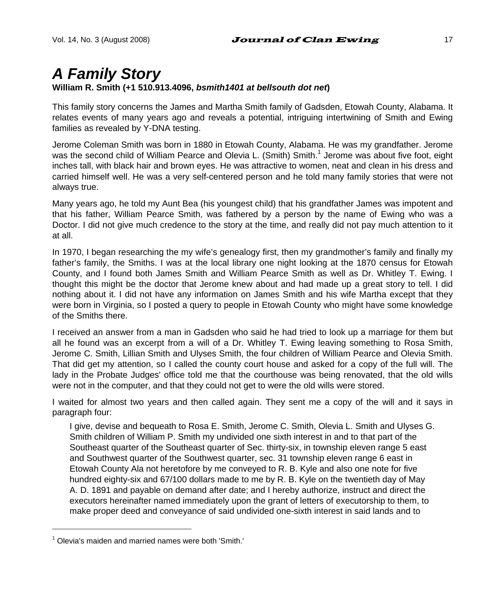# *A Family Story*

#### **William R. Smith (+1 510.913.4096,** *bsmith1401 at bellsouth dot net***)**

This family story concerns the James and Martha Smith family of Gadsden, Etowah County, Alabama. It relates events of many years ago and reveals a potential, intriguing intertwining of Smith and Ewing families as revealed by Y-DNA testing.

Jerome Coleman Smith was born in 1880 in Etowah County, Alabama. He was my grandfather. Jerome was the second child of William Pearce and Olevia L. (Smith) Smith.<sup>1</sup> Jerome was about five foot, eight inches tall, with black hair and brown eyes. He was attractive to women, neat and clean in his dress and carried himself well. He was a very self-centered person and he told many family stories that were not always true.

Many years ago, he told my Aunt Bea (his youngest child) that his grandfather James was impotent and that his father, William Pearce Smith, was fathered by a person by the name of Ewing who was a Doctor. I did not give much credence to the story at the time, and really did not pay much attention to it at all.

In 1970, I began researching the my wife's genealogy first, then my grandmother's family and finally my father's family, the Smiths. I was at the local library one night looking at the 1870 census for Etowah County, and I found both James Smith and William Pearce Smith as well as Dr. Whitley T. Ewing. I thought this might be the doctor that Jerome knew about and had made up a great story to tell. I did nothing about it. I did not have any information on James Smith and his wife Martha except that they were born in Virginia, so I posted a query to people in Etowah County who might have some knowledge of the Smiths there.

I received an answer from a man in Gadsden who said he had tried to look up a marriage for them but all he found was an excerpt from a will of a Dr. Whitley T. Ewing leaving something to Rosa Smith, Jerome C. Smith, Lillian Smith and Ulyses Smith, the four children of William Pearce and Olevia Smith. That did get my attention, so I called the county court house and asked for a copy of the full will. The lady in the Probate Judges' office told me that the courthouse was being renovated, that the old wills were not in the computer, and that they could not get to were the old wills were stored.

I waited for almost two years and then called again. They sent me a copy of the will and it says in paragraph four:

I give, devise and bequeath to Rosa E. Smith, Jerome C. Smith, Olevia L. Smith and Ulyses G. Smith children of William P. Smith my undivided one sixth interest in and to that part of the Southeast quarter of the Southeast quarter of Sec. thirty-six, in township eleven range 5 east and Southwest quarter of the Southwest quarter, sec. 31 township eleven range 6 east in Etowah County Ala not heretofore by me conveyed to R. B. Kyle and also one note for five hundred eighty-six and 67/100 dollars made to me by R. B. Kyle on the twentieth day of May A. D. 1891 and payable on demand after date; and I hereby authorize, instruct and direct the executors hereinafter named immediately upon the grant of letters of executorship to them, to make proper deed and conveyance of said undivided one-sixth interest in said lands and to

<sup>&</sup>lt;sup>1</sup> Olevia's maiden and married names were both 'Smith.'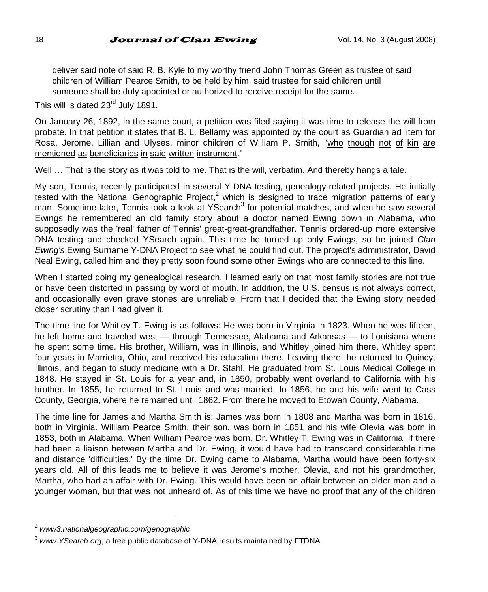deliver said note of said R. B. Kyle to my worthy friend John Thomas Green as trustee of said children of William Pearce Smith, to be held by him, said trustee for said children until someone shall be duly appointed or authorized to receive receipt for the same.

This will is dated 23<sup>rd</sup> July 1891.

On January 26, 1892, in the same court, a petition was filed saying it was time to release the will from probate. In that petition it states that B. L. Bellamy was appointed by the court as Guardian ad litem for Rosa, Jerome, Lillian and Ulyses, minor children of William P. Smith, "who though not of kin are mentioned as beneficiaries in said written instrument."

Well … That is the story as it was told to me. That is the will, verbatim. And thereby hangs a tale.

My son, Tennis, recently participated in several Y-DNA-testing, genealogy-related projects. He initially tested with the National Genographic Project,<sup>2</sup> which is designed to trace migration patterns of early man. Sometime later, Tennis took a look at YSearch<sup>3</sup> for potential matches, and when he saw several Ewings he remembered an old family story about a doctor named Ewing down in Alabama, who supposedly was the 'real' father of Tennis' great-great-grandfather. Tennis ordered-up more extensive DNA testing and checked YSearch again. This time he turned up only Ewings, so he joined *Clan Ewing's* Ewing Surname Y-DNA Project to see what he could find out. The project's administrator, David Neal Ewing, called him and they pretty soon found some other Ewings who are connected to this line.

When I started doing my genealogical research, I learned early on that most family stories are not true or have been distorted in passing by word of mouth. In addition, the U.S. census is not always correct, and occasionally even grave stones are unreliable. From that I decided that the Ewing story needed closer scrutiny than I had given it.

The time line for Whitley T. Ewing is as follows: He was born in Virginia in 1823. When he was fifteen, he left home and traveled west — through Tennessee, Alabama and Arkansas — to Louisiana where he spent some time. His brother, William, was in Illinois, and Whitley joined him there. Whitley spent four years in Marrietta, Ohio, and received his education there. Leaving there, he returned to Quincy, Illinois, and began to study medicine with a Dr. Stahl. He graduated from St. Louis Medical College in 1848. He stayed in St. Louis for a year and, in 1850, probably went overland to California with his brother. In 1855, he returned to St. Louis and was married. In 1856, he and his wife went to Cass County, Georgia, where he remained until 1862. From there he moved to Etowah County, Alabama.

The time line for James and Martha Smith is: James was born in 1808 and Martha was born in 1816, both in Virginia. William Pearce Smith, their son, was born in 1851 and his wife Olevia was born in 1853, both in Alabama. When William Pearce was born, Dr. Whitley T. Ewing was in California. If there had been a liaison between Martha and Dr. Ewing, it would have had to transcend considerable time and distance 'difficulties.' By the time Dr. Ewing came to Alabama, Martha would have been forty-six years old. All of this leads me to believe it was Jerome's mother, Olevia, and not his grandmother, Martha, who had an affair with Dr. Ewing. This would have been an affair between an older man and a younger woman, but that was not unheard of. As of this time we have no proof that any of the children

<sup>2</sup> *www3.nationalgeographic.com/genographic*

<sup>3</sup> *www.YSearch.org*, a free public database of Y-DNA results maintained by FTDNA.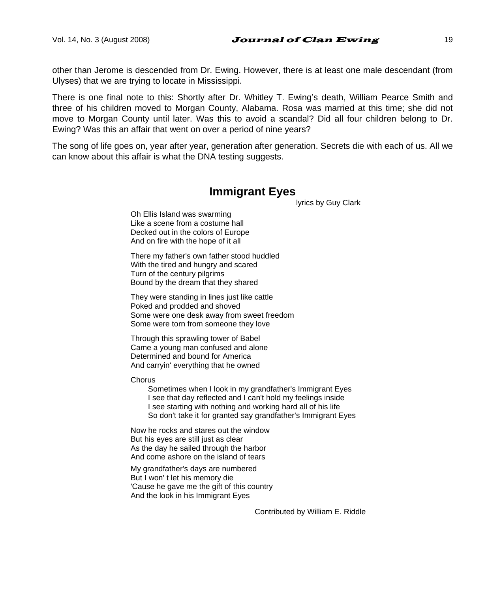other than Jerome is descended from Dr. Ewing. However, there is at least one male descendant (from Ulyses) that we are trying to locate in Mississippi.

There is one final note to this: Shortly after Dr. Whitley T. Ewing's death, William Pearce Smith and three of his children moved to Morgan County, Alabama. Rosa was married at this time; she did not move to Morgan County until later. Was this to avoid a scandal? Did all four children belong to Dr. Ewing? Was this an affair that went on over a period of nine years?

The song of life goes on, year after year, generation after generation. Secrets die with each of us. All we can know about this affair is what the DNA testing suggests.

### **Immigrant Eyes**

lyrics by Guy Clark

Oh Ellis Island was swarming Like a scene from a costume hall Decked out in the colors of Europe And on fire with the hope of it all

There my father's own father stood huddled With the tired and hungry and scared Turn of the century pilgrims Bound by the dream that they shared

They were standing in lines just like cattle Poked and prodded and shoved Some were one desk away from sweet freedom Some were torn from someone they love

Through this sprawling tower of Babel Came a young man confused and alone Determined and bound for America And carryin' everything that he owned

Chorus

Sometimes when I look in my grandfather's Immigrant Eyes I see that day reflected and I can't hold my feelings inside I see starting with nothing and working hard all of his life So don't take it for granted say grandfather's Immigrant Eyes

Now he rocks and stares out the window But his eyes are still just as clear As the day he sailed through the harbor And come ashore on the island of tears

My grandfather's days are numbered But I won' t let his memory die 'Cause he gave me the gift of this country And the look in his Immigrant Eyes

Contributed by William E. Riddle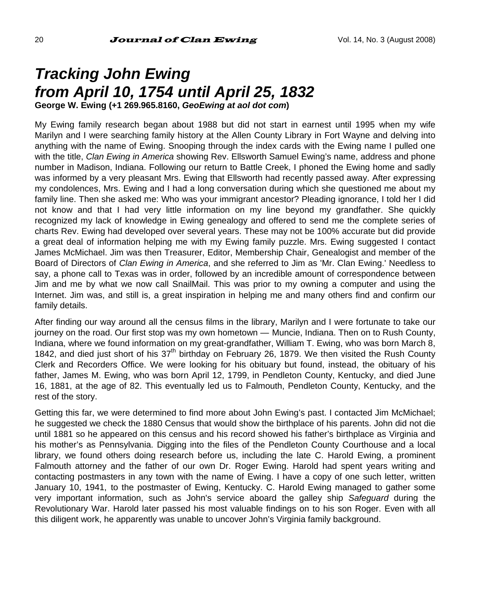## *Tracking John Ewing from April 10, 1754 until April 25, 1832*  **George W. Ewing (+1 269.965.8160,** *GeoEwing at aol dot com***)**

My Ewing family research began about 1988 but did not start in earnest until 1995 when my wife Marilyn and I were searching family history at the Allen County Library in Fort Wayne and delving into anything with the name of Ewing. Snooping through the index cards with the Ewing name I pulled one with the title, *Clan Ewing in America* showing Rev. Ellsworth Samuel Ewing's name, address and phone number in Madison, Indiana. Following our return to Battle Creek, I phoned the Ewing home and sadly was informed by a very pleasant Mrs. Ewing that Ellsworth had recently passed away. After expressing my condolences, Mrs. Ewing and I had a long conversation during which she questioned me about my family line. Then she asked me: Who was your immigrant ancestor? Pleading ignorance, I told her I did not know and that I had very little information on my line beyond my grandfather. She quickly recognized my lack of knowledge in Ewing genealogy and offered to send me the complete series of charts Rev. Ewing had developed over several years. These may not be 100% accurate but did provide a great deal of information helping me with my Ewing family puzzle. Mrs. Ewing suggested I contact James McMichael. Jim was then Treasurer, Editor, Membership Chair, Genealogist and member of the Board of Directors of *Clan Ewing in America*, and she referred to Jim as 'Mr. Clan Ewing.' Needless to say, a phone call to Texas was in order, followed by an incredible amount of correspondence between Jim and me by what we now call SnailMail. This was prior to my owning a computer and using the Internet. Jim was, and still is, a great inspiration in helping me and many others find and confirm our family details.

After finding our way around all the census films in the library, Marilyn and I were fortunate to take our journey on the road. Our first stop was my own hometown — Muncie, Indiana. Then on to Rush County, Indiana, where we found information on my great-grandfather, William T. Ewing, who was born March 8, 1842, and died just short of his 37<sup>th</sup> birthday on February 26, 1879. We then visited the Rush County Clerk and Recorders Office. We were looking for his obituary but found, instead, the obituary of his father, James M. Ewing, who was born April 12, 1799, in Pendleton County, Kentucky, and died June 16, 1881, at the age of 82. This eventually led us to Falmouth, Pendleton County, Kentucky, and the rest of the story.

Getting this far, we were determined to find more about John Ewing's past. I contacted Jim McMichael; he suggested we check the 1880 Census that would show the birthplace of his parents. John did not die until 1881 so he appeared on this census and his record showed his father's birthplace as Virginia and his mother's as Pennsylvania. Digging into the files of the Pendleton County Courthouse and a local library, we found others doing research before us, including the late C. Harold Ewing, a prominent Falmouth attorney and the father of our own Dr. Roger Ewing. Harold had spent years writing and contacting postmasters in any town with the name of Ewing. I have a copy of one such letter, written January 10, 1941, to the postmaster of Ewing, Kentucky. C. Harold Ewing managed to gather some very important information, such as John's service aboard the galley ship *Safeguard* during the Revolutionary War. Harold later passed his most valuable findings on to his son Roger. Even with all this diligent work, he apparently was unable to uncover John's Virginia family background.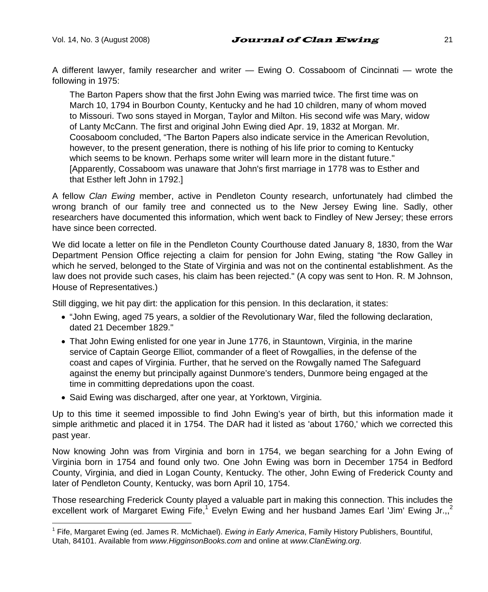l

A different lawyer, family researcher and writer — Ewing O. Cossaboom of Cincinnati — wrote the following in 1975:

The Barton Papers show that the first John Ewing was married twice. The first time was on March 10, 1794 in Bourbon County, Kentucky and he had 10 children, many of whom moved to Missouri. Two sons stayed in Morgan, Taylor and Milton. His second wife was Mary, widow of Lanty McCann. The first and original John Ewing died Apr. 19, 1832 at Morgan. Mr. Coosaboom concluded, "The Barton Papers also indicate service in the American Revolution, however, to the present generation, there is nothing of his life prior to coming to Kentucky which seems to be known. Perhaps some writer will learn more in the distant future." [Apparently, Cossaboom was unaware that John's first marriage in 1778 was to Esther and that Esther left John in 1792.]

A fellow *Clan Ewing* member, active in Pendleton County research, unfortunately had climbed the wrong branch of our family tree and connected us to the New Jersey Ewing line. Sadly, other researchers have documented this information, which went back to Findley of New Jersey; these errors have since been corrected.

We did locate a letter on file in the Pendleton County Courthouse dated January 8, 1830, from the War Department Pension Office rejecting a claim for pension for John Ewing, stating "the Row Galley in which he served, belonged to the State of Virginia and was not on the continental establishment. As the law does not provide such cases, his claim has been rejected." (A copy was sent to Hon. R. M Johnson, House of Representatives.)

Still digging, we hit pay dirt: the application for this pension. In this declaration, it states:

- "John Ewing, aged 75 years, a soldier of the Revolutionary War, filed the following declaration, dated 21 December 1829."
- That John Ewing enlisted for one year in June 1776, in Stauntown, Virginia, in the marine service of Captain George Elliot, commander of a fleet of Rowgallies, in the defense of the coast and capes of Virginia. Further, that he served on the Rowgally named The Safeguard against the enemy but principally against Dunmore's tenders, Dunmore being engaged at the time in committing depredations upon the coast.
- Said Ewing was discharged, after one year, at Yorktown, Virginia.

Up to this time it seemed impossible to find John Ewing's year of birth, but this information made it simple arithmetic and placed it in 1754. The DAR had it listed as 'about 1760,' which we corrected this past year.

Now knowing John was from Virginia and born in 1754, we began searching for a John Ewing of Virginia born in 1754 and found only two. One John Ewing was born in December 1754 in Bedford County, Virginia, and died in Logan County, Kentucky. The other, John Ewing of Frederick County and later of Pendleton County, Kentucky, was born April 10, 1754.

Those researching Frederick County played a valuable part in making this connection. This includes the excellent work of Margaret Ewing Fife,<sup>1</sup> Evelyn Ewing and her husband James Earl 'Jim' Ewing Jr.,,<sup>2</sup>

<sup>1</sup> Fife, Margaret Ewing (ed. James R. McMichael). *Ewing in Early America*, Family History Publishers, Bountiful, Utah, 84101. Available from *www.HigginsonBooks.com* and online at *www.ClanEwing.org*.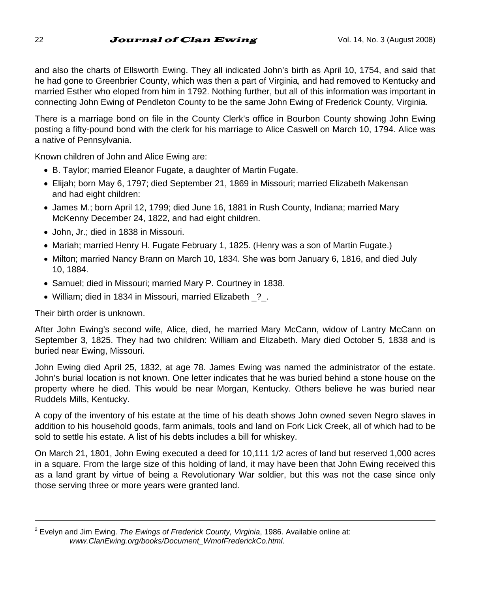#### 22 **Journal of Clan Ewing**  $V$ ol. 14, No. 3 (August 2008)

and also the charts of Ellsworth Ewing. They all indicated John's birth as April 10, 1754, and said that he had gone to Greenbrier County, which was then a part of Virginia, and had removed to Kentucky and married Esther who eloped from him in 1792. Nothing further, but all of this information was important in connecting John Ewing of Pendleton County to be the same John Ewing of Frederick County, Virginia.

There is a marriage bond on file in the County Clerk's office in Bourbon County showing John Ewing posting a fifty-pound bond with the clerk for his marriage to Alice Caswell on March 10, 1794. Alice was a native of Pennsylvania.

Known children of John and Alice Ewing are:

- B. Taylor; married Eleanor Fugate, a daughter of Martin Fugate.
- Elijah; born May 6, 1797; died September 21, 1869 in Missouri; married Elizabeth Makensan and had eight children:
- James M.; born April 12, 1799; died June 16, 1881 in Rush County, Indiana; married Mary McKenny December 24, 1822, and had eight children.
- John, Jr.; died in 1838 in Missouri.
- Mariah; married Henry H. Fugate February 1, 1825. (Henry was a son of Martin Fugate.)
- Milton; married Nancy Brann on March 10, 1834. She was born January 6, 1816, and died July 10, 1884.
- Samuel; died in Missouri; married Mary P. Courtney in 1838.
- William; died in 1834 in Missouri, married Elizabeth \_?\_.

Their birth order is unknown.

After John Ewing's second wife, Alice, died, he married Mary McCann, widow of Lantry McCann on September 3, 1825. They had two children: William and Elizabeth. Mary died October 5, 1838 and is buried near Ewing, Missouri.

John Ewing died April 25, 1832, at age 78. James Ewing was named the administrator of the estate. John's burial location is not known. One letter indicates that he was buried behind a stone house on the property where he died. This would be near Morgan, Kentucky. Others believe he was buried near Ruddels Mills, Kentucky.

A copy of the inventory of his estate at the time of his death shows John owned seven Negro slaves in addition to his household goods, farm animals, tools and land on Fork Lick Creek, all of which had to be sold to settle his estate. A list of his debts includes a bill for whiskey.

On March 21, 1801, John Ewing executed a deed for 10,111 1/2 acres of land but reserved 1,000 acres in a square. From the large size of this holding of land, it may have been that John Ewing received this as a land grant by virtue of being a Revolutionary War soldier, but this was not the case since only those serving three or more years were granted land.

 $\overline{2}$  Evelyn and Jim Ewing. *The Ewings of Frederick County, Virginia*, 1986. Available online at: *www.ClanEwing.org/books/Document\_WmofFrederickCo.html*.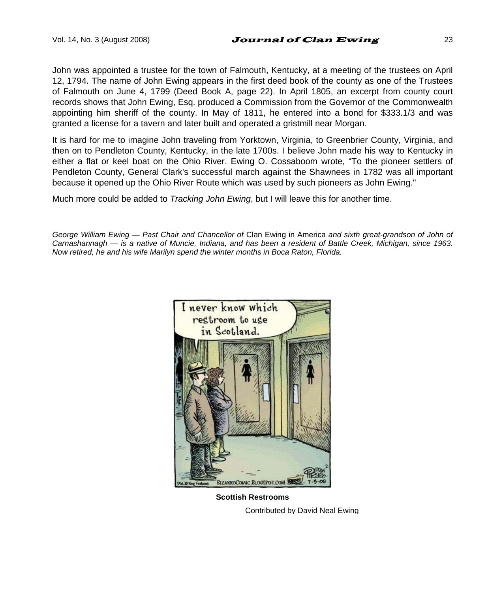John was appointed a trustee for the town of Falmouth, Kentucky, at a meeting of the trustees on April 12, 1794. The name of John Ewing appears in the first deed book of the county as one of the Trustees of Falmouth on June 4, 1799 (Deed Book A, page 22). In April 1805, an excerpt from county court records shows that John Ewing, Esq. produced a Commission from the Governor of the Commonwealth appointing him sheriff of the county. In May of 1811, he entered into a bond for \$333.1/3 and was granted a license for a tavern and later built and operated a gristmill near Morgan.

It is hard for me to imagine John traveling from Yorktown, Virginia, to Greenbrier County, Virginia, and then on to Pendleton County, Kentucky, in the late 1700s. I believe John made his way to Kentucky in either a flat or keel boat on the Ohio River. Ewing O. Cossaboom wrote, "To the pioneer settlers of Pendleton County, General Clark's successful march against the Shawnees in 1782 was all important because it opened up the Ohio River Route which was used by such pioneers as John Ewing."

Much more could be added to *Tracking John Ewing*, but I will leave this for another time.

*George William Ewing — Past Chair and Chancellor of* Clan Ewing in America *and sixth great-grandson of John of Carnashannagh — is a native of Muncie, Indiana, and has been a resident of Battle Creek, Michigan, since 1963. Now retired, he and his wife Marilyn spend the winter months in Boca Raton, Florida.* 



**Scottish Restrooms**  Contributed by David Neal Ewing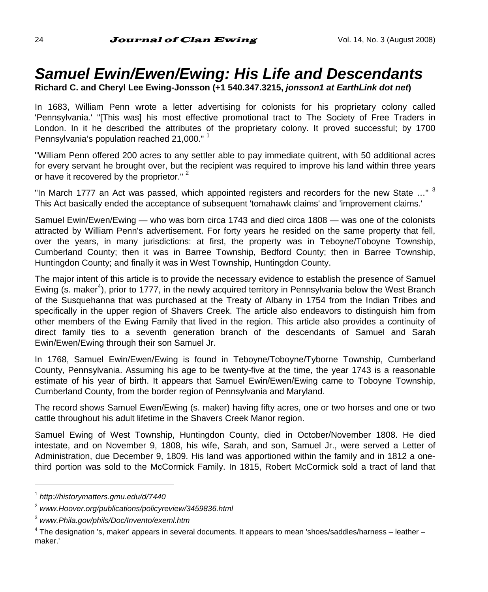# *Samuel Ewin/Ewen/Ewing: His Life and Descendants*

**Richard C. and Cheryl Lee Ewing-Jonsson (+1 540.347.3215,** *jonsson1 at EarthLink dot net***)** 

In 1683, William Penn wrote a letter advertising for colonists for his proprietary colony called 'Pennsylvania.' "[This was] his most effective promotional tract to The Society of Free Traders in London. In it he described the attributes of the proprietary colony. It proved successful; by 1700 Pennsylvania's population reached 21,000." <sup>1</sup>

"William Penn offered 200 acres to any settler able to pay immediate quitrent, with 50 additional acres for every servant he brought over, but the recipient was required to improve his land within three years or have it recovered by the proprietor."<sup>2</sup>

"In March 1777 an Act was passed, which appointed registers and recorders for the new State  $\ldots$ " 3 This Act basically ended the acceptance of subsequent 'tomahawk claims' and 'improvement claims.'

Samuel Ewin/Ewen/Ewing — who was born circa 1743 and died circa 1808 — was one of the colonists attracted by William Penn's advertisement. For forty years he resided on the same property that fell, over the years, in many jurisdictions: at first, the property was in Teboyne/Toboyne Township, Cumberland County; then it was in Barree Township, Bedford County; then in Barree Township, Huntingdon County; and finally it was in West Township, Huntingdon County.

The major intent of this article is to provide the necessary evidence to establish the presence of Samuel Ewing (s. maker<sup>4</sup>), prior to 1777, in the newly acquired territory in Pennsylvania below the West Branch of the Susquehanna that was purchased at the Treaty of Albany in 1754 from the Indian Tribes and specifically in the upper region of Shavers Creek. The article also endeavors to distinguish him from other members of the Ewing Family that lived in the region. This article also provides a continuity of direct family ties to a seventh generation branch of the descendants of Samuel and Sarah Ewin/Ewen/Ewing through their son Samuel Jr.

In 1768, Samuel Ewin/Ewen/Ewing is found in Teboyne/Toboyne/Tyborne Township, Cumberland County, Pennsylvania. Assuming his age to be twenty-five at the time, the year 1743 is a reasonable estimate of his year of birth. It appears that Samuel Ewin/Ewen/Ewing came to Toboyne Township, Cumberland County, from the border region of Pennsylvania and Maryland.

The record shows Samuel Ewen/Ewing (s. maker) having fifty acres, one or two horses and one or two cattle throughout his adult lifetime in the Shavers Creek Manor region.

Samuel Ewing of West Township, Huntingdon County, died in October/November 1808. He died intestate, and on November 9, 1808, his wife, Sarah, and son, Samuel Jr., were served a Letter of Administration, due December 9, 1809. His land was apportioned within the family and in 1812 a onethird portion was sold to the McCormick Family. In 1815, Robert McCormick sold a tract of land that

<sup>1</sup> *http://historymatters.gmu.edu/d/7440* 

<sup>2</sup> *www.Hoover.org/publications/policyreview/3459836.html*

<sup>3</sup> *www.Phila.gov/phils/Doc/Invento/exeml.htm*

<sup>4</sup> The designation 's, maker' appears in several documents. It appears to mean 'shoes/saddles/harness – leather – maker<sup>'</sup>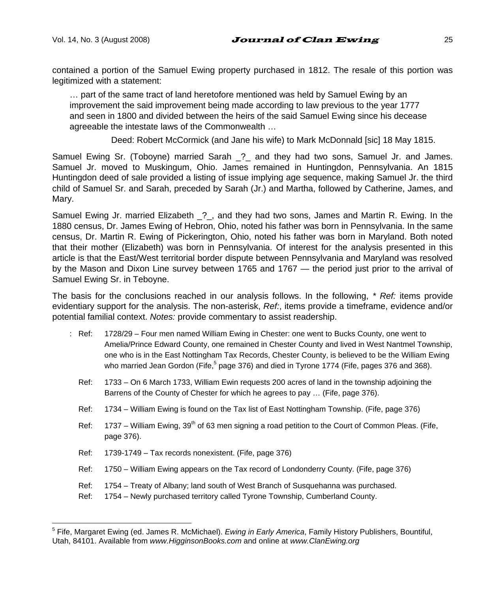l

contained a portion of the Samuel Ewing property purchased in 1812. The resale of this portion was legitimized with a statement:

… part of the same tract of land heretofore mentioned was held by Samuel Ewing by an improvement the said improvement being made according to law previous to the year 1777 and seen in 1800 and divided between the heirs of the said Samuel Ewing since his decease agreeable the intestate laws of the Commonwealth …

Deed: Robert McCormick (and Jane his wife) to Mark McDonnald [sic] 18 May 1815.

Samuel Ewing Sr. (Toboyne) married Sarah 2 and they had two sons, Samuel Jr. and James. Samuel Jr. moved to Muskingum, Ohio. James remained in Huntingdon, Pennsylvania. An 1815 Huntingdon deed of sale provided a listing of issue implying age sequence, making Samuel Jr. the third child of Samuel Sr. and Sarah, preceded by Sarah (Jr.) and Martha, followed by Catherine, James, and Mary.

Samuel Ewing Jr. married Elizabeth \_?\_, and they had two sons, James and Martin R. Ewing. In the 1880 census, Dr. James Ewing of Hebron, Ohio, noted his father was born in Pennsylvania. In the same census, Dr. Martin R. Ewing of Pickerington, Ohio, noted his father was born in Maryland. Both noted that their mother (Elizabeth) was born in Pennsylvania. Of interest for the analysis presented in this article is that the East/West territorial border dispute between Pennsylvania and Maryland was resolved by the Mason and Dixon Line survey between 1765 and 1767 — the period just prior to the arrival of Samuel Ewing Sr. in Teboyne.

The basis for the conclusions reached in our analysis follows. In the following, *\* Ref:* items provide evidentiary support for the analysis. The non-asterisk, *Ref:*, items provide a timeframe, evidence and/or potential familial context. *Notes:* provide commentary to assist readership.

- : Ref: 1728/29 Four men named William Ewing in Chester: one went to Bucks County, one went to Amelia/Prince Edward County, one remained in Chester County and lived in West Nantmel Township, one who is in the East Nottingham Tax Records, Chester County, is believed to be the William Ewing who married Jean Gordon (Fife,  $5$  page 376) and died in Tyrone 1774 (Fife, pages 376 and 368).
	- Ref: 1733 On 6 March 1733, William Ewin requests 200 acres of land in the township adjoining the Barrens of the County of Chester for which he agrees to pay … (Fife, page 376).
	- Ref: 1734 William Ewing is found on the Tax list of East Nottingham Township. (Fife, page 376)
	- Ref: 1737 William Ewing,  $39<sup>th</sup>$  of 63 men signing a road petition to the Court of Common Pleas. (Fife, page 376).
	- Ref: 1739-1749 Tax records nonexistent. (Fife, page 376)
	- Ref: 1750 William Ewing appears on the Tax record of Londonderry County. (Fife, page 376)
	- Ref: 1754 Treaty of Albany; land south of West Branch of Susquehanna was purchased.
	- Ref: 1754 Newly purchased territory called Tyrone Township, Cumberland County.

<sup>5</sup> Fife, Margaret Ewing (ed. James R. McMichael). *Ewing in Early America*, Family History Publishers, Bountiful, Utah, 84101. Available from *www.HigginsonBooks.com* and online at *www.ClanEwing.org*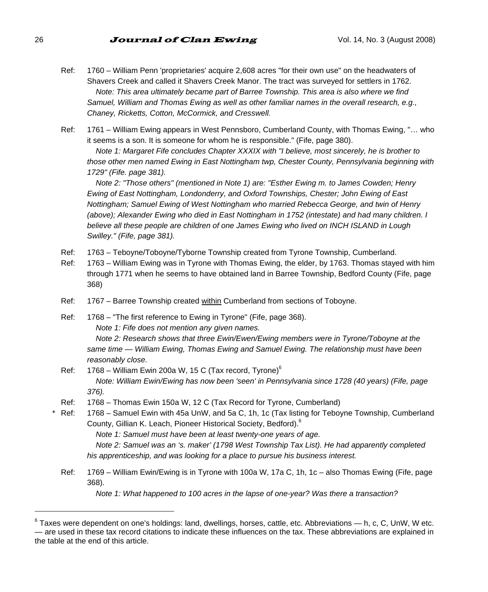#### 26 **Journal of Clan Ewing**  $V$ ol. 14, No. 3 (August 2008)

- Ref: 1760 William Penn 'proprietaries' acquire 2,608 acres "for their own use" on the headwaters of Shavers Creek and called it Shavers Creek Manor. The tract was surveyed for settlers in 1762. *Note: This area ultimately became part of Barree Township. This area is also where we find Samuel, William and Thomas Ewing as well as other familiar names in the overall research, e.g., Chaney, Ricketts, Cotton, McCormick, and Cresswell.*
- Ref: 1761 William Ewing appears in West Pennsboro, Cumberland County, with Thomas Ewing, "… who it seems is a son. It is someone for whom he is responsible." (Fife, page 380).

*Note 1: Margaret Fife concludes Chapter XXXIX with "I believe, most sincerely, he is brother to those other men named Ewing in East Nottingham twp, Chester County, Pennsylvania beginning with 1729" (Fife. page 381).* 

*Note 2: "Those others" (mentioned in Note 1) are: "Esther Ewing m. to James Cowden; Henry Ewing of East Nottingham, Londonderry, and Oxford Townships, Chester; John Ewing of East Nottingham; Samuel Ewing of West Nottingham who married Rebecca George, and twin of Henry (above); Alexander Ewing who died in East Nottingham in 1752 (intestate) and had many children. I believe all these people are children of one James Ewing who lived on INCH ISLAND in Lough Swilley." (Fife, page 381).* 

- Ref: 1763 Teboyne/Toboyne/Tyborne Township created from Tyrone Township, Cumberland.
- Ref: 1763 William Ewing was in Tyrone with Thomas Ewing, the elder, by 1763. Thomas stayed with him through 1771 when he seems to have obtained land in Barree Township, Bedford County (Fife, page 368)
- Ref: 1767 Barree Township created within Cumberland from sections of Toboyne.
- Ref: 1768 "The first reference to Ewing in Tyrone" (Fife, page 368). *Note 1: Fife does not mention any given names. Note 2: Research shows that three Ewin/Ewen/Ewing members were in Tyrone/Toboyne at the same time — William Ewing, Thomas Ewing and Samuel Ewing. The relationship must have been reasonably close.*
- Ref:  $1768 -$  William Ewin 200a W, 15 C (Tax record, Tyrone)<sup>6</sup> *Note: William Ewin/Ewing has now been 'seen' in Pennsylvania since 1728 (40 years) (Fife, page 376).*
- Ref: 1768 Thomas Ewin 150a W, 12 C (Tax Record for Tyrone, Cumberland)
- Ref: 1768 Samuel Ewin with 45a UnW, and 5a C, 1h, 1c (Tax listing for Teboyne Township, Cumberland County, Gillian K. Leach, Pioneer Historical Society, Bedford).<sup>6</sup> *Note 1: Samuel must have been at least twenty-one years of age. Note 2: Samuel was an 's. maker' (1798 West Township Tax List). He had apparently completed his apprenticeship, and was looking for a place to pursue his business interest.* 
	- Ref: 1769 William Ewin/Ewing is in Tyrone with 100a W, 17a C, 1h, 1c also Thomas Ewing (Fife, page 368).

*Note 1: What happened to 100 acres in the lapse of one-year? Was there a transaction?* 

 $^6$  Taxes were dependent on one's holdings: land, dwellings, horses, cattle, etc. Abbreviations — h, c, C, UnW, W etc. — are used in these tax record citations to indicate these influences on the tax. These abbreviations are explained in the table at the end of this article.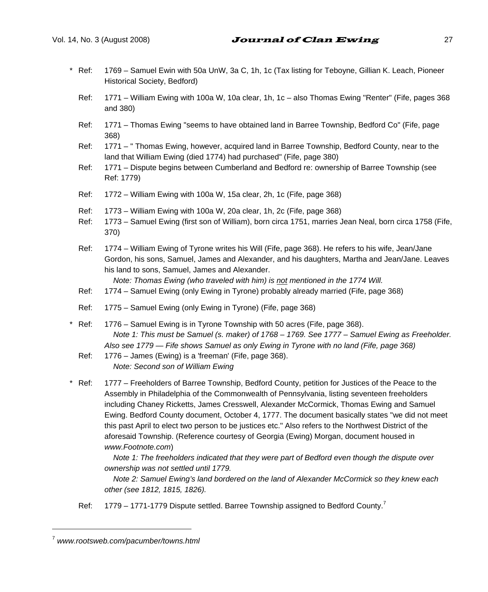- \* Ref: 1769 Samuel Ewin with 50a UnW, 3a C, 1h, 1c (Tax listing for Teboyne, Gillian K. Leach, Pioneer Historical Society, Bedford)
	- Ref: 1771 William Ewing with 100a W, 10a clear, 1h, 1c also Thomas Ewing "Renter" (Fife, pages 368 and 380)
	- Ref: 1771 Thomas Ewing "seems to have obtained land in Barree Township, Bedford Co" (Fife, page 368)
	- Ref: 1771 " Thomas Ewing, however, acquired land in Barree Township, Bedford County, near to the land that William Ewing (died 1774) had purchased" (Fife, page 380)
	- Ref: 1771 Dispute begins between Cumberland and Bedford re: ownership of Barree Township (see Ref: 1779)
	- Ref: 1772 William Ewing with 100a W, 15a clear, 2h, 1c (Fife, page 368)
	- Ref: 1773 William Ewing with 100a W, 20a clear, 1h, 2c (Fife, page 368)
	- Ref: 1773 Samuel Ewing (first son of William), born circa 1751, marries Jean Neal, born circa 1758 (Fife, 370)
	- Ref: 1774 William Ewing of Tyrone writes his Will (Fife, page 368). He refers to his wife, Jean/Jane Gordon, his sons, Samuel, James and Alexander, and his daughters, Martha and Jean/Jane. Leaves his land to sons, Samuel, James and Alexander.

*Note: Thomas Ewing (who traveled with him) is not mentioned in the 1774 Will.* 

- Ref: 1774 Samuel Ewing (only Ewing in Tyrone) probably already married (Fife, page 368)
- Ref: 1775 Samuel Ewing (only Ewing in Tyrone) (Fife, page 368)
- \* Ref: 1776 Samuel Ewing is in Tyrone Township with 50 acres (Fife, page 368). *Note 1: This must be Samuel (s. maker) of 1768 – 1769. See 1777 – Samuel Ewing as Freeholder. Also see 1779 — Fife shows Samuel as only Ewing in Tyrone with no land (Fife, page 368)* 
	- Ref: 1776 James (Ewing) is a 'freeman' (Fife, page 368). *Note: Second son of William Ewing*
- \* Ref: 1777 Freeholders of Barree Township, Bedford County, petition for Justices of the Peace to the Assembly in Philadelphia of the Commonwealth of Pennsylvania, listing seventeen freeholders including Chaney Ricketts, James Cresswell, Alexander McCormick, Thomas Ewing and Samuel Ewing. Bedford County document, October 4, 1777. The document basically states "we did not meet this past April to elect two person to be justices etc." Also refers to the Northwest District of the aforesaid Township. (Reference courtesy of Georgia (Ewing) Morgan, document housed in *www.Footnote.com*)

*Note 1: The freeholders indicated that they were part of Bedford even though the dispute over ownership was not settled until 1779.* 

*Note 2: Samuel Ewing's land bordered on the land of Alexander McCormick so they knew each other (see 1812, 1815, 1826).* 

Ref: 1779 – 1771-1779 Dispute settled. Barree Township assigned to Bedford County.<sup>7</sup>

<sup>7</sup> *www.rootsweb.com/pacumber/towns.html*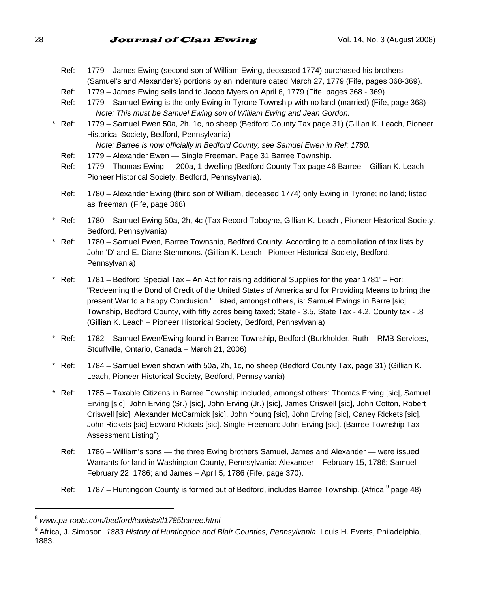#### 28 **Journal of Clan Ewing**  $V$ ol. 14, No. 3 (August 2008)

- Ref: 1779 James Ewing (second son of William Ewing, deceased 1774) purchased his brothers (Samuel's and Alexander's) portions by an indenture dated March 27, 1779 (Fife, pages 368-369).
- Ref: 1779 James Ewing sells land to Jacob Myers on April 6, 1779 (Fife, pages 368 369)
- Ref: 1779 Samuel Ewing is the only Ewing in Tyrone Township with no land (married) (Fife, page 368) *Note: This must be Samuel Ewing son of William Ewing and Jean Gordon.*
- \* Ref: 1779 Samuel Ewen 50a, 2h, 1c, no sheep (Bedford County Tax page 31) (Gillian K. Leach, Pioneer Historical Society, Bedford, Pennsylvania)

*Note: Barree is now officially in Bedford County; see Samuel Ewen in Ref: 1780.* 

- Ref: 1779 Alexander Ewen Single Freeman. Page 31 Barree Township.
- Ref: 1779 Thomas Ewing 200a, 1 dwelling (Bedford County Tax page 46 Barree Gillian K. Leach Pioneer Historical Society, Bedford, Pennsylvania).
- Ref: 1780 Alexander Ewing (third son of William, deceased 1774) only Ewing in Tyrone; no land; listed as 'freeman' (Fife, page 368)
- \* Ref: 1780 Samuel Ewing 50a, 2h, 4c (Tax Record Toboyne, Gillian K. Leach , Pioneer Historical Society, Bedford, Pennsylvania)
- \* Ref: 1780 Samuel Ewen, Barree Township, Bedford County. According to a compilation of tax lists by John 'D' and E. Diane Stemmons. (Gillian K. Leach , Pioneer Historical Society, Bedford, Pennsylvania)
- \* Ref: 1781 Bedford 'Special Tax An Act for raising additional Supplies for the year 1781' For: "Redeeming the Bond of Credit of the United States of America and for Providing Means to bring the present War to a happy Conclusion." Listed, amongst others, is: Samuel Ewings in Barre [sic] Township, Bedford County, with fifty acres being taxed; State - 3.5, State Tax - 4.2, County tax - .8 (Gillian K. Leach – Pioneer Historical Society, Bedford, Pennsylvania)
- \* Ref: 1782 Samuel Ewen/Ewing found in Barree Township, Bedford (Burkholder, Ruth RMB Services, Stouffville, Ontario, Canada – March 21, 2006)
- \* Ref: 1784 Samuel Ewen shown with 50a, 2h, 1c, no sheep (Bedford County Tax, page 31) (Gillian K. Leach, Pioneer Historical Society, Bedford, Pennsylvania)
- \* Ref: 1785 Taxable Citizens in Barree Township included, amongst others: Thomas Erving [sic], Samuel Erving [sic], John Erving (Sr.) [sic], John Erving (Jr.) [sic], James Criswell [sic], John Cotton, Robert Criswell [sic], Alexander McCarmick [sic], John Young [sic], John Erving [sic], Caney Rickets [sic], John Rickets [sic] Edward Rickets [sic]. Single Freeman: John Erving [sic]. (Barree Township Tax Assessment Listing<sup>8</sup>)
	- Ref: 1786 William's sons the three Ewing brothers Samuel, James and Alexander were issued Warrants for land in Washington County, Pennsylvania: Alexander – February 15, 1786; Samuel – February 22, 1786; and James – April 5, 1786 (Fife, page 370).
- Ref: 1787 Huntingdon County is formed out of Bedford, includes Barree Township. (Africa, <sup>9</sup> page 48)

<sup>8</sup> *www.pa-roots.com/bedford/taxlists/tl1785barree.html*

<sup>9</sup> Africa, J. Simpson. *1883 History of Huntingdon and Blair Counties, Pennsylvania*, Louis H. Everts, Philadelphia, 1883.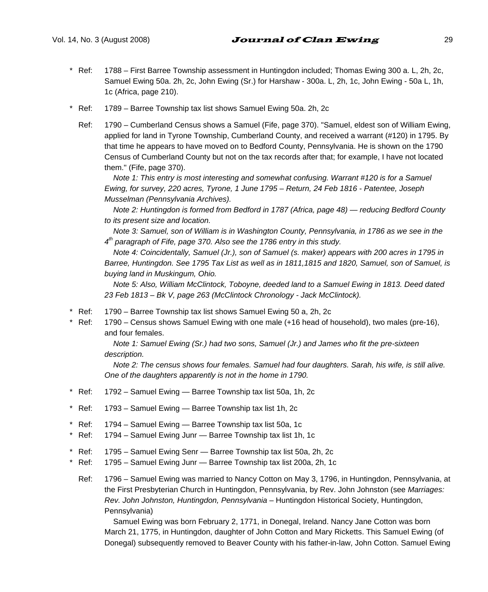- \* Ref: 1788 First Barree Township assessment in Huntingdon included; Thomas Ewing 300 a. L, 2h, 2c, Samuel Ewing 50a. 2h, 2c, John Ewing (Sr.) for Harshaw - 300a. L, 2h, 1c, John Ewing - 50a L, 1h, 1c (Africa, page 210).
- \* Ref: 1789 Barree Township tax list shows Samuel Ewing 50a. 2h, 2c
	- Ref: 1790 Cumberland Census shows a Samuel (Fife, page 370). "Samuel, eldest son of William Ewing, applied for land in Tyrone Township, Cumberland County, and received a warrant (#120) in 1795. By that time he appears to have moved on to Bedford County, Pennsylvania. He is shown on the 1790 Census of Cumberland County but not on the tax records after that; for example, I have not located them." (Fife, page 370).

*Note 1: This entry is most interesting and somewhat confusing. Warrant #120 is for a Samuel Ewing, for survey, 220 acres, Tyrone, 1 June 1795 – Return, 24 Feb 1816 - Patentee, Joseph Musselman (Pennsylvania Archives).* 

*Note 2: Huntingdon is formed from Bedford in 1787 (Africa, page 48) — reducing Bedford County to its present size and location.* 

*Note 3: Samuel, son of William is in Washington County, Pennsylvania, in 1786 as we see in the 4th paragraph of Fife, page 370. Also see the 1786 entry in this study.* 

*Note 4: Coincidentally, Samuel (Jr.), son of Samuel (s. maker) appears with 200 acres in 1795 in Barree, Huntingdon. See 1795 Tax List as well as in 1811,1815 and 1820, Samuel, son of Samuel, is buying land in Muskingum, Ohio.* 

*Note 5: Also, William McClintock, Toboyne, deeded land to a Samuel Ewing in 1813. Deed dated 23 Feb 1813 – Bk V, page 263 (McClintock Chronology - Jack McClintock).* 

- \* Ref: 1790 Barree Township tax list shows Samuel Ewing 50 a, 2h, 2c
- \* Ref: 1790 Census shows Samuel Ewing with one male (+16 head of household), two males (pre-16), and four females.

*Note 1: Samuel Ewing (Sr.) had two sons, Samuel (Jr.) and James who fit the pre-sixteen description.* 

*Note 2: The census shows four females. Samuel had four daughters. Sarah, his wife, is still alive. One of the daughters apparently is not in the home in 1790.* 

- \* Ref: 1792 Samuel Ewing Barree Township tax list 50a, 1h, 2c
- \* Ref: 1793 Samuel Ewing Barree Township tax list 1h, 2c
- \* Ref: 1794 Samuel Ewing Barree Township tax list 50a, 1c
- \* Ref: 1794 Samuel Ewing Junr Barree Township tax list 1h, 1c
- \* Ref: 1795 Samuel Ewing Senr Barree Township tax list 50a, 2h, 2c
- \* Ref: 1795 Samuel Ewing Junr Barree Township tax list 200a, 2h, 1c
	- Ref: 1796 Samuel Ewing was married to Nancy Cotton on May 3, 1796, in Huntingdon, Pennsylvania, at the First Presbyterian Church in Huntingdon, Pennsylvania, by Rev. John Johnston (see *Marriages: Rev. John Johnston, Huntingdon, Pennsylvania* – Huntingdon Historical Society, Huntingdon, Pennsylvania)

Samuel Ewing was born February 2, 1771, in Donegal, Ireland. Nancy Jane Cotton was born March 21, 1775, in Huntingdon, daughter of John Cotton and Mary Ricketts. This Samuel Ewing (of Donegal) subsequently removed to Beaver County with his father-in-law, John Cotton. Samuel Ewing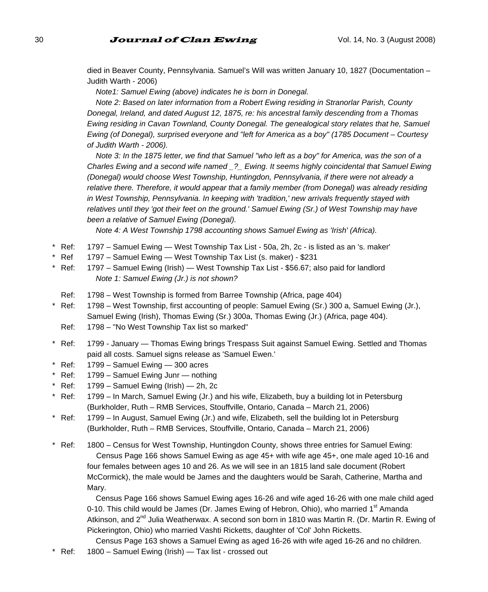#### 30 **Journal of Clan Ewing**  $V$ ol. 14, No. 3 (August 2008)

died in Beaver County, Pennsylvania. Samuel's Will was written January 10, 1827 (Documentation – Judith Warth - 2006)

*Note1: Samuel Ewing (above) indicates he is born in Donegal.* 

*Note 2: Based on later information from a Robert Ewing residing in Stranorlar Parish, County Donegal, Ireland, and dated August 12, 1875, re: his ancestral family descending from a Thomas Ewing residing in Cavan Townland, County Donegal. The genealogical story relates that he, Samuel Ewing (of Donegal), surprised everyone and "left for America as a boy" (1785 Document – Courtesy of Judith Warth - 2006).* 

*Note 3: In the 1875 letter, we find that Samuel "who left as a boy" for America, was the son of a Charles Ewing and a second wife named \_?\_ Ewing. It seems highly coincidental that Samuel Ewing (Donegal) would choose West Township, Huntingdon, Pennsylvania, if there were not already a relative there. Therefore, it would appear that a family member (from Donegal) was already residing in West Township, Pennsylvania. In keeping with 'tradition,' new arrivals frequently stayed with relatives until they 'got their feet on the ground.' Samuel Ewing (Sr.) of West Township may have been a relative of Samuel Ewing (Donegal).* 

*Note 4: A West Township 1798 accounting shows Samuel Ewing as 'Irish' (Africa).* 

- \* Ref: 1797 Samuel Ewing West Township Tax List 50a, 2h, 2c is listed as an 's. maker'
- Ref 1797 Samuel Ewing West Township Tax List (s. maker) \$231
- \* Ref: 1797 Samuel Ewing (Irish) West Township Tax List \$56.67; also paid for landlord *Note 1: Samuel Ewing (Jr.) is not shown?*
- Ref: 1798 West Township is formed from Barree Township (Africa, page 404)
- \* Ref: 1798 West Township, first accounting of people: Samuel Ewing (Sr.) 300 a, Samuel Ewing (Jr.), Samuel Ewing (Irish), Thomas Ewing (Sr.) 300a, Thomas Ewing (Jr.) (Africa, page 404).
	- Ref: 1798 "No West Township Tax list so marked"
- \* Ref: 1799 January Thomas Ewing brings Trespass Suit against Samuel Ewing. Settled and Thomas paid all costs. Samuel signs release as 'Samuel Ewen.'
- \* Ref: 1799 Samuel Ewing 300 acres
- \* Ref: 1799 Samuel Ewing Junr nothing
- $*$  Ref: 1799 Samuel Ewing (Irish) 2h, 2c
- \* Ref: 1799 In March, Samuel Ewing (Jr.) and his wife, Elizabeth, buy a building lot in Petersburg (Burkholder, Ruth – RMB Services, Stouffville, Ontario, Canada – March 21, 2006)
- \* Ref: 1799 In August, Samuel Ewing (Jr.) and wife, Elizabeth, sell the building lot in Petersburg (Burkholder, Ruth – RMB Services, Stouffville, Ontario, Canada – March 21, 2006)

\* Ref: 1800 – Census for West Township, Huntingdon County, shows three entries for Samuel Ewing: Census Page 166 shows Samuel Ewing as age 45+ with wife age 45+, one male aged 10-16 and four females between ages 10 and 26. As we will see in an 1815 land sale document (Robert McCormick), the male would be James and the daughters would be Sarah, Catherine, Martha and Mary.

Census Page 166 shows Samuel Ewing ages 16-26 and wife aged 16-26 with one male child aged 0-10. This child would be James (Dr. James Ewing of Hebron, Ohio), who married 1st Amanda Atkinson, and 2<sup>nd</sup> Julia Weatherwax. A second son born in 1810 was Martin R. (Dr. Martin R. Ewing of Pickerington, Ohio) who married Vashti Ricketts, daughter of 'Col' John Ricketts.

Census Page 163 shows a Samuel Ewing as aged 16-26 with wife aged 16-26 and no children.

\* Ref: 1800 – Samuel Ewing (Irish) — Tax list - crossed out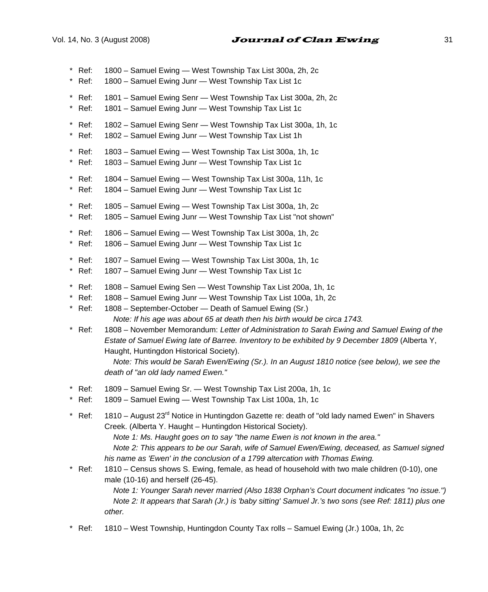| $*$ Ref:<br>$*$ Ref:             | 1800 - Samuel Ewing - West Township Tax List 300a, 2h, 2c<br>1800 - Samuel Ewing Junr - West Township Tax List 1c                                                                                                                                                                                                                                      |
|----------------------------------|--------------------------------------------------------------------------------------------------------------------------------------------------------------------------------------------------------------------------------------------------------------------------------------------------------------------------------------------------------|
| * Ref:<br>$*$ Ref:               | 1801 - Samuel Ewing Senr - West Township Tax List 300a, 2h, 2c<br>1801 - Samuel Ewing Junr - West Township Tax List 1c                                                                                                                                                                                                                                 |
| $*$ Ref:<br>$*$ Ref:             | 1802 - Samuel Ewing Senr - West Township Tax List 300a, 1h, 1c<br>1802 - Samuel Ewing Junr - West Township Tax List 1h                                                                                                                                                                                                                                 |
| * Ref:<br>$*$ Ref:               | 1803 - Samuel Ewing - West Township Tax List 300a, 1h, 1c<br>1803 - Samuel Ewing Junr - West Township Tax List 1c                                                                                                                                                                                                                                      |
| $*$ Ref.<br>$*$ Ref:             | 1804 - Samuel Ewing - West Township Tax List 300a, 11h, 1c<br>1804 - Samuel Ewing Junr - West Township Tax List 1c                                                                                                                                                                                                                                     |
| $*$ Ref:<br>$*$ Ref:             | 1805 - Samuel Ewing - West Township Tax List 300a, 1h, 2c<br>1805 - Samuel Ewing Junr - West Township Tax List "not shown"                                                                                                                                                                                                                             |
| $*$ Ref:<br>$*$ Ref:             | 1806 - Samuel Ewing - West Township Tax List 300a, 1h, 2c<br>1806 - Samuel Ewing Junr - West Township Tax List 1c                                                                                                                                                                                                                                      |
| $*$ Ref:<br>$*$ Ref:             | 1807 - Samuel Ewing - West Township Tax List 300a, 1h, 1c<br>1807 - Samuel Ewing Junr - West Township Tax List 1c                                                                                                                                                                                                                                      |
| $*$ Ref:<br>$*$ Ref:<br>$*$ Ref: | 1808 - Samuel Ewing Sen - West Township Tax List 200a, 1h, 1c<br>1808 - Samuel Ewing Junr - West Township Tax List 100a, 1h, 2c<br>1808 - September-October - Death of Samuel Ewing (Sr.)<br>Note: If his age was about 65 at death then his birth would be circa 1743.                                                                                |
| $*$ Ref:                         | 1808 - November Memorandum: Letter of Administration to Sarah Ewing and Samuel Ewing of the<br>Estate of Samuel Ewing late of Barree. Inventory to be exhibited by 9 December 1809 (Alberta Y,<br>Haught, Huntingdon Historical Society).<br>Note: This would be Sarah Ewen/Ewing (Sr.). In an August 1810 notice (see below), we see the              |
|                                  | death of "an old lady named Ewen."                                                                                                                                                                                                                                                                                                                     |
| $*$ Ref:<br>$*$ Ref:             | 1809 - Samuel Ewing Sr. - West Township Tax List 200a, 1h, 1c<br>1809 - Samuel Ewing - West Township Tax List 100a, 1h, 1c                                                                                                                                                                                                                             |
| $*$ Ref:                         | 1810 - August 23 <sup>rd</sup> Notice in Huntingdon Gazette re: death of "old lady named Ewen" in Shavers<br>Creek. (Alberta Y. Haught - Huntingdon Historical Society).<br>Note 1: Ms. Haught goes on to say "the name Ewen is not known in the area."<br>Note 2: This appears to be our Sarah, wife of Samuel Ewen/Ewing, deceased, as Samuel signed |
| $*$ Ref:                         | his name as 'Ewen' in the conclusion of a 1799 altercation with Thomas Ewing.<br>1810 - Census shows S. Ewing, female, as head of household with two male children (0-10), one<br>male (10-16) and herself (26-45).                                                                                                                                    |

*Note 1: Younger Sarah never married (Also 1838 Orphan's Court document indicates "no issue.") Note 2: It appears that Sarah (Jr.) is 'baby sitting' Samuel Jr.'s two sons (see Ref: 1811) plus one other.* 

\* Ref: 1810 – West Township, Huntingdon County Tax rolls – Samuel Ewing (Jr.) 100a, 1h, 2c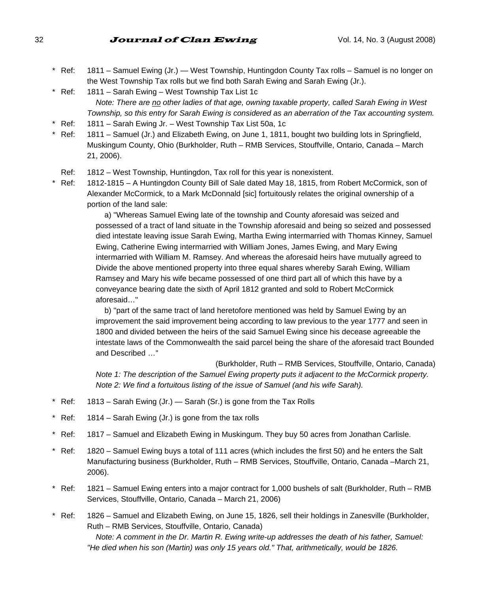### $32$  **Journal of Clan Ewing**  $\sqrt{0}$  Vol. 14, No. 3 (August 2008)

- \* Ref: 1811 Samuel Ewing (Jr.) West Township, Huntingdon County Tax rolls Samuel is no longer on the West Township Tax rolls but we find both Sarah Ewing and Sarah Ewing (Jr.).
- \* Ref: 1811 Sarah Ewing West Township Tax List 1c *Note: There are no other ladies of that age, owning taxable property, called Sarah Ewing in West Township, so this entry for Sarah Ewing is considered as an aberration of the Tax accounting system.*
- \* Ref: 1811 Sarah Ewing Jr. West Township Tax List 50a, 1c
- \* Ref: 1811 Samuel (Jr.) and Elizabeth Ewing, on June 1, 1811, bought two building lots in Springfield, Muskingum County, Ohio (Burkholder, Ruth – RMB Services, Stouffville, Ontario, Canada – March 21, 2006).

Ref: 1812 – West Township, Huntingdon, Tax roll for this year is nonexistent.

Ref: 1812-1815 – A Huntingdon County Bill of Sale dated May 18, 1815, from Robert McCormick, son of Alexander McCormick, to a Mark McDonnald [sic] fortuitously relates the original ownership of a portion of the land sale:

a) "Whereas Samuel Ewing late of the township and County aforesaid was seized and possessed of a tract of land situate in the Township aforesaid and being so seized and possessed died intestate leaving issue Sarah Ewing, Martha Ewing intermarried with Thomas Kinney, Samuel Ewing, Catherine Ewing intermarried with William Jones, James Ewing, and Mary Ewing intermarried with William M. Ramsey. And whereas the aforesaid heirs have mutually agreed to Divide the above mentioned property into three equal shares whereby Sarah Ewing, William Ramsey and Mary his wife became possessed of one third part all of which this have by a conveyance bearing date the sixth of April 1812 granted and sold to Robert McCormick aforesaid…"

b) "part of the same tract of land heretofore mentioned was held by Samuel Ewing by an improvement the said improvement being according to law previous to the year 1777 and seen in 1800 and divided between the heirs of the said Samuel Ewing since his decease agreeable the intestate laws of the Commonwealth the said parcel being the share of the aforesaid tract Bounded and Described …"

 (Burkholder, Ruth – RMB Services, Stouffville, Ontario, Canada) *Note 1: The description of the Samuel Ewing property puts it adjacent to the McCormick property. Note 2: We find a fortuitous listing of the issue of Samuel (and his wife Sarah).* 

- \* Ref:  $1813 -$  Sarah Ewing (Jr.) Sarah (Sr.) is gone from the Tax Rolls
- Ref:  $1814 -$  Sarah Ewing (Jr.) is gone from the tax rolls
- \* Ref: 1817 Samuel and Elizabeth Ewing in Muskingum. They buy 50 acres from Jonathan Carlisle.
- \* Ref: 1820 Samuel Ewing buys a total of 111 acres (which includes the first 50) and he enters the Salt Manufacturing business (Burkholder, Ruth – RMB Services, Stouffville, Ontario, Canada –March 21, 2006).
- \* Ref: 1821 Samuel Ewing enters into a major contract for 1,000 bushels of salt (Burkholder, Ruth RMB Services, Stouffville, Ontario, Canada – March 21, 2006)
- \* Ref: 1826 Samuel and Elizabeth Ewing, on June 15, 1826, sell their holdings in Zanesville (Burkholder, Ruth – RMB Services, Stouffville, Ontario, Canada) *Note: A comment in the Dr. Martin R. Ewing write-up addresses the death of his father, Samuel: "He died when his son (Martin) was only 15 years old." That, arithmetically, would be 1826.*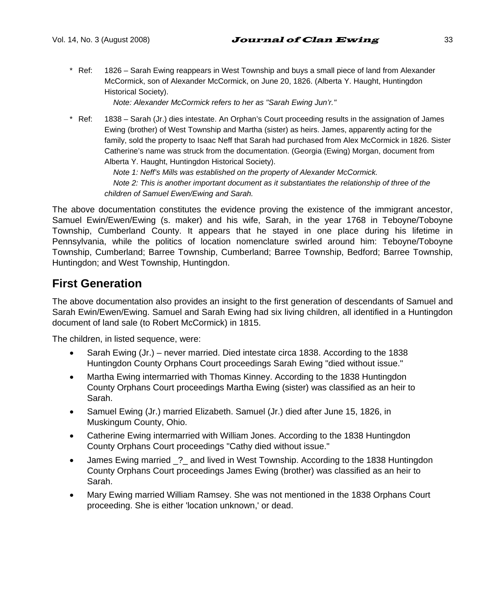\* Ref: 1826 – Sarah Ewing reappears in West Township and buys a small piece of land from Alexander McCormick, son of Alexander McCormick, on June 20, 1826. (Alberta Y. Haught, Huntingdon Historical Society).

*Note: Alexander McCormick refers to her as "Sarah Ewing Jun'r."* 

\* Ref: 1838 – Sarah (Jr.) dies intestate. An Orphan's Court proceeding results in the assignation of James Ewing (brother) of West Township and Martha (sister) as heirs. James, apparently acting for the family, sold the property to Isaac Neff that Sarah had purchased from Alex McCormick in 1826. Sister Catherine's name was struck from the documentation. (Georgia (Ewing) Morgan, document from Alberta Y. Haught, Huntingdon Historical Society).

*Note 1: Neff's Mills was established on the property of Alexander McCormick. Note 2: This is another important document as it substantiates the relationship of three of the children of Samuel Ewen/Ewing and Sarah.* 

The above documentation constitutes the evidence proving the existence of the immigrant ancestor, Samuel Ewin/Ewen/Ewing (s. maker) and his wife, Sarah, in the year 1768 in Teboyne/Toboyne Township, Cumberland County. It appears that he stayed in one place during his lifetime in Pennsylvania, while the politics of location nomenclature swirled around him: Teboyne/Toboyne Township, Cumberland; Barree Township, Cumberland; Barree Township, Bedford; Barree Township, Huntingdon; and West Township, Huntingdon.

## **First Generation**

The above documentation also provides an insight to the first generation of descendants of Samuel and Sarah Ewin/Ewen/Ewing. Samuel and Sarah Ewing had six living children, all identified in a Huntingdon document of land sale (to Robert McCormick) in 1815.

The children, in listed sequence, were:

- Sarah Ewing (Jr.) never married. Died intestate circa 1838. According to the 1838 Huntingdon County Orphans Court proceedings Sarah Ewing "died without issue."
- Martha Ewing intermarried with Thomas Kinney. According to the 1838 Huntingdon County Orphans Court proceedings Martha Ewing (sister) was classified as an heir to Sarah.
- Samuel Ewing (Jr.) married Elizabeth. Samuel (Jr.) died after June 15, 1826, in Muskingum County, Ohio.
- Catherine Ewing intermarried with William Jones. According to the 1838 Huntingdon County Orphans Court proceedings "Cathy died without issue."
- James Ewing married \_?\_ and lived in West Township. According to the 1838 Huntingdon County Orphans Court proceedings James Ewing (brother) was classified as an heir to Sarah.
- Mary Ewing married William Ramsey. She was not mentioned in the 1838 Orphans Court proceeding. She is either 'location unknown,' or dead.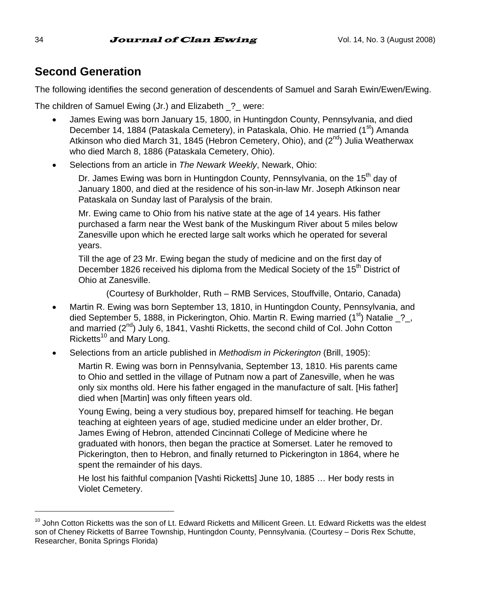## **Second Generation**

The following identifies the second generation of descendents of Samuel and Sarah Ewin/Ewen/Ewing.

The children of Samuel Ewing (Jr.) and Elizabeth \_?\_ were:

- James Ewing was born January 15, 1800, in Huntingdon County, Pennsylvania, and died December 14, 1884 (Pataskala Cemetery), in Pataskala, Ohio. He married (1<sup>st</sup>) Amanda Atkinson who died March 31, 1845 (Hebron Cemetery, Ohio), and  $(2^{nd})$  Julia Weatherwax who died March 8, 1886 (Pataskala Cemetery, Ohio).
- Selections from an article in *The Newark Weekly*, Newark, Ohio:

Dr. James Ewing was born in Huntingdon County, Pennsylvania, on the 15<sup>th</sup> day of January 1800, and died at the residence of his son-in-law Mr. Joseph Atkinson near Pataskala on Sunday last of Paralysis of the brain.

Mr. Ewing came to Ohio from his native state at the age of 14 years. His father purchased a farm near the West bank of the Muskingum River about 5 miles below Zanesville upon which he erected large salt works which he operated for several years.

Till the age of 23 Mr. Ewing began the study of medicine and on the first day of December 1826 received his diploma from the Medical Society of the  $15<sup>th</sup>$  District of Ohio at Zanesville.

(Courtesy of Burkholder, Ruth – RMB Services, Stouffville, Ontario, Canada)

- Martin R. Ewing was born September 13, 1810, in Huntingdon County, Pennsylvania, and died September 5, 1888, in Pickerington, Ohio. Martin R. Ewing married (1st) Natalie  $\frac{1}{2}$ , and married (2<sup>nd</sup>) July 6, 1841, Vashti Ricketts, the second child of Col. John Cotton Ricketts<sup>10</sup> and Mary Long.
- Selections from an article published in *Methodism in Pickerington* (Brill, 1905):

Martin R. Ewing was born in Pennsylvania, September 13, 1810. His parents came to Ohio and settled in the village of Putnam now a part of Zanesville, when he was only six months old. Here his father engaged in the manufacture of salt. [His father] died when [Martin] was only fifteen years old.

Young Ewing, being a very studious boy, prepared himself for teaching. He began teaching at eighteen years of age, studied medicine under an elder brother, Dr. James Ewing of Hebron, attended Cincinnati College of Medicine where he graduated with honors, then began the practice at Somerset. Later he removed to Pickerington, then to Hebron, and finally returned to Pickerington in 1864, where he spent the remainder of his days.

He lost his faithful companion [Vashti Ricketts] June 10, 1885 … Her body rests in Violet Cemetery.

 $10$  John Cotton Ricketts was the son of Lt. Edward Ricketts and Millicent Green. Lt. Edward Ricketts was the eldest son of Cheney Ricketts of Barree Township, Huntingdon County, Pennsylvania. (Courtesy – Doris Rex Schutte, Researcher, Bonita Springs Florida)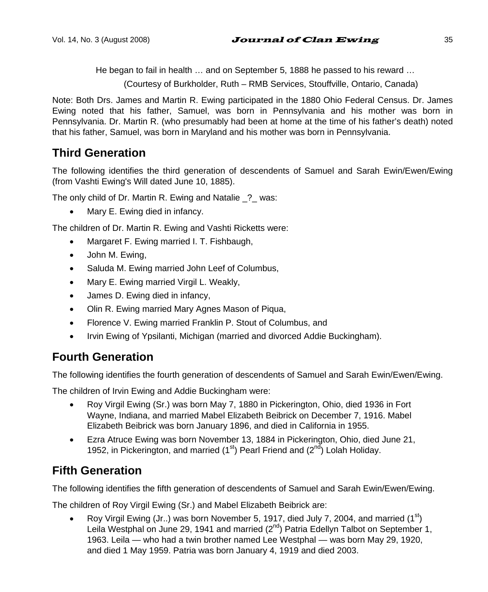He began to fail in health … and on September 5, 1888 he passed to his reward …

(Courtesy of Burkholder, Ruth – RMB Services, Stouffville, Ontario, Canada)

Note: Both Drs. James and Martin R. Ewing participated in the 1880 Ohio Federal Census. Dr. James Ewing noted that his father, Samuel, was born in Pennsylvania and his mother was born in Pennsylvania. Dr. Martin R. (who presumably had been at home at the time of his father's death) noted that his father, Samuel, was born in Maryland and his mother was born in Pennsylvania.

# **Third Generation**

The following identifies the third generation of descendents of Samuel and Sarah Ewin/Ewen/Ewing (from Vashti Ewing's Will dated June 10, 1885).

The only child of Dr. Martin R. Ewing and Natalie \_?\_ was:

• Mary E. Ewing died in infancy.

The children of Dr. Martin R. Ewing and Vashti Ricketts were:

- Margaret F. Ewing married I. T. Fishbaugh,
- John M. Ewing,
- Saluda M. Ewing married John Leef of Columbus,
- Mary E. Ewing married Virgil L. Weakly,
- James D. Ewing died in infancy,
- Olin R. Ewing married Mary Agnes Mason of Piqua,
- Florence V. Ewing married Franklin P. Stout of Columbus, and
- Irvin Ewing of Ypsilanti, Michigan (married and divorced Addie Buckingham).

# **Fourth Generation**

The following identifies the fourth generation of descendents of Samuel and Sarah Ewin/Ewen/Ewing.

The children of Irvin Ewing and Addie Buckingham were:

- Roy Virgil Ewing (Sr.) was born May 7, 1880 in Pickerington, Ohio, died 1936 in Fort Wayne, Indiana, and married Mabel Elizabeth Beibrick on December 7, 1916. Mabel Elizabeth Beibrick was born January 1896, and died in California in 1955.
- Ezra Atruce Ewing was born November 13, 1884 in Pickerington, Ohio, died June 21, 1952, in Pickerington, and married (1<sup>st</sup>) Pearl Friend and ( $2^{nd}$ ) Lolah Holiday.

# **Fifth Generation**

The following identifies the fifth generation of descendents of Samuel and Sarah Ewin/Ewen/Ewing.

The children of Roy Virgil Ewing (Sr.) and Mabel Elizabeth Beibrick are:

• Roy Virgil Ewing (Jr..) was born November 5, 1917, died July 7, 2004, and married  $(1^{st})$ Leila Westphal on June 29, 1941 and married  $(2^{nd})$  Patria Edellyn Talbot on September 1, 1963. Leila — who had a twin brother named Lee Westphal — was born May 29, 1920, and died 1 May 1959. Patria was born January 4, 1919 and died 2003.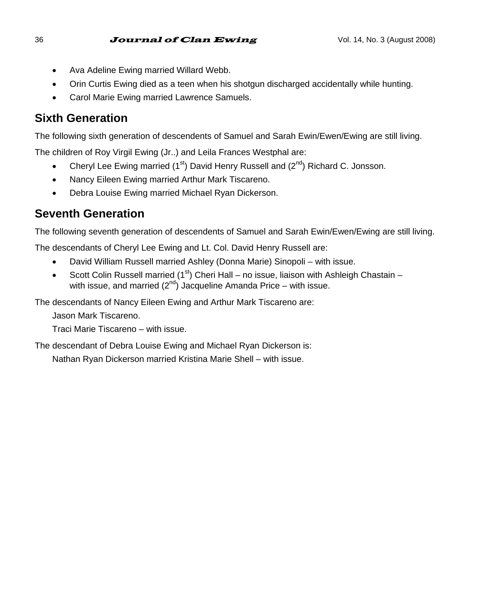36 **Journal of Clan Ewing**  $V$ ol. 14, No. 3 (August 2008)

- Ava Adeline Ewing married Willard Webb.
- Orin Curtis Ewing died as a teen when his shotgun discharged accidentally while hunting.
- Carol Marie Ewing married Lawrence Samuels.

## **Sixth Generation**

The following sixth generation of descendents of Samuel and Sarah Ewin/Ewen/Ewing are still living.

The children of Roy Virgil Ewing (Jr..) and Leila Frances Westphal are:

- Cheryl Lee Ewing married (1<sup>st</sup>) David Henry Russell and (2<sup>nd</sup>) Richard C. Jonsson.
- Nancy Eileen Ewing married Arthur Mark Tiscareno.
- Debra Louise Ewing married Michael Ryan Dickerson.

# **Seventh Generation**

The following seventh generation of descendents of Samuel and Sarah Ewin/Ewen/Ewing are still living.

The descendants of Cheryl Lee Ewing and Lt. Col. David Henry Russell are:

- David William Russell married Ashley (Donna Marie) Sinopoli with issue.
- Scott Colin Russell married  $(1<sup>st</sup>)$  Cheri Hall no issue, liaison with Ashleigh Chastain with issue, and married  $(2^{nd})$  Jacqueline Amanda Price – with issue.

The descendants of Nancy Eileen Ewing and Arthur Mark Tiscareno are:

Jason Mark Tiscareno.

Traci Marie Tiscareno – with issue.

The descendant of Debra Louise Ewing and Michael Ryan Dickerson is:

Nathan Ryan Dickerson married Kristina Marie Shell – with issue.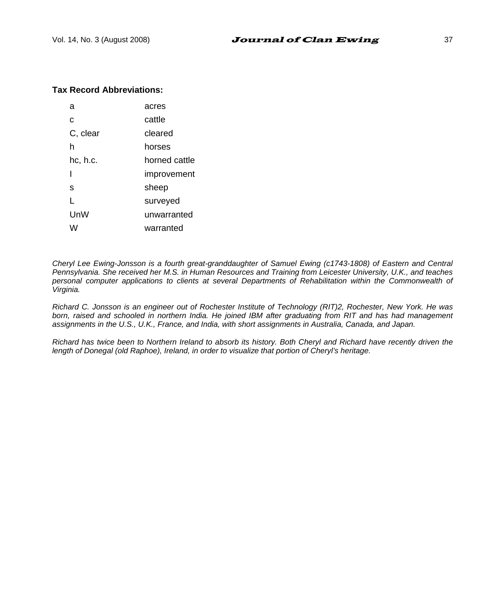### **Tax Record Abbreviations:**

| а        | acres         |
|----------|---------------|
| c        | cattle        |
| C, clear | cleared       |
| h        | horses        |
| hc, h.c. | horned cattle |
|          | improvement   |
| s        | sheep         |
|          | surveyed      |
| UnW      | unwarranted   |
|          | warranted     |

*Cheryl Lee Ewing-Jonsson is a fourth great-granddaughter of Samuel Ewing (c1743-1808) of Eastern and Central Pennsylvania. She received her M.S. in Human Resources and Training from Leicester University, U.K., and teaches personal computer applications to clients at several Departments of Rehabilitation within the Commonwealth of Virginia.* 

*Richard C. Jonsson is an engineer out of Rochester Institute of Technology (RIT)2, Rochester, New York. He was*  born, raised and schooled in northern India. He joined IBM after graduating from RIT and has had management *assignments in the U.S., U.K., France, and India, with short assignments in Australia, Canada, and Japan.* 

*Richard has twice been to Northern Ireland to absorb its history. Both Cheryl and Richard have recently driven the length of Donegal (old Raphoe), Ireland, in order to visualize that portion of Cheryl's heritage.*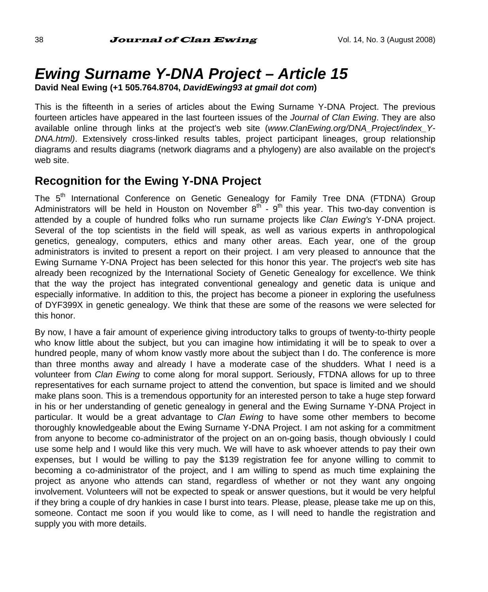# *Ewing Surname Y-DNA Project – Article 15*

**David Neal Ewing (+1 505.764.8704,** *DavidEwing93 at gmail dot com***)** 

This is the fifteenth in a series of articles about the Ewing Surname Y-DNA Project. The previous fourteen articles have appeared in the last fourteen issues of the *Journal of Clan Ewing*. They are also available online through links at the project's web site (*www.ClanEwing.org/DNA\_Project/index\_Y-DNA.html)*. Extensively cross-linked results tables, project participant lineages, group relationship diagrams and results diagrams (network diagrams and a phylogeny) are also available on the project's web site.

## **Recognition for the Ewing Y-DNA Project**

The 5<sup>th</sup> International Conference on Genetic Genealogy for Family Tree DNA (FTDNA) Group Administrators will be held in Houston on November  $8^{th}$  -  $9^{th}$  this year. This two-day convention is attended by a couple of hundred folks who run surname projects like *Clan Ewing's* Y-DNA project. Several of the top scientists in the field will speak, as well as various experts in anthropological genetics, genealogy, computers, ethics and many other areas. Each year, one of the group administrators is invited to present a report on their project. I am very pleased to announce that the Ewing Surname Y-DNA Project has been selected for this honor this year. The project's web site has already been recognized by the International Society of Genetic Genealogy for excellence. We think that the way the project has integrated conventional genealogy and genetic data is unique and especially informative. In addition to this, the project has become a pioneer in exploring the usefulness of DYF399X in genetic genealogy. We think that these are some of the reasons we were selected for this honor.

By now, I have a fair amount of experience giving introductory talks to groups of twenty-to-thirty people who know little about the subject, but you can imagine how intimidating it will be to speak to over a hundred people, many of whom know vastly more about the subject than I do. The conference is more than three months away and already I have a moderate case of the shudders. What I need is a volunteer from *Clan Ewing* to come along for moral support. Seriously, FTDNA allows for up to three representatives for each surname project to attend the convention, but space is limited and we should make plans soon. This is a tremendous opportunity for an interested person to take a huge step forward in his or her understanding of genetic genealogy in general and the Ewing Surname Y-DNA Project in particular. It would be a great advantage to *Clan Ewing* to have some other members to become thoroughly knowledgeable about the Ewing Surname Y-DNA Project. I am not asking for a commitment from anyone to become co-administrator of the project on an on-going basis, though obviously I could use some help and I would like this very much. We will have to ask whoever attends to pay their own expenses, but I would be willing to pay the \$139 registration fee for anyone willing to commit to becoming a co-administrator of the project, and I am willing to spend as much time explaining the project as anyone who attends can stand, regardless of whether or not they want any ongoing involvement. Volunteers will not be expected to speak or answer questions, but it would be very helpful if they bring a couple of dry hankies in case I burst into tears. Please, please, please take me up on this, someone. Contact me soon if you would like to come, as I will need to handle the registration and supply you with more details.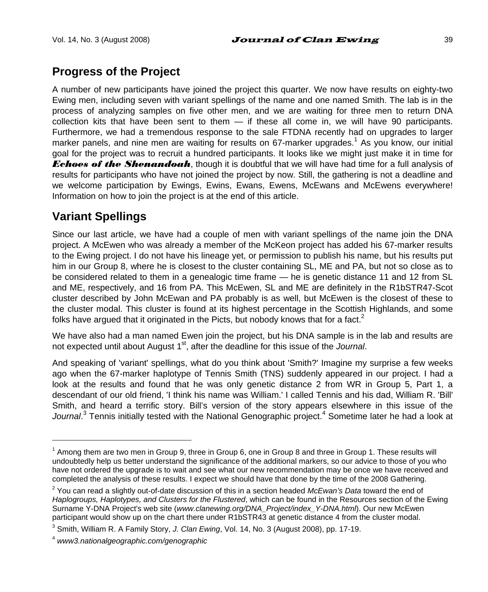# **Progress of the Project**

A number of new participants have joined the project this quarter. We now have results on eighty-two Ewing men, including seven with variant spellings of the name and one named Smith. The lab is in the process of analyzing samples on five other men, and we are waiting for three men to return DNA collection kits that have been sent to them  $-$  if these all come in, we will have 90 participants. Furthermore, we had a tremendous response to the sale FTDNA recently had on upgrades to larger marker panels, and nine men are waiting for results on 67-marker upgrades.<sup>1</sup> As you know, our initial goal for the project was to recruit a hundred participants. It looks like we might just make it in time for *Echoes of the Shenandoah*, though it is doubtful that we will have had time for a full analysis of results for participants who have not joined the project by now. Still, the gathering is not a deadline and we welcome participation by Ewings, Ewins, Ewans, Ewens, McEwans and McEwens everywhere! Information on how to join the project is at the end of this article.

## **Variant Spellings**

l

Since our last article, we have had a couple of men with variant spellings of the name join the DNA project. A McEwen who was already a member of the McKeon project has added his 67-marker results to the Ewing project. I do not have his lineage yet, or permission to publish his name, but his results put him in our Group 8, where he is closest to the cluster containing SL, ME and PA, but not so close as to be considered related to them in a genealogic time frame — he is genetic distance 11 and 12 from SL and ME, respectively, and 16 from PA. This McEwen, SL and ME are definitely in the R1bSTR47-Scot cluster described by John McEwan and PA probably is as well, but McEwen is the closest of these to the cluster modal. This cluster is found at its highest percentage in the Scottish Highlands, and some folks have argued that it originated in the Picts, but nobody knows that for a fact. $2$ 

We have also had a man named Ewen join the project, but his DNA sample is in the lab and results are not expected until about August 1<sup>st</sup>, after the deadline for this issue of the *Journal*.

And speaking of 'variant' spellings, what do you think about 'Smith?' Imagine my surprise a few weeks ago when the 67-marker haplotype of Tennis Smith (TNS) suddenly appeared in our project. I had a look at the results and found that he was only genetic distance 2 from WR in Group 5, Part 1, a descendant of our old friend, 'I think his name was William.' I called Tennis and his dad, William R. 'Bill' Smith, and heard a terrific story. Bill's version of the story appears elsewhere in this issue of the Journal.<sup>3</sup> Tennis initially tested with the National Genographic project.<sup>4</sup> Sometime later he had a look at

<sup>&</sup>lt;sup>1</sup> Among them are two men in Group 9, three in Group 6, one in Group 8 and three in Group 1. These results will undoubtedly help us better understand the significance of the additional markers, so our advice to those of you who have not ordered the upgrade is to wait and see what our new recommendation may be once we have received and completed the analysis of these results. I expect we should have that done by the time of the 2008 Gathering.

<sup>2</sup> You can read a slightly out-of-date discussion of this in a section headed *McEwan's Data* toward the end of *Haplogroups, Haplotypes, and Clusters for the Flustered*, which can be found in the Resources section of the Ewing Surname Y-DNA Project's web site (*www.clanewing.org/DNA\_Project/index\_Y-DNA.html*). Our new McEwen participant would show up on the chart there under R1bSTR43 at genetic distance 4 from the cluster modal.

<sup>3</sup> Smith, William R. A Family Story, *J. Clan Ewing*, Vol. 14, No. 3 (August 2008), pp. 17-19.

<sup>4</sup> *www3.nationalgeographic.com/genographic*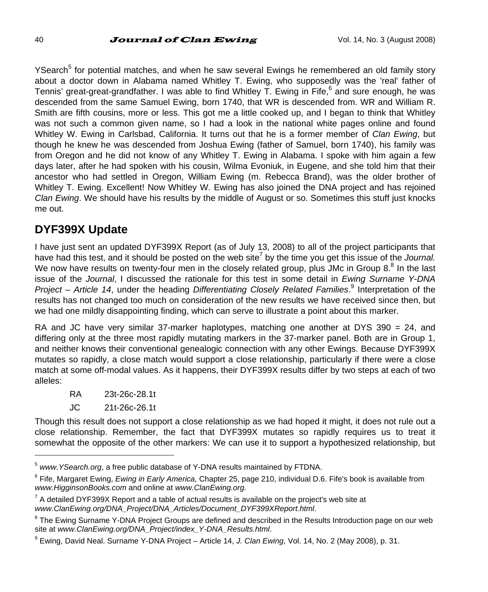### 40 **Journal of Clan Ewing**  $V$ ol. 14, No. 3 (August 2008)

YSearch<sup>5</sup> for potential matches, and when he saw several Ewings he remembered an old family story about a doctor down in Alabama named Whitley T. Ewing, who supposedly was the 'real' father of Tennis' great-great-grandfather. I was able to find Whitley T. Ewing in Fife,<sup>6</sup> and sure enough, he was descended from the same Samuel Ewing, born 1740, that WR is descended from. WR and William R. Smith are fifth cousins, more or less. This got me a little cooked up, and I began to think that Whitley was not such a common given name, so I had a look in the national white pages online and found Whitley W. Ewing in Carlsbad, California. It turns out that he is a former member of *Clan Ewing*, but though he knew he was descended from Joshua Ewing (father of Samuel, born 1740), his family was from Oregon and he did not know of any Whitley T. Ewing in Alabama. I spoke with him again a few days later, after he had spoken with his cousin, Wilma Evoniuk, in Eugene, and she told him that their ancestor who had settled in Oregon, William Ewing (m. Rebecca Brand), was the older brother of Whitley T. Ewing. Excellent! Now Whitley W. Ewing has also joined the DNA project and has rejoined *Clan Ewing*. We should have his results by the middle of August or so. Sometimes this stuff just knocks me out.

## **DYF399X Update**

I have just sent an updated DYF399X Report (as of July 13, 2008) to all of the project participants that have had this test, and it should be posted on the web site<sup>7</sup> by the time you get this issue of the *Journal.* We now have results on twenty-four men in the closely related group, plus JMc in Group 8. $8$  In the last issue of the *Journal*, I discussed the rationale for this test in some detail in *Ewing Surname Y-DNA Project – Article 14*, under the heading *Differentiating Closely Related Families*. 9 Interpretation of the results has not changed too much on consideration of the new results we have received since then, but we had one mildly disappointing finding, which can serve to illustrate a point about this marker.

RA and JC have very similar 37-marker haplotypes, matching one another at DYS 390 = 24, and differing only at the three most rapidly mutating markers in the 37-marker panel. Both are in Group 1, and neither knows their conventional genealogic connection with any other Ewings. Because DYF399X mutates so rapidly, a close match would support a close relationship, particularly if there were a close match at some off-modal values. As it happens, their DYF399X results differ by two steps at each of two alleles:

- RA 23t-26c-28.1t
- JC 21t-26c-26.1t

Though this result does not support a close relationship as we had hoped it might, it does not rule out a close relationship. Remember, the fact that DYF399X mutates so rapidly requires us to treat it somewhat the opposite of the other markers: We can use it to support a hypothesized relationship, but

<sup>5</sup> *www.YSearch.org*, a free public database of Y-DNA results maintained by FTDNA.

<sup>6</sup> Fife, Margaret Ewing, *Ewing in Early America,* Chapter 25, page 210, individual D.6. Fife's book is available from *www.HigginsonBooks.com* and online at *www.ClanEwing.org.* 

 $7$  A detailed DYF399X Report and a table of actual results is available on the project's web site at *www.ClanEwing.org/DNA\_Project/DNA\_Articles/Document\_DYF399XReport.html*.

<sup>&</sup>lt;sup>8</sup> The Ewing Surname Y-DNA Project Groups are defined and described in the Results Introduction page on our web site at *www.ClanEwing.org/DNA\_Project/index\_Y-DNA\_Results.html*.

<sup>9</sup> Ewing, David Neal. Surname Y-DNA Project – Article 14, *J. Clan Ewing*, Vol. 14, No. 2 (May 2008), p. 31.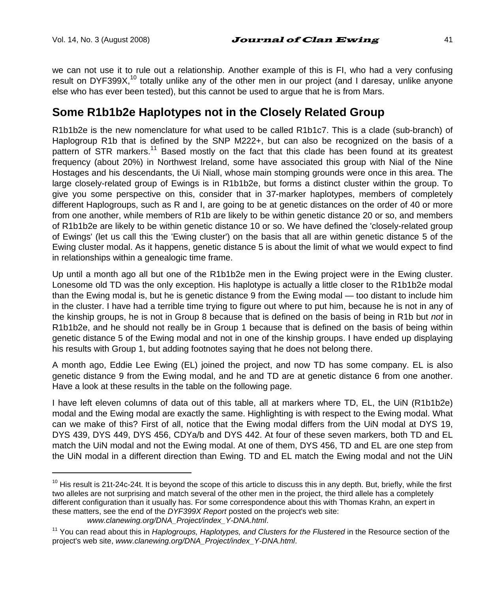we can not use it to rule out a relationship. Another example of this is FI, who had a very confusing result on DYF399X,<sup>10</sup> totally unlike any of the other men in our project (and I daresay, unlike anyone else who has ever been tested), but this cannot be used to argue that he is from Mars.

### **Some R1b1b2e Haplotypes not in the Closely Related Group**

R1b1b2e is the new nomenclature for what used to be called R1b1c7. This is a clade (sub-branch) of Haplogroup R1b that is defined by the SNP M222+, but can also be recognized on the basis of a pattern of STR markers.<sup>11</sup> Based mostly on the fact that this clade has been found at its greatest frequency (about 20%) in Northwest Ireland, some have associated this group with Nial of the Nine Hostages and his descendants, the Ui Niall, whose main stomping grounds were once in this area. The large closely-related group of Ewings is in R1b1b2e, but forms a distinct cluster within the group. To give you some perspective on this, consider that in 37-marker haplotypes, members of completely different Haplogroups, such as R and I, are going to be at genetic distances on the order of 40 or more from one another, while members of R1b are likely to be within genetic distance 20 or so, and members of R1b1b2e are likely to be within genetic distance 10 or so. We have defined the 'closely-related group of Ewings' (let us call this the 'Ewing cluster') on the basis that all are within genetic distance 5 of the Ewing cluster modal. As it happens, genetic distance 5 is about the limit of what we would expect to find in relationships within a genealogic time frame.

Up until a month ago all but one of the R1b1b2e men in the Ewing project were in the Ewing cluster. Lonesome old TD was the only exception. His haplotype is actually a little closer to the R1b1b2e modal than the Ewing modal is, but he is genetic distance 9 from the Ewing modal — too distant to include him in the cluster. I have had a terrible time trying to figure out where to put him, because he is not in any of the kinship groups, he is not in Group 8 because that is defined on the basis of being in R1b but *not* in R1b1b2e, and he should not really be in Group 1 because that is defined on the basis of being within genetic distance 5 of the Ewing modal and not in one of the kinship groups. I have ended up displaying his results with Group 1, but adding footnotes saying that he does not belong there.

A month ago, Eddie Lee Ewing (EL) joined the project, and now TD has some company. EL is also genetic distance 9 from the Ewing modal, and he and TD are at genetic distance 6 from one another. Have a look at these results in the table on the following page.

I have left eleven columns of data out of this table, all at markers where TD, EL, the UiN (R1b1b2e) modal and the Ewing modal are exactly the same. Highlighting is with respect to the Ewing modal. What can we make of this? First of all, notice that the Ewing modal differs from the UiN modal at DYS 19, DYS 439, DYS 449, DYS 456, CDYa/b and DYS 442. At four of these seven markers, both TD and EL match the UiN modal and not the Ewing modal. At one of them, DYS 456, TD and EL are one step from the UiN modal in a different direction than Ewing. TD and EL match the Ewing modal and not the UiN

<sup>&</sup>lt;sup>10</sup> His result is 21t-24c-24t. It is beyond the scope of this article to discuss this in any depth. But, briefly, while the first two alleles are not surprising and match several of the other men in the project, the third allele has a completely different configuration than it usually has. For some correspondence about this with Thomas Krahn, an expert in these matters, see the end of the *DYF399X Report* posted on the project's web site:

*www.clanewing.org/DNA\_Project/index\_Y-DNA.html*.

<sup>&</sup>lt;sup>11</sup> You can read about this in *Haplogroups, Haplotypes, and Clusters for the Flustered* in the Resource section of the project's web site, *www.clanewing.org/DNA\_Project/index\_Y-DNA.html*.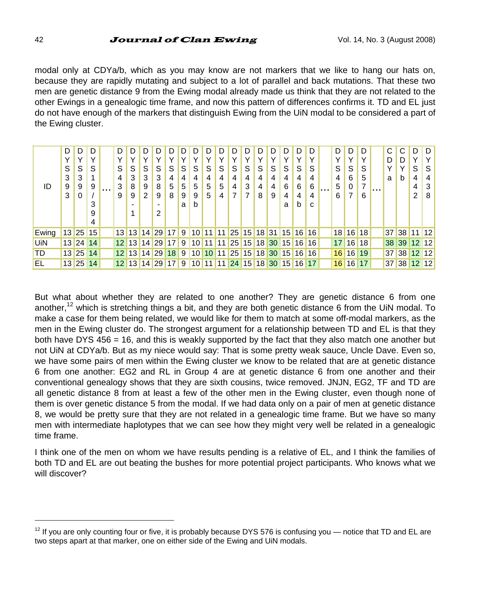modal only at CDYa/b, which as you may know are not markers that we like to hang our hats on, because they are rapidly mutating and subject to a lot of parallel and back mutations. That these two men are genetic distance 9 from the Ewing modal already made us think that they are not related to the other Ewings in a genealogic time frame, and now this pattern of differences confirms it. TD and EL just do not have enough of the markers that distinguish Ewing from the UiN modal to be considered a part of the Ewing cluster.

| ID    | D<br>Y<br>S<br>3<br>9<br>3 | $\checkmark$<br>S<br>3<br>9<br>0 | D<br>$\checkmark$<br>S<br>9<br>3<br>9<br>4 | <br>D<br>v<br>S<br>4<br>3<br>9 | $\checkmark$<br>S<br>3<br>8<br>9 | $\checkmark$<br>S<br>3<br>9<br>2 | $\checkmark$<br>S<br>3<br>8<br>9<br>2 | $\checkmark$<br>S<br>4<br>5<br>8 | v<br>S<br>4<br>5<br>9<br>a | $\checkmark$<br>S<br>4<br>5<br>9<br>b | S<br>5<br>5     | $\checkmark$<br>S<br>4<br>5<br>4 | v<br>S<br>4<br>4<br>7 | S<br>4<br>3<br>7 | $\checkmark$<br>S<br>4<br>4<br>8 | S<br>9 | $\checkmark$<br>S<br>4<br>6<br>4<br>a | $\checkmark$<br>S<br>4<br>6<br>4<br>b | S<br>4<br>6<br>4<br>C | $\cdots$ | D<br>$\checkmark$<br>S<br>4<br>5<br>6 | D<br>$\checkmark$<br>S<br>6<br>0<br>7 | D<br>$\checkmark$<br>S<br>5<br>7<br>6 | <br>C<br>D<br>Υ<br>a | C<br>D<br>b          | D<br>$\checkmark$<br>S<br>4<br>4<br>2 | D<br>S<br>4<br>3<br>8 |
|-------|----------------------------|----------------------------------|--------------------------------------------|--------------------------------|----------------------------------|----------------------------------|---------------------------------------|----------------------------------|----------------------------|---------------------------------------|-----------------|----------------------------------|-----------------------|------------------|----------------------------------|--------|---------------------------------------|---------------------------------------|-----------------------|----------|---------------------------------------|---------------------------------------|---------------------------------------|----------------------|----------------------|---------------------------------------|-----------------------|
| Ewing |                            | 13 25                            | 15                                         | 13 <sup>1</sup>                |                                  |                                  | 13 14 29                              | <b>17</b>                        | 9                          | 10 <sup>1</sup>                       | $11$ 11         |                                  | 25 15                 |                  | 18                               |        | 31 15 16 16                           |                                       |                       |          |                                       | 18 16 18                              |                                       | 37                   |                      | 38 11 12                              |                       |
| UiN   |                            | $13$ 24 14                       |                                            |                                |                                  |                                  | $12$ 13 14 29                         | <b>17</b>                        | 9                          | 10 <sup>1</sup>                       | $11$ 11         |                                  | 25 15                 |                  |                                  |        | 18 30 15 16 16                        |                                       |                       |          | 17 <sup>1</sup>                       |                                       | 16 18                                 | 38                   | $39 \mid 12 \mid 12$ |                                       |                       |
| TD    |                            | $13$ 25 14                       |                                            |                                |                                  |                                  | 12 13 14 29 18 9                      |                                  |                            | 10                                    | 10 11           |                                  | 25 15                 |                  |                                  |        | 18 30 15 16 16                        |                                       |                       |          | 16                                    | 16                                    | 19                                    | 37                   | 38 12 12             |                                       |                       |
| EL    |                            | $13$ 25                          | 14                                         |                                | 12 13                            |                                  | 14 29 17                              |                                  | 9                          | 10                                    | 11 <sup>1</sup> | 11                               | 24 15                 |                  |                                  |        | 18 30 15 16 17                        |                                       |                       |          | 16                                    |                                       | 16 17                                 | 37                   |                      | 38 12 12                              |                       |

But what about whether they are related to one another? They are genetic distance 6 from one another,<sup>12</sup> which is stretching things a bit, and they are both genetic distance 6 from the UiN modal. To make a case for them being related, we would like for them to match at some off-modal markers, as the men in the Ewing cluster do. The strongest argument for a relationship between TD and EL is that they both have DYS 456 = 16, and this is weakly supported by the fact that they also match one another but not UiN at CDYa/b. But as my niece would say: That is some pretty weak sauce, Uncle Dave. Even so, we have some pairs of men within the Ewing cluster we know to be related that are at genetic distance 6 from one another: EG2 and RL in Group 4 are at genetic distance 6 from one another and their conventional genealogy shows that they are sixth cousins, twice removed. JNJN, EG2, TF and TD are all genetic distance 8 from at least a few of the other men in the Ewing cluster, even though none of them is over genetic distance 5 from the modal. If we had data only on a pair of men at genetic distance 8, we would be pretty sure that they are not related in a genealogic time frame. But we have so many men with intermediate haplotypes that we can see how they might very well be related in a genealogic time frame.

I think one of the men on whom we have results pending is a relative of EL, and I think the families of both TD and EL are out beating the bushes for more potential project participants. Who knows what we will discover?

 $12$  If you are only counting four or five, it is probably because DYS 576 is confusing you — notice that TD and EL are two steps apart at that marker, one on either side of the Ewing and UiN modals.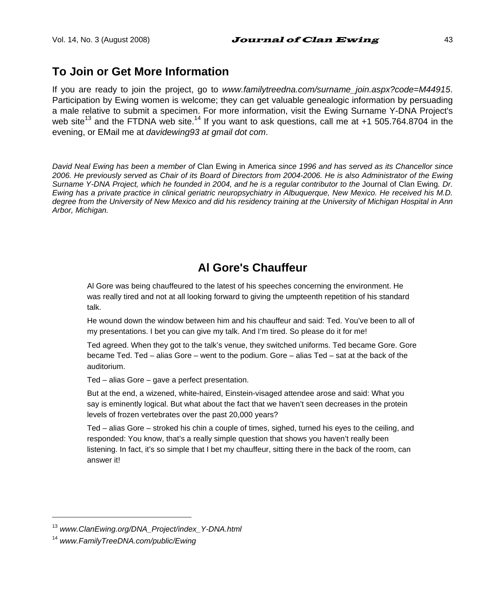## **To Join or Get More Information**

If you are ready to join the project, go to *www.familytreedna.com/surname\_join.aspx?code=M44915*. Participation by Ewing women is welcome; they can get valuable genealogic information by persuading a male relative to submit a specimen. For more information, visit the Ewing Surname Y-DNA Project's web site<sup>13</sup> and the FTDNA web site.<sup>14</sup> If you want to ask questions, call me at +1 505.764.8704 in the evening, or EMail me at *davidewing93 at gmail dot com*.

*David Neal Ewing has been a member of* Clan Ewing in America *since 1996 and has served as its Chancellor since 2006. He previously served as Chair of its Board of Directors from 2004-2006. He is also Administrator of the Ewing Surname Y-DNA Project, which he founded in 2004, and he is a regular contributor to the* Journal of Clan Ewing*. Dr. Ewing has a private practice in clinical geriatric neuropsychiatry in Albuquerque, New Mexico. He received his M.D. degree from the University of New Mexico and did his residency training at the University of Michigan Hospital in Ann Arbor, Michigan.* 

# **Al Gore's Chauffeur**

Al Gore was being chauffeured to the latest of his speeches concerning the environment. He was really tired and not at all looking forward to giving the umpteenth repetition of his standard talk.

He wound down the window between him and his chauffeur and said: Ted. You've been to all of my presentations. I bet you can give my talk. And I'm tired. So please do it for me!

Ted agreed. When they got to the talk's venue, they switched uniforms. Ted became Gore. Gore became Ted. Ted – alias Gore – went to the podium. Gore – alias Ted – sat at the back of the auditorium.

Ted – alias Gore – gave a perfect presentation.

But at the end, a wizened, white-haired, Einstein-visaged attendee arose and said: What you say is eminently logical. But what about the fact that we haven't seen decreases in the protein levels of frozen vertebrates over the past 20,000 years?

Ted – alias Gore – stroked his chin a couple of times, sighed, turned his eyes to the ceiling, and responded: You know, that's a really simple question that shows you haven't really been listening. In fact, it's so simple that I bet my chauffeur, sitting there in the back of the room, can answer it!

<sup>13</sup> *www.ClanEwing.org/DNA\_Project/index\_Y-DNA.html* 

<sup>14</sup> *www.FamilyTreeDNA.com/public/Ewing*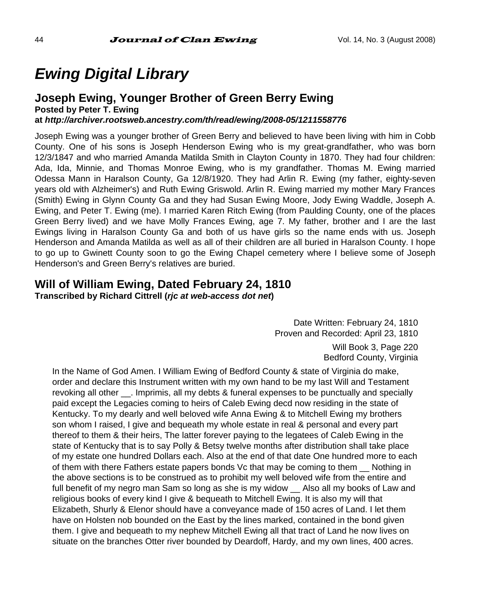# *Ewing Digital Library*

### **Joseph Ewing, Younger Brother of Green Berry Ewing**

**Posted by Peter T. Ewing at** *http://archiver.rootsweb.ancestry.com/th/read/ewing/2008-05/1211558776*

Joseph Ewing was a younger brother of Green Berry and believed to have been living with him in Cobb County. One of his sons is Joseph Henderson Ewing who is my great-grandfather, who was born 12/3/1847 and who married Amanda Matilda Smith in Clayton County in 1870. They had four children: Ada, Ida, Minnie, and Thomas Monroe Ewing, who is my grandfather. Thomas M. Ewing married Odessa Mann in Haralson County, Ga 12/8/1920. They had Arlin R. Ewing (my father, eighty-seven years old with Alzheimer's) and Ruth Ewing Griswold. Arlin R. Ewing married my mother Mary Frances (Smith) Ewing in Glynn County Ga and they had Susan Ewing Moore, Jody Ewing Waddle, Joseph A. Ewing, and Peter T. Ewing (me). I married Karen Ritch Ewing (from Paulding County, one of the places Green Berry lived) and we have Molly Frances Ewing, age 7. My father, brother and I are the last Ewings living in Haralson County Ga and both of us have girls so the name ends with us. Joseph Henderson and Amanda Matilda as well as all of their children are all buried in Haralson County. I hope to go up to Gwinett County soon to go the Ewing Chapel cemetery where I believe some of Joseph Henderson's and Green Berry's relatives are buried.

# **Will of William Ewing, Dated February 24, 1810**

**Transcribed by Richard Cittrell (***rjc at web-access dot net***)** 

Date Written: February 24, 1810 Proven and Recorded: April 23, 1810 Will Book 3, Page 220 Bedford County, Virginia

In the Name of God Amen. I William Ewing of Bedford County & state of Virginia do make, order and declare this Instrument written with my own hand to be my last Will and Testament revoking all other \_\_. Imprimis, all my debts & funeral expenses to be punctually and specially paid except the Legacies coming to heirs of Caleb Ewing decd now residing in the state of Kentucky. To my dearly and well beloved wife Anna Ewing & to Mitchell Ewing my brothers son whom I raised, I give and bequeath my whole estate in real & personal and every part thereof to them & their heirs, The latter forever paying to the legatees of Caleb Ewing in the state of Kentucky that is to say Polly & Betsy twelve months after distribution shall take place of my estate one hundred Dollars each. Also at the end of that date One hundred more to each of them with there Fathers estate papers bonds Vc that may be coming to them \_\_ Nothing in the above sections is to be construed as to prohibit my well beloved wife from the entire and full benefit of my negro man Sam so long as she is my widow Also all my books of Law and religious books of every kind I give & bequeath to Mitchell Ewing. It is also my will that Elizabeth, Shurly & Elenor should have a conveyance made of 150 acres of Land. I let them have on Holsten nob bounded on the East by the lines marked, contained in the bond given them. I give and bequeath to my nephew Mitchell Ewing all that tract of Land he now lives on situate on the branches Otter river bounded by Deardoff, Hardy, and my own lines, 400 acres.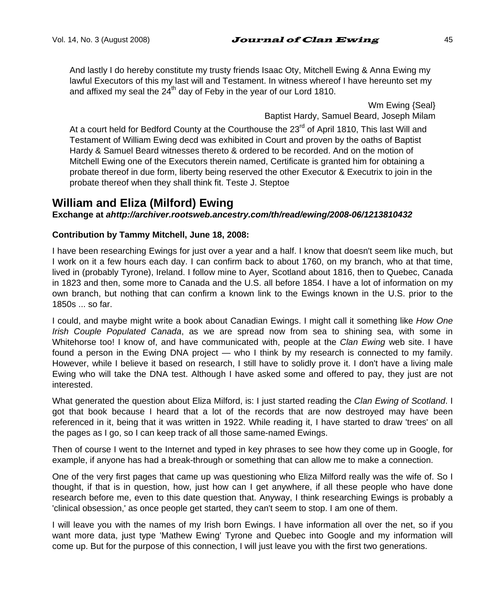And lastly I do hereby constitute my trusty friends Isaac Oty, Mitchell Ewing & Anna Ewing my lawful Executors of this my last will and Testament. In witness whereof I have hereunto set my and affixed my seal the  $24<sup>th</sup>$  day of Feby in the year of our Lord 1810.

> Wm Ewing {Seal} Baptist Hardy, Samuel Beard, Joseph Milam

At a court held for Bedford County at the Courthouse the 23<sup>rd</sup> of April 1810, This last Will and Testament of William Ewing decd was exhibited in Court and proven by the oaths of Baptist Hardy & Samuel Beard witnesses thereto & ordered to be recorded. And on the motion of Mitchell Ewing one of the Executors therein named, Certificate is granted him for obtaining a probate thereof in due form, liberty being reserved the other Executor & Executrix to join in the probate thereof when they shall think fit. Teste J. Steptoe

### **William and Eliza (Milford) Ewing**

### **Exchange at** *ahttp://archiver.rootsweb.ancestry.com/th/read/ewing/2008-06/1213810432*

### **Contribution by Tammy Mitchell, June 18, 2008:**

I have been researching Ewings for just over a year and a half. I know that doesn't seem like much, but I work on it a few hours each day. I can confirm back to about 1760, on my branch, who at that time, lived in (probably Tyrone), Ireland. I follow mine to Ayer, Scotland about 1816, then to Quebec, Canada in 1823 and then, some more to Canada and the U.S. all before 1854. I have a lot of information on my own branch, but nothing that can confirm a known link to the Ewings known in the U.S. prior to the 1850s ... so far.

I could, and maybe might write a book about Canadian Ewings. I might call it something like *How One Irish Couple Populated Canada*, as we are spread now from sea to shining sea, with some in Whitehorse too! I know of, and have communicated with, people at the *Clan Ewing* web site. I have found a person in the Ewing DNA project — who I think by my research is connected to my family. However, while I believe it based on research, I still have to solidly prove it. I don't have a living male Ewing who will take the DNA test. Although I have asked some and offered to pay, they just are not interested.

What generated the question about Eliza Milford, is: I just started reading the *Clan Ewing of Scotland*. I got that book because I heard that a lot of the records that are now destroyed may have been referenced in it, being that it was written in 1922. While reading it, I have started to draw 'trees' on all the pages as I go, so I can keep track of all those same-named Ewings.

Then of course I went to the Internet and typed in key phrases to see how they come up in Google, for example, if anyone has had a break-through or something that can allow me to make a connection.

One of the very first pages that came up was questioning who Eliza Milford really was the wife of. So I thought, if that is in question, how, just how can I get anywhere, if all these people who have done research before me, even to this date question that. Anyway, I think researching Ewings is probably a 'clinical obsession,' as once people get started, they can't seem to stop. I am one of them.

I will leave you with the names of my Irish born Ewings. I have information all over the net, so if you want more data, just type 'Mathew Ewing' Tyrone and Quebec into Google and my information will come up. But for the purpose of this connection, I will just leave you with the first two generations.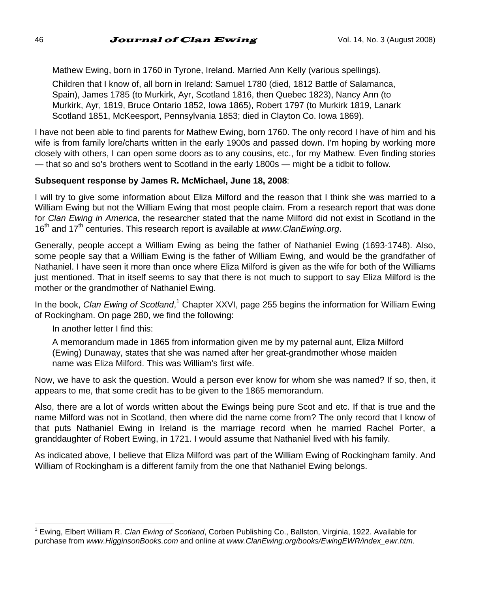Mathew Ewing, born in 1760 in Tyrone, Ireland. Married Ann Kelly (various spellings).

Children that I know of, all born in Ireland: Samuel 1780 (died, 1812 Battle of Salamanca, Spain), James 1785 (to Murkirk, Ayr, Scotland 1816, then Quebec 1823), Nancy Ann (to Murkirk, Ayr, 1819, Bruce Ontario 1852, Iowa 1865), Robert 1797 (to Murkirk 1819, Lanark Scotland 1851, McKeesport, Pennsylvania 1853; died in Clayton Co. Iowa 1869).

I have not been able to find parents for Mathew Ewing, born 1760. The only record I have of him and his wife is from family lore/charts written in the early 1900s and passed down. I'm hoping by working more closely with others, I can open some doors as to any cousins, etc., for my Mathew. Even finding stories — that so and so's brothers went to Scotland in the early 1800s — might be a tidbit to follow.

### **Subsequent response by James R. McMichael, June 18, 2008**:

I will try to give some information about Eliza Milford and the reason that I think she was married to a William Ewing but not the William Ewing that most people claim. From a research report that was done for *Clan Ewing in America*, the researcher stated that the name Milford did not exist in Scotland in the 16<sup>th</sup> and 17<sup>th</sup> centuries. This research report is available at *www.ClanEwing.org.* 

Generally, people accept a William Ewing as being the father of Nathaniel Ewing (1693-1748). Also, some people say that a William Ewing is the father of William Ewing, and would be the grandfather of Nathaniel. I have seen it more than once where Eliza Milford is given as the wife for both of the Williams just mentioned. That in itself seems to say that there is not much to support to say Eliza Milford is the mother or the grandmother of Nathaniel Ewing.

In the book, Clan Ewing of Scotland,<sup>1</sup> Chapter XXVI, page 255 begins the information for William Ewing of Rockingham. On page 280, we find the following:

In another letter I find this:

A memorandum made in 1865 from information given me by my paternal aunt, Eliza Milford (Ewing) Dunaway, states that she was named after her great-grandmother whose maiden name was Eliza Milford. This was William's first wife.

Now, we have to ask the question. Would a person ever know for whom she was named? If so, then, it appears to me, that some credit has to be given to the 1865 memorandum.

Also, there are a lot of words written about the Ewings being pure Scot and etc. If that is true and the name Milford was not in Scotland, then where did the name come from? The only record that I know of that puts Nathaniel Ewing in Ireland is the marriage record when he married Rachel Porter, a granddaughter of Robert Ewing, in 1721. I would assume that Nathaniel lived with his family.

As indicated above, I believe that Eliza Milford was part of the William Ewing of Rockingham family. And William of Rockingham is a different family from the one that Nathaniel Ewing belongs.

l 1 Ewing, Elbert William R. *Clan Ewing of Scotland*, Corben Publishing Co., Ballston, Virginia, 1922. Available for purchase from *www.HigginsonBooks.com* and online at *www.ClanEwing.org/books/EwingEWR/index\_ewr.htm*.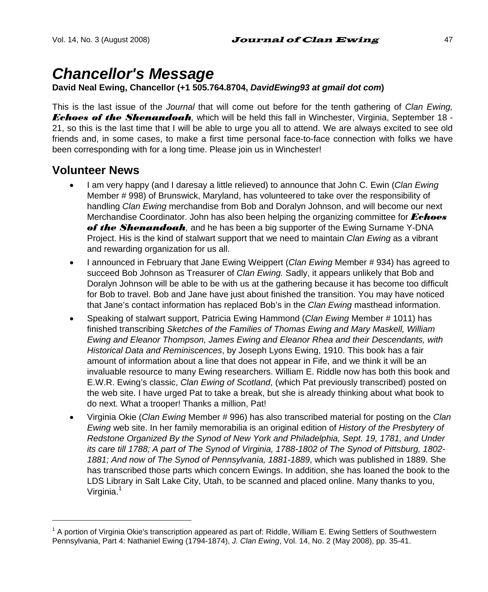# *Chancellor's Message*

### **David Neal Ewing, Chancellor (+1 505.764.8704,** *DavidEwing93 at gmail dot com***)**

This is the last issue of the *Journal* that will come out before for the tenth gathering of *Clan Ewing, Echoes of the Shenandoah,* which will be held this fall in Winchester, Virginia, September 18 - 21, so this is the last time that I will be able to urge you all to attend. We are always excited to see old friends and, in some cases, to make a first time personal face-to-face connection with folks we have been corresponding with for a long time. Please join us in Winchester!

### **Volunteer News**

- I am very happy (and I daresay a little relieved) to announce that John C. Ewin (*Clan Ewing* Member # 998) of Brunswick, Maryland, has volunteered to take over the responsibility of handling *Clan Ewing* merchandise from Bob and Doralyn Johnson, and will become our next Merchandise Coordinator. John has also been helping the organizing committee for *Echoes of the Shenandoah,* and he has been a big supporter of the Ewing Surname Y-DNA Project. His is the kind of stalwart support that we need to maintain *Clan Ewing* as a vibrant and rewarding organization for us all.
- I announced in February that Jane Ewing Weippert (*Clan Ewing* Member # 934) has agreed to succeed Bob Johnson as Treasurer of *Clan Ewing.* Sadly, it appears unlikely that Bob and Doralyn Johnson will be able to be with us at the gathering because it has become too difficult for Bob to travel. Bob and Jane have just about finished the transition. You may have noticed that Jane's contact information has replaced Bob's in the *Clan Ewing* masthead information.
- Speaking of stalwart support, Patricia Ewing Hammond (*Clan Ewing* Member # 1011) has finished transcribing *Sketches of the Families of Thomas Ewing and Mary Maskell, William Ewing and Eleanor Thompson, James Ewing and Eleanor Rhea and their Descendants, with Historical Data and Reminiscences*, by Joseph Lyons Ewing, 1910. This book has a fair amount of information about a line that does not appear in Fife, and we think it will be an invaluable resource to many Ewing researchers. William E. Riddle now has both this book and E.W.R. Ewing's classic, *Clan Ewing of Scotland*, (which Pat previously transcribed) posted on the web site. I have urged Pat to take a break, but she is already thinking about what book to do next. What a trooper! Thanks a million, Pat!
- Virginia Okie (*Clan Ewing* Member # 996) has also transcribed material for posting on the *Clan Ewing* web site. In her family memorabilia is an original edition of *History of the Presbytery of Redstone Organized By the Synod of New York and Philadelphia, Sept. 19, 1781, and Under its care till 1788; A part of The Synod of Virginia, 1788-1802 of The Synod of Pittsburg, 1802- 1881; And now of The Synod of Pennsylvania, 1881-1889*, which was published in 1889. She has transcribed those parts which concern Ewings. In addition, she has loaned the book to the LDS Library in Salt Lake City, Utah, to be scanned and placed online. Many thanks to you, Virginia.<sup>1</sup>

<sup>&</sup>lt;sup>1</sup> A portion of Virginia Okie's transcription appeared as part of: Riddle, William E. Ewing Settlers of Southwestern Pennsylvania, Part 4: Nathaniel Ewing (1794-1874), *J. Clan Ewing*, Vol. 14, No. 2 (May 2008), pp. 35-41.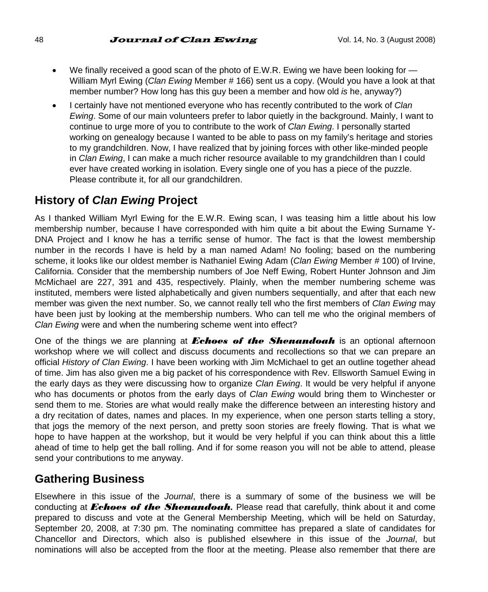- We finally received a good scan of the photo of E.W.R. Ewing we have been looking for William Myrl Ewing (*Clan Ewing* Member # 166) sent us a copy. (Would you have a look at that member number? How long has this guy been a member and how old *is* he, anyway?)
- I certainly have not mentioned everyone who has recently contributed to the work of *Clan Ewing*. Some of our main volunteers prefer to labor quietly in the background. Mainly, I want to continue to urge more of you to contribute to the work of *Clan Ewing*. I personally started working on genealogy because I wanted to be able to pass on my family's heritage and stories to my grandchildren. Now, I have realized that by joining forces with other like-minded people in *Clan Ewing*, I can make a much richer resource available to my grandchildren than I could ever have created working in isolation. Every single one of you has a piece of the puzzle. Please contribute it, for all our grandchildren.

## **History of** *Clan Ewing* **Project**

As I thanked William Myrl Ewing for the E.W.R. Ewing scan, I was teasing him a little about his low membership number, because I have corresponded with him quite a bit about the Ewing Surname Y-DNA Project and I know he has a terrific sense of humor. The fact is that the lowest membership number in the records I have is held by a man named Adam! No fooling; based on the numbering scheme, it looks like our oldest member is Nathaniel Ewing Adam (*Clan Ewing* Member # 100) of Irvine, California. Consider that the membership numbers of Joe Neff Ewing, Robert Hunter Johnson and Jim McMichael are 227, 391 and 435, respectively. Plainly, when the member numbering scheme was instituted, members were listed alphabetically and given numbers sequentially, and after that each new member was given the next number. So, we cannot really tell who the first members of *Clan Ewing* may have been just by looking at the membership numbers. Who can tell me who the original members of *Clan Ewing* were and when the numbering scheme went into effect?

One of the things we are planning at *Echoes of the Shenandoah* is an optional afternoon workshop where we will collect and discuss documents and recollections so that we can prepare an official *History of Clan Ewing*. I have been working with Jim McMichael to get an outline together ahead of time. Jim has also given me a big packet of his correspondence with Rev. Ellsworth Samuel Ewing in the early days as they were discussing how to organize *Clan Ewing*. It would be very helpful if anyone who has documents or photos from the early days of *Clan Ewing* would bring them to Winchester or send them to me. Stories are what would really make the difference between an interesting history and a dry recitation of dates, names and places. In my experience, when one person starts telling a story, that jogs the memory of the next person, and pretty soon stories are freely flowing. That is what we hope to have happen at the workshop, but it would be very helpful if you can think about this a little ahead of time to help get the ball rolling. And if for some reason you will not be able to attend, please send your contributions to me anyway.

## **Gathering Business**

Elsewhere in this issue of the *Journal*, there is a summary of some of the business we will be conducting at *Echoes of the Shenandoah.* Please read that carefully, think about it and come prepared to discuss and vote at the General Membership Meeting, which will be held on Saturday, September 20, 2008, at 7:30 pm. The nominating committee has prepared a slate of candidates for Chancellor and Directors, which also is published elsewhere in this issue of the *Journal*, but nominations will also be accepted from the floor at the meeting. Please also remember that there are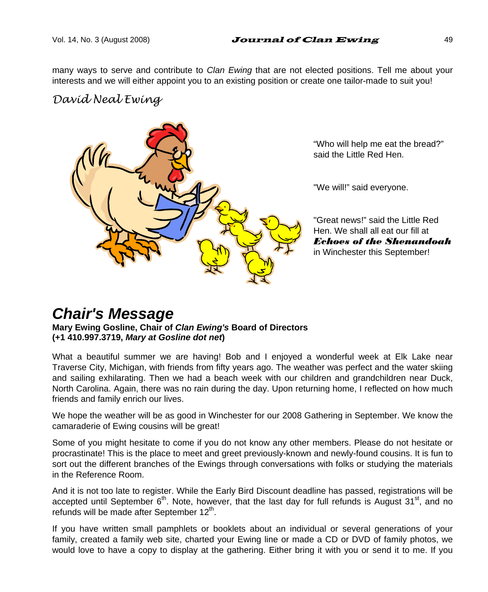many ways to serve and contribute to *Clan Ewing* that are not elected positions. Tell me about your interests and we will either appoint you to an existing position or create one tailor-made to suit you!

### *David Neal Ewing*



"Who will help me eat the bread?" said the Little Red Hen.

"We will!" said everyone.

"Great news!" said the Little Red Hen. We shall all eat our fill at *Echoes of the Shenandoah* in Winchester this September!

# *Chair's Message*

**Mary Ewing Gosline, Chair of** *Clan Ewing's* **Board of Directors (+1 410.997.3719,** *Mary at Gosline dot net***)** 

What a beautiful summer we are having! Bob and I enjoyed a wonderful week at Elk Lake near Traverse City, Michigan, with friends from fifty years ago. The weather was perfect and the water skiing and sailing exhilarating. Then we had a beach week with our children and grandchildren near Duck, North Carolina. Again, there was no rain during the day. Upon returning home, I reflected on how much friends and family enrich our lives.

We hope the weather will be as good in Winchester for our 2008 Gathering in September. We know the camaraderie of Ewing cousins will be great!

Some of you might hesitate to come if you do not know any other members. Please do not hesitate or procrastinate! This is the place to meet and greet previously-known and newly-found cousins. It is fun to sort out the different branches of the Ewings through conversations with folks or studying the materials in the Reference Room.

And it is not too late to register. While the Early Bird Discount deadline has passed, registrations will be accepted until September  $6<sup>th</sup>$ . Note, however, that the last day for full refunds is August 31<sup>st</sup>, and no refunds will be made after September  $12<sup>th</sup>$ .

If you have written small pamphlets or booklets about an individual or several generations of your family, created a family web site, charted your Ewing line or made a CD or DVD of family photos, we would love to have a copy to display at the gathering. Either bring it with you or send it to me. If you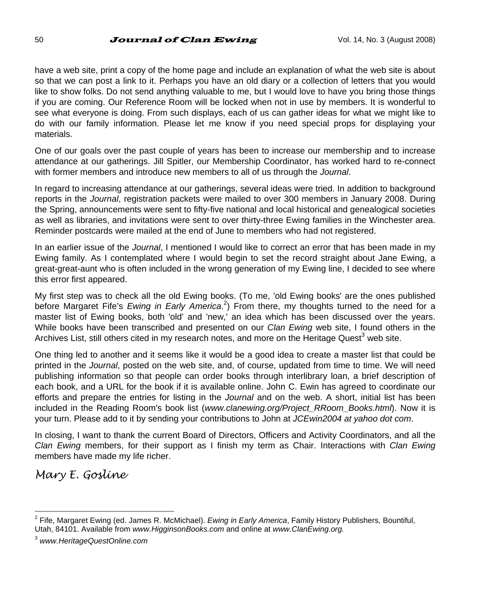have a web site, print a copy of the home page and include an explanation of what the web site is about so that we can post a link to it. Perhaps you have an old diary or a collection of letters that you would like to show folks. Do not send anything valuable to me, but I would love to have you bring those things if you are coming. Our Reference Room will be locked when not in use by members. It is wonderful to see what everyone is doing. From such displays, each of us can gather ideas for what we might like to do with our family information. Please let me know if you need special props for displaying your materials.

One of our goals over the past couple of years has been to increase our membership and to increase attendance at our gatherings. Jill Spitler, our Membership Coordinator, has worked hard to re-connect with former members and introduce new members to all of us through the *Journal*.

In regard to increasing attendance at our gatherings, several ideas were tried. In addition to background reports in the *Journal*, registration packets were mailed to over 300 members in January 2008. During the Spring, announcements were sent to fifty-five national and local historical and genealogical societies as well as libraries, and invitations were sent to over thirty-three Ewing families in the Winchester area. Reminder postcards were mailed at the end of June to members who had not registered.

In an earlier issue of the *Journal*, I mentioned I would like to correct an error that has been made in my Ewing family. As I contemplated where I would begin to set the record straight about Jane Ewing, a great-great-aunt who is often included in the wrong generation of my Ewing line, I decided to see where this error first appeared.

My first step was to check all the old Ewing books. (To me, 'old Ewing books' are the ones published before Margaret Fife's Ewing in Early America.<sup>2</sup>) From there, my thoughts turned to the need for a master list of Ewing books, both 'old' and 'new,' an idea which has been discussed over the years. While books have been transcribed and presented on our *Clan Ewing* web site, I found others in the Archives List, still others cited in my research notes, and more on the Heritage Quest<sup>3</sup> web site.

One thing led to another and it seems like it would be a good idea to create a master list that could be printed in the *Journal*, posted on the web site, and, of course, updated from time to time. We will need publishing information so that people can order books through interlibrary loan, a brief description of each book, and a URL for the book if it is available online. John C. Ewin has agreed to coordinate our efforts and prepare the entries for listing in the *Journal* and on the web. A short, initial list has been included in the Reading Room's book list (*www.clanewing.org/Project\_RRoom\_Books.html*). Now it is your turn. Please add to it by sending your contributions to John at *JCEwin2004 at yahoo dot com*.

In closing, I want to thank the current Board of Directors, Officers and Activity Coordinators, and all the *Clan Ewing* members, for their support as I finish my term as Chair. Interactions with *Clan Ewing* members have made my life richer.

*Mary E. Gosline* 

<sup>2</sup> Fife, Margaret Ewing (ed. James R. McMichael). *Ewing in Early America*, Family History Publishers, Bountiful, Utah, 84101. Available from *www.HigginsonBooks.com* and online at *www.ClanEwing.org.* 

<sup>3</sup> *www.HeritageQuestOnline.com*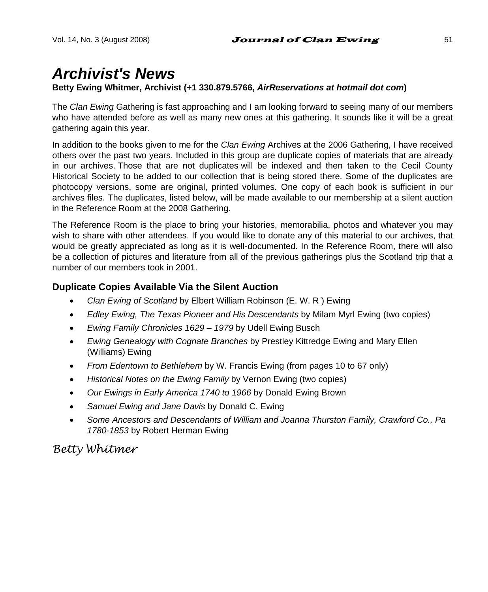# *Archivist's News*

### **Betty Ewing Whitmer, Archivist (+1 330.879.5766,** *AirReservations at hotmail dot com***)**

The *Clan Ewing* Gathering is fast approaching and I am looking forward to seeing many of our members who have attended before as well as many new ones at this gathering. It sounds like it will be a great gathering again this year.

In addition to the books given to me for the *Clan Ewing* Archives at the 2006 Gathering, I have received others over the past two years. Included in this group are duplicate copies of materials that are already in our archives. Those that are not duplicates will be indexed and then taken to the Cecil County Historical Society to be added to our collection that is being stored there. Some of the duplicates are photocopy versions, some are original, printed volumes. One copy of each book is sufficient in our archives files. The duplicates, listed below, will be made available to our membership at a silent auction in the Reference Room at the 2008 Gathering.

The Reference Room is the place to bring your histories, memorabilia, photos and whatever you may wish to share with other attendees. If you would like to donate any of this material to our archives, that would be greatly appreciated as long as it is well-documented. In the Reference Room, there will also be a collection of pictures and literature from all of the previous gatherings plus the Scotland trip that a number of our members took in 2001.

### **Duplicate Copies Available Via the Silent Auction**

- *Clan Ewing of Scotland* by Elbert William Robinson (E. W. R ) Ewing
- *Edley Ewing, The Texas Pioneer and His Descendants* by Milam Myrl Ewing (two copies)
- *Ewing Family Chronicles 1629 1979* by Udell Ewing Busch
- *Ewing Genealogy with Cognate Branches* by Prestley Kittredge Ewing and Mary Ellen (Williams) Ewing
- *From Edentown to Bethlehem* by W. Francis Ewing (from pages 10 to 67 only)
- *Historical Notes on the Ewing Family* by Vernon Ewing (two copies)
- *Our Ewings in Early America 1740 to 1966* by Donald Ewing Brown
- *Samuel Ewing and Jane Davis* by Donald C. Ewing
- *Some Ancestors and Descendants of William and Joanna Thurston Family, Crawford Co., Pa 1780-1853* by Robert Herman Ewing

### *Betty Whitmer*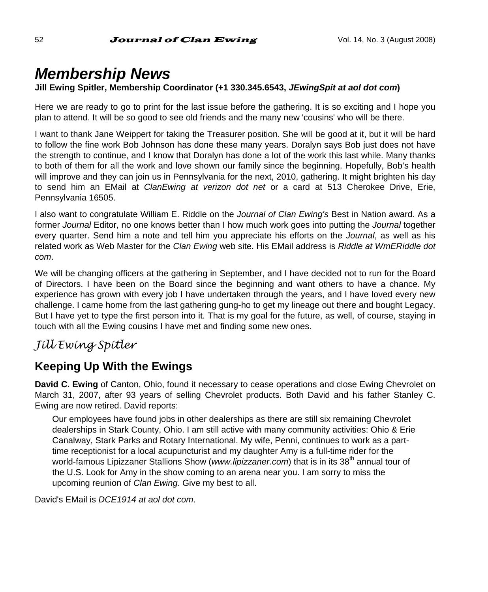# *Membership News*

### **Jill Ewing Spitler, Membership Coordinator (+1 330.345.6543,** *JEwingSpit at aol dot com***)**

Here we are ready to go to print for the last issue before the gathering. It is so exciting and I hope you plan to attend. It will be so good to see old friends and the many new 'cousins' who will be there.

I want to thank Jane Weippert for taking the Treasurer position. She will be good at it, but it will be hard to follow the fine work Bob Johnson has done these many years. Doralyn says Bob just does not have the strength to continue, and I know that Doralyn has done a lot of the work this last while. Many thanks to both of them for all the work and love shown our family since the beginning. Hopefully, Bob's health will improve and they can join us in Pennsylvania for the next, 2010, gathering. It might brighten his day to send him an EMail at *ClanEwing at verizon dot net* or a card at 513 Cherokee Drive, Erie, Pennsylvania 16505.

I also want to congratulate William E. Riddle on the *Journal of Clan Ewing's* Best in Nation award. As a former *Journal* Editor, no one knows better than I how much work goes into putting the *Journal* together every quarter. Send him a note and tell him you appreciate his efforts on the *Journal*, as well as his related work as Web Master for the *Clan Ewing* web site. His EMail address is *Riddle at WmERiddle dot com*.

We will be changing officers at the gathering in September, and I have decided not to run for the Board of Directors. I have been on the Board since the beginning and want others to have a chance. My experience has grown with every job I have undertaken through the years, and I have loved every new challenge. I came home from the last gathering gung-ho to get my lineage out there and bought Legacy. But I have yet to type the first person into it. That is my goal for the future, as well, of course, staying in touch with all the Ewing cousins I have met and finding some new ones.

# *Jill Ewing Spitler*

# **Keeping Up With the Ewings**

**David C. Ewing** of Canton, Ohio, found it necessary to cease operations and close Ewing Chevrolet on March 31, 2007, after 93 years of selling Chevrolet products. Both David and his father Stanley C. Ewing are now retired. David reports:

Our employees have found jobs in other dealerships as there are still six remaining Chevrolet dealerships in Stark County, Ohio. I am still active with many community activities: Ohio & Erie Canalway, Stark Parks and Rotary International. My wife, Penni, continues to work as a parttime receptionist for a local acupuncturist and my daughter Amy is a full-time rider for the world-famous Lipizzaner Stallions Show (www.lipizzaner.com) that is in its 38<sup>th</sup> annual tour of the U.S. Look for Amy in the show coming to an arena near you. I am sorry to miss the upcoming reunion of *Clan Ewing*. Give my best to all.

David's EMail is *DCE1914 at aol dot com*.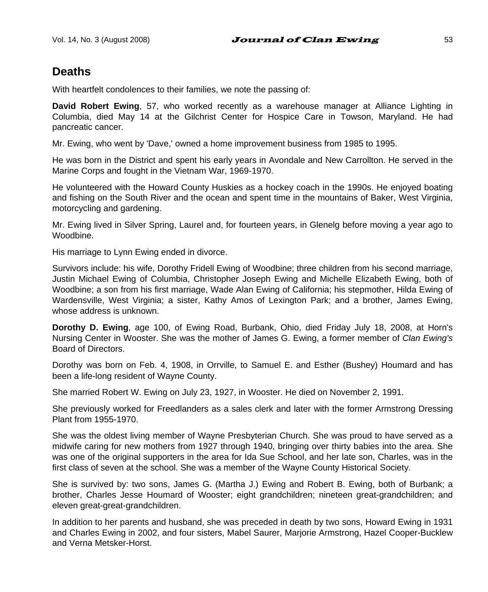# **Deaths**

With heartfelt condolences to their families, we note the passing of:

**David Robert Ewing**, 57, who worked recently as a warehouse manager at Alliance Lighting in Columbia, died May 14 at the Gilchrist Center for Hospice Care in Towson, Maryland. He had pancreatic cancer.

Mr. Ewing, who went by 'Dave,' owned a home improvement business from 1985 to 1995.

He was born in the District and spent his early years in Avondale and New Carrollton. He served in the Marine Corps and fought in the Vietnam War, 1969-1970.

He volunteered with the Howard County Huskies as a hockey coach in the 1990s. He enjoyed boating and fishing on the South River and the ocean and spent time in the mountains of Baker, West Virginia, motorcycling and gardening.

Mr. Ewing lived in Silver Spring, Laurel and, for fourteen years, in Glenelg before moving a year ago to Woodbine.

His marriage to Lynn Ewing ended in divorce.

Survivors include: his wife, Dorothy Fridell Ewing of Woodbine; three children from his second marriage, Justin Michael Ewing of Columbia, Christopher Joseph Ewing and Michelle Elizabeth Ewing, both of Woodbine; a son from his first marriage, Wade Alan Ewing of California; his stepmother, Hilda Ewing of Wardensville, West Virginia; a sister, Kathy Amos of Lexington Park; and a brother, James Ewing, whose address is unknown.

**Dorothy D. Ewing**, age 100, of Ewing Road, Burbank, Ohio, died Friday July 18, 2008, at Horn's Nursing Center in Wooster. She was the mother of James G. Ewing, a former member of *Clan Ewing's* Board of Directors.

Dorothy was born on Feb. 4, 1908, in Orrville, to Samuel E. and Esther (Bushey) Houmard and has been a life-long resident of Wayne County.

She married Robert W. Ewing on July 23, 1927, in Wooster. He died on November 2, 1991.

She previously worked for Freedlanders as a sales clerk and later with the former Armstrong Dressing Plant from 1955-1970.

She was the oldest living member of Wayne Presbyterian Church. She was proud to have served as a midwife caring for new mothers from 1927 through 1940, bringing over thirty babies into the area. She was one of the original supporters in the area for Ida Sue School, and her late son, Charles, was in the first class of seven at the school. She was a member of the Wayne County Historical Society.

She is survived by: two sons, James G. (Martha J.) Ewing and Robert B. Ewing, both of Burbank; a brother, Charles Jesse Houmard of Wooster; eight grandchildren; nineteen great-grandchildren; and eleven great-great-grandchildren.

In addition to her parents and husband, she was preceded in death by two sons, Howard Ewing in 1931 and Charles Ewing in 2002, and four sisters, Mabel Saurer, Marjorie Armstrong, Hazel Cooper-Bucklew and Verna Metsker-Horst.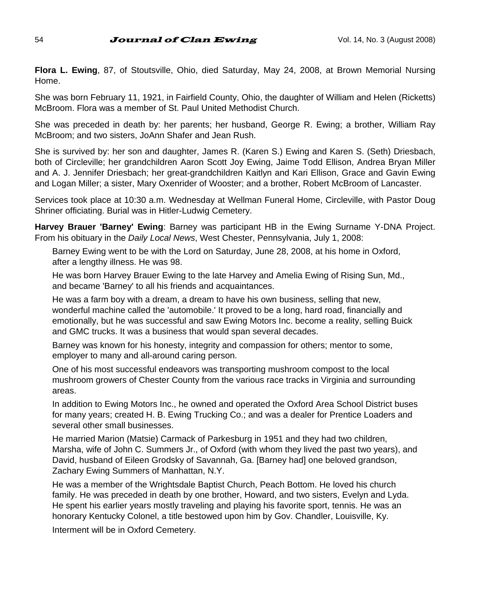### 54 **Journal of Clan Ewing**  $V$ ol. 14, No. 3 (August 2008)

**Flora L. Ewing**, 87, of Stoutsville, Ohio, died Saturday, May 24, 2008, at Brown Memorial Nursing Home.

She was born February 11, 1921, in Fairfield County, Ohio, the daughter of William and Helen (Ricketts) McBroom. Flora was a member of St. Paul United Methodist Church.

She was preceded in death by: her parents; her husband, George R. Ewing; a brother, William Ray McBroom; and two sisters, JoAnn Shafer and Jean Rush.

She is survived by: her son and daughter, James R. (Karen S.) Ewing and Karen S. (Seth) Driesbach, both of Circleville; her grandchildren Aaron Scott Joy Ewing, Jaime Todd Ellison, Andrea Bryan Miller and A. J. Jennifer Driesbach; her great-grandchildren Kaitlyn and Kari Ellison, Grace and Gavin Ewing and Logan Miller; a sister, Mary Oxenrider of Wooster; and a brother, Robert McBroom of Lancaster.

Services took place at 10:30 a.m. Wednesday at Wellman Funeral Home, Circleville, with Pastor Doug Shriner officiating. Burial was in Hitler-Ludwig Cemetery.

**Harvey Brauer 'Barney' Ewing**: Barney was participant HB in the Ewing Surname Y-DNA Project. From his obituary in the *Daily Local News*, West Chester, Pennsylvania, July 1, 2008:

Barney Ewing went to be with the Lord on Saturday, June 28, 2008, at his home in Oxford, after a lengthy illness. He was 98.

He was born Harvey Brauer Ewing to the late Harvey and Amelia Ewing of Rising Sun, Md., and became 'Barney' to all his friends and acquaintances.

He was a farm boy with a dream, a dream to have his own business, selling that new, wonderful machine called the 'automobile.' It proved to be a long, hard road, financially and emotionally, but he was successful and saw Ewing Motors Inc. become a reality, selling Buick and GMC trucks. It was a business that would span several decades.

Barney was known for his honesty, integrity and compassion for others; mentor to some, employer to many and all-around caring person.

One of his most successful endeavors was transporting mushroom compost to the local mushroom growers of Chester County from the various race tracks in Virginia and surrounding areas.

In addition to Ewing Motors Inc., he owned and operated the Oxford Area School District buses for many years; created H. B. Ewing Trucking Co.; and was a dealer for Prentice Loaders and several other small businesses.

He married Marion (Matsie) Carmack of Parkesburg in 1951 and they had two children, Marsha, wife of John C. Summers Jr., of Oxford (with whom they lived the past two years), and David, husband of Eileen Grodsky of Savannah, Ga. [Barney had] one beloved grandson, Zachary Ewing Summers of Manhattan, N.Y.

He was a member of the Wrightsdale Baptist Church, Peach Bottom. He loved his church family. He was preceded in death by one brother, Howard, and two sisters, Evelyn and Lyda. He spent his earlier years mostly traveling and playing his favorite sport, tennis. He was an honorary Kentucky Colonel, a title bestowed upon him by Gov. Chandler, Louisville, Ky. Interment will be in Oxford Cemetery.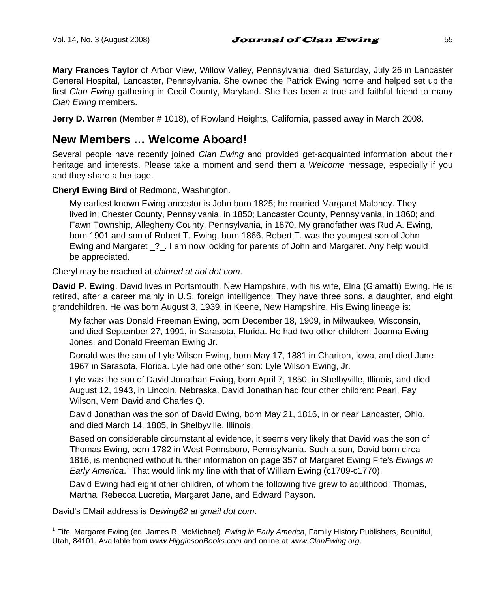**Mary Frances Taylor** of Arbor View, Willow Valley, Pennsylvania, died Saturday, July 26 in Lancaster General Hospital, Lancaster, Pennsylvania. She owned the Patrick Ewing home and helped set up the first *Clan Ewing* gathering in Cecil County, Maryland. She has been a true and faithful friend to many *Clan Ewing* members.

**Jerry D. Warren** (Member # 1018), of Rowland Heights, California, passed away in March 2008.

### **New Members … Welcome Aboard!**

Several people have recently joined *Clan Ewing* and provided get-acquainted information about their heritage and interests. Please take a moment and send them a *Welcome* message, especially if you and they share a heritage.

**Cheryl Ewing Bird** of Redmond, Washington.

My earliest known Ewing ancestor is John born 1825; he married Margaret Maloney. They lived in: Chester County, Pennsylvania, in 1850; Lancaster County, Pennsylvania, in 1860; and Fawn Township, Allegheny County, Pennsylvania, in 1870. My grandfather was Rud A. Ewing, born 1901 and son of Robert T. Ewing, born 1866. Robert T. was the youngest son of John Ewing and Margaret \_?\_. I am now looking for parents of John and Margaret. Any help would be appreciated.

Cheryl may be reached at *cbinred at aol dot com*.

**David P. Ewing**. David lives in Portsmouth, New Hampshire, with his wife, Elria (Giamatti) Ewing. He is retired, after a career mainly in U.S. foreign intelligence. They have three sons, a daughter, and eight grandchildren. He was born August 3, 1939, in Keene, New Hampshire. His Ewing lineage is:

My father was Donald Freeman Ewing, born December 18, 1909, in Milwaukee, Wisconsin, and died September 27, 1991, in Sarasota, Florida. He had two other children: Joanna Ewing Jones, and Donald Freeman Ewing Jr.

Donald was the son of Lyle Wilson Ewing, born May 17, 1881 in Chariton, Iowa, and died June 1967 in Sarasota, Florida. Lyle had one other son: Lyle Wilson Ewing, Jr.

Lyle was the son of David Jonathan Ewing, born April 7, 1850, in Shelbyville, Illinois, and died August 12, 1943, in Lincoln, Nebraska. David Jonathan had four other children: Pearl, Fay Wilson, Vern David and Charles Q.

David Jonathan was the son of David Ewing, born May 21, 1816, in or near Lancaster, Ohio, and died March 14, 1885, in Shelbyville, Illinois.

Based on considerable circumstantial evidence, it seems very likely that David was the son of Thomas Ewing, born 1782 in West Pennsboro, Pennsylvania. Such a son, David born circa 1816, is mentioned without further information on page 357 of Margaret Ewing Fife's *Ewings in*  Early America.<sup>1</sup> That would link my line with that of William Ewing (c1709-c1770).

David Ewing had eight other children, of whom the following five grew to adulthood: Thomas, Martha, Rebecca Lucretia, Margaret Jane, and Edward Payson.

David's EMail address is *Dewing62 at gmail dot com*.

l 1 Fife, Margaret Ewing (ed. James R. McMichael). *Ewing in Early America*, Family History Publishers, Bountiful, Utah, 84101. Available from *www.HigginsonBooks.com* and online at *www.ClanEwing.org*.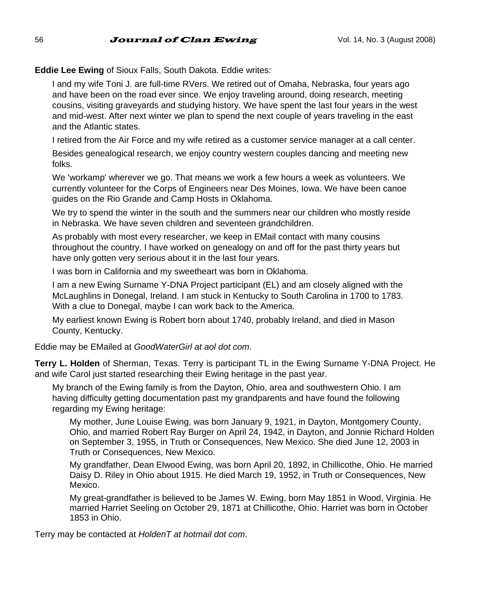56 **Journal of Clan Ewing**  $V$ ol. 14, No. 3 (August 2008)

**Eddie Lee Ewing** of Sioux Falls, South Dakota. Eddie writes:

I and my wife Toni J. are full-time RVers. We retired out of Omaha, Nebraska, four years ago and have been on the road ever since. We enjoy traveling around, doing research, meeting cousins, visiting graveyards and studying history. We have spent the last four years in the west and mid-west. After next winter we plan to spend the next couple of years traveling in the east and the Atlantic states.

I retired from the Air Force and my wife retired as a customer service manager at a call center.

Besides genealogical research, we enjoy country western couples dancing and meeting new folks.

We 'workamp' wherever we go. That means we work a few hours a week as volunteers. We currently volunteer for the Corps of Engineers near Des Moines, Iowa. We have been canoe guides on the Rio Grande and Camp Hosts in Oklahoma.

We try to spend the winter in the south and the summers near our children who mostly reside in Nebraska. We have seven children and seventeen grandchildren.

As probably with most every researcher, we keep in EMail contact with many cousins throughout the country. I have worked on genealogy on and off for the past thirty years but have only gotten very serious about it in the last four years.

I was born in California and my sweetheart was born in Oklahoma.

I am a new Ewing Surname Y-DNA Project participant (EL) and am closely aligned with the McLaughlins in Donegal, Ireland. I am stuck in Kentucky to South Carolina in 1700 to 1783. With a clue to Donegal, maybe I can work back to the America.

My earliest known Ewing is Robert born about 1740, probably Ireland, and died in Mason County, Kentucky.

Eddie may be EMailed at *GoodWaterGirl at aol dot com*.

**Terry L. Holden** of Sherman, Texas. Terry is participant TL in the Ewing Surname Y-DNA Project. He and wife Carol just started researching their Ewing heritage in the past year.

My branch of the Ewing family is from the Dayton, Ohio, area and southwestern Ohio. I am having difficulty getting documentation past my grandparents and have found the following regarding my Ewing heritage:

My mother, June Louise Ewing, was born January 9, 1921, in Dayton, Montgomery County, Ohio, and married Robert Ray Burger on April 24, 1942, in Dayton, and Jonnie Richard Holden on September 3, 1955, in Truth or Consequences, New Mexico. She died June 12, 2003 in Truth or Consequences, New Mexico.

My grandfather, Dean Elwood Ewing, was born April 20, 1892, in Chillicothe, Ohio. He married Daisy D. Riley in Ohio about 1915. He died March 19, 1952, in Truth or Consequences, New Mexico.

My great-grandfather is believed to be James W. Ewing, born May 1851 in Wood, Virginia. He married Harriet Seeling on October 29, 1871 at Chillicothe, Ohio. Harriet was born in October 1853 in Ohio.

Terry may be contacted at *HoldenT at hotmail dot com*.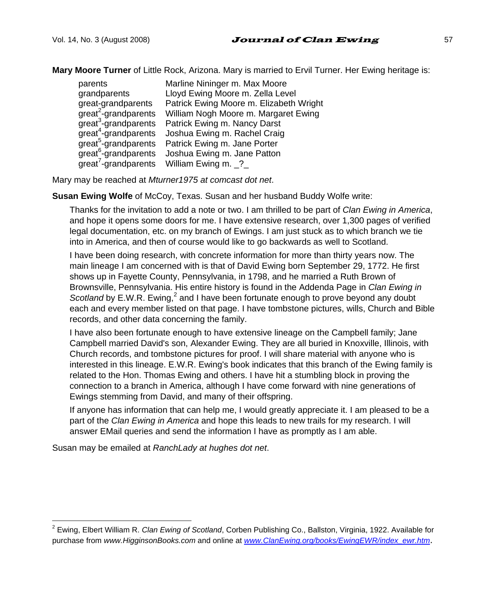**Mary Moore Turner** of Little Rock, Arizona. Mary is married to Ervil Turner. Her Ewing heritage is:

| parents                          | Marline Nininger m. Max Moore           |
|----------------------------------|-----------------------------------------|
| grandparents                     | Lloyd Ewing Moore m. Zella Level        |
| great-grandparents               | Patrick Ewing Moore m. Elizabeth Wright |
| great <sup>2</sup> -grandparents | William Nogh Moore m. Margaret Ewing    |
| great <sup>3</sup> -grandparents | Patrick Ewing m. Nancy Darst            |
| great <sup>4</sup> -grandparents | Joshua Ewing m. Rachel Craig            |
| great <sup>5</sup> -grandparents | Patrick Ewing m. Jane Porter            |
| great <sup>6</sup> -grandparents | Joshua Ewing m. Jane Patton             |
| great <sup>7</sup> -grandparents | William Ewing m. _?_                    |

Mary may be reached at *Mturner1975 at comcast dot net*.

**Susan Ewing Wolfe** of McCoy, Texas. Susan and her husband Buddy Wolfe write:

Thanks for the invitation to add a note or two. I am thrilled to be part of *Clan Ewing in America*, and hope it opens some doors for me. I have extensive research, over 1,300 pages of verified legal documentation, etc. on my branch of Ewings. I am just stuck as to which branch we tie into in America, and then of course would like to go backwards as well to Scotland.

I have been doing research, with concrete information for more than thirty years now. The main lineage I am concerned with is that of David Ewing born September 29, 1772. He first shows up in Fayette County, Pennsylvania, in 1798, and he married a Ruth Brown of Brownsville, Pennsylvania. His entire history is found in the Addenda Page in *Clan Ewing in*  Scotland by E.W.R. Ewing,<sup>2</sup> and I have been fortunate enough to prove beyond any doubt each and every member listed on that page. I have tombstone pictures, wills, Church and Bible records, and other data concerning the family.

I have also been fortunate enough to have extensive lineage on the Campbell family; Jane Campbell married David's son, Alexander Ewing. They are all buried in Knoxville, Illinois, with Church records, and tombstone pictures for proof. I will share material with anyone who is interested in this lineage. E.W.R. Ewing's book indicates that this branch of the Ewing family is related to the Hon. Thomas Ewing and others. I have hit a stumbling block in proving the connection to a branch in America, although I have come forward with nine generations of Ewings stemming from David, and many of their offspring.

If anyone has information that can help me, I would greatly appreciate it. I am pleased to be a part of the *Clan Ewing in America* and hope this leads to new trails for my research. I will answer EMail queries and send the information I have as promptly as I am able.

Susan may be emailed at *RanchLady at hughes dot net*.

<sup>2</sup> Ewing, Elbert William R. *Clan Ewing of Scotland*, Corben Publishing Co., Ballston, Virginia, 1922. Available for purchase from *www.HigginsonBooks.com* and online at *www.ClanEwing.org/books/EwingEWR/index\_ewr.htm*.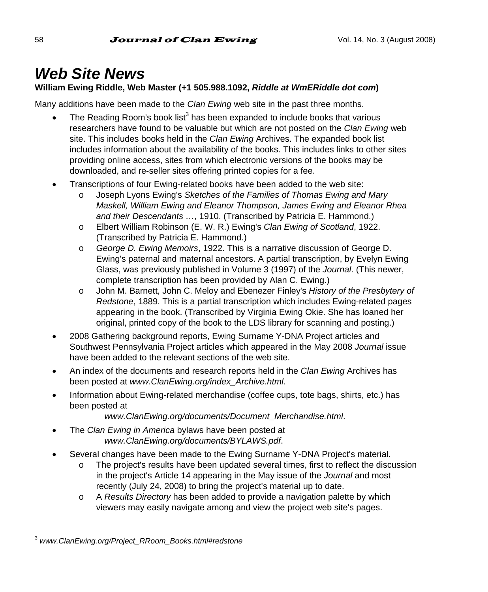# *Web Site News*

### **William Ewing Riddle, Web Master (+1 505.988.1092,** *Riddle at WmERiddle dot com***)**

Many additions have been made to the *Clan Ewing* web site in the past three months.

- The Reading Room's book list<sup>3</sup> has been expanded to include books that various researchers have found to be valuable but which are not posted on the *Clan Ewing* web site. This includes books held in the *Clan Ewing* Archives. The expanded book list includes information about the availability of the books. This includes links to other sites providing online access, sites from which electronic versions of the books may be downloaded, and re-seller sites offering printed copies for a fee.
- Transcriptions of four Ewing-related books have been added to the web site:
	- o Joseph Lyons Ewing's *Sketches of the Families of Thomas Ewing and Mary Maskell, William Ewing and Eleanor Thompson, James Ewing and Eleanor Rhea and their Descendants …*, 1910. (Transcribed by Patricia E. Hammond.)
	- o Elbert William Robinson (E. W. R.) Ewing's *Clan Ewing of Scotland*, 1922. (Transcribed by Patricia E. Hammond.)
	- o *George D. Ewing Memoirs*, 1922. This is a narrative discussion of George D. Ewing's paternal and maternal ancestors. A partial transcription, by Evelyn Ewing Glass, was previously published in Volume 3 (1997) of the *Journal*. (This newer, complete transcription has been provided by Alan C. Ewing.)
	- o John M. Barnett, John C. Meloy and Ebenezer Finley's *History of the Presbytery of Redstone*, 1889. This is a partial transcription which includes Ewing-related pages appearing in the book. (Transcribed by Virginia Ewing Okie. She has loaned her original, printed copy of the book to the LDS library for scanning and posting.)
- 2008 Gathering background reports, Ewing Surname Y-DNA Project articles and Southwest Pennsylvania Project articles which appeared in the May 2008 *Journal* issue have been added to the relevant sections of the web site.
- An index of the documents and research reports held in the *Clan Ewing* Archives has been posted at *www.ClanEwing.org/index\_Archive.html*.
- Information about Ewing-related merchandise (coffee cups, tote bags, shirts, etc.) has been posted at

*www.ClanEwing.org/documents/Document\_Merchandise.html*.

- The *Clan Ewing in America* bylaws have been posted at *www.ClanEwing.org/documents/BYLAWS.pdf*.
- Several changes have been made to the Ewing Surname Y-DNA Project's material.
	- o The project's results have been updated several times, first to reflect the discussion in the project's Article 14 appearing in the May issue of the *Journal* and most recently (July 24, 2008) to bring the project's material up to date.
	- o A *Results Directory* has been added to provide a navigation palette by which viewers may easily navigate among and view the project web site's pages.

<sup>3</sup> *www.ClanEwing.org/Project\_RRoom\_Books.html#redstone*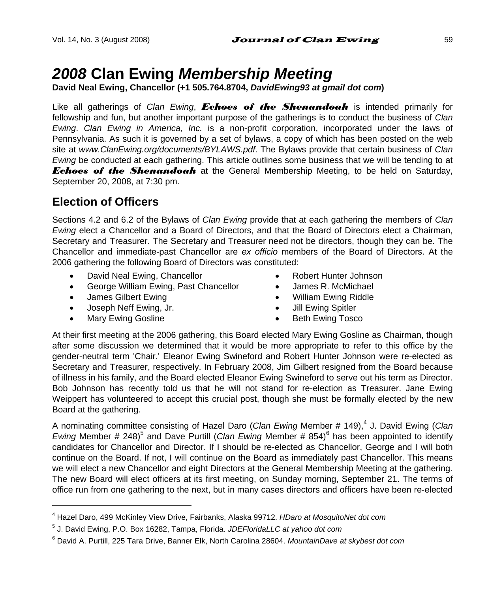# *2008* **Clan Ewing** *Membership Meeting*

**David Neal Ewing, Chancellor (+1 505.764.8704,** *DavidEwing93 at gmail dot com***)** 

Like all gatherings of *Clan Ewing*, *Echoes of the Shenandoah* is intended primarily for fellowship and fun, but another important purpose of the gatherings is to conduct the business of *Clan Ewing*. *Clan Ewing in America, Inc.* is a non-profit corporation, incorporated under the laws of Pennsylvania. As such it is governed by a set of bylaws, a copy of which has been posted on the web site at *www.ClanEwing.org/documents/BYLAWS.pdf*. The Bylaws provide that certain business of *Clan Ewing* be conducted at each gathering. This article outlines some business that we will be tending to at *Echoes of the Shenandoah* at the General Membership Meeting, to be held on Saturday, September 20, 2008, at 7:30 pm.

## **Election of Officers**

Sections 4.2 and 6.2 of the Bylaws of *Clan Ewing* provide that at each gathering the members of *Clan Ewing* elect a Chancellor and a Board of Directors, and that the Board of Directors elect a Chairman, Secretary and Treasurer. The Secretary and Treasurer need not be directors, though they can be. The Chancellor and immediate-past Chancellor are *ex officio* members of the Board of Directors. At the 2006 gathering the following Board of Directors was constituted:

- David Neal Ewing, Chancellor
- George William Ewing, Past Chancellor
- James Gilbert Ewing
- Joseph Neff Ewing, Jr.
- Mary Ewing Gosline

l

- Robert Hunter Johnson
- James R. McMichael
- William Ewing Riddle
- Jill Ewing Spitler
- **Beth Ewing Tosco**

At their first meeting at the 2006 gathering, this Board elected Mary Ewing Gosline as Chairman, though after some discussion we determined that it would be more appropriate to refer to this office by the gender-neutral term 'Chair.' Eleanor Ewing Swineford and Robert Hunter Johnson were re-elected as Secretary and Treasurer, respectively. In February 2008, Jim Gilbert resigned from the Board because of illness in his family, and the Board elected Eleanor Ewing Swineford to serve out his term as Director. Bob Johnson has recently told us that he will not stand for re-election as Treasurer. Jane Ewing Weippert has volunteered to accept this crucial post, though she must be formally elected by the new Board at the gathering.

A nominating committee consisting of Hazel Daro (Clan Ewing Member # 149),<sup>4</sup> J. David Ewing (Clan Ewing Member # 248)<sup>5</sup> and Dave Purtill (Clan Ewing Member # 854)<sup>6</sup> has been appointed to identify candidates for Chancellor and Director. If I should be re-elected as Chancellor, George and I will both continue on the Board. If not, I will continue on the Board as immediately past Chancellor. This means we will elect a new Chancellor and eight Directors at the General Membership Meeting at the gathering. The new Board will elect officers at its first meeting, on Sunday morning, September 21. The terms of office run from one gathering to the next, but in many cases directors and officers have been re-elected

<sup>4</sup> Hazel Daro, 499 McKinley View Drive, Fairbanks, Alaska 99712. *HDaro at MosquitoNet dot com*

<sup>5</sup> J. David Ewing, P.O. Box 16282, Tampa, Florida. *JDEFloridaLLC at yahoo dot com*

<sup>6</sup> David A. Purtill, 225 Tara Drive, Banner Elk, North Carolina 28604. *MountainDave at skybest dot com*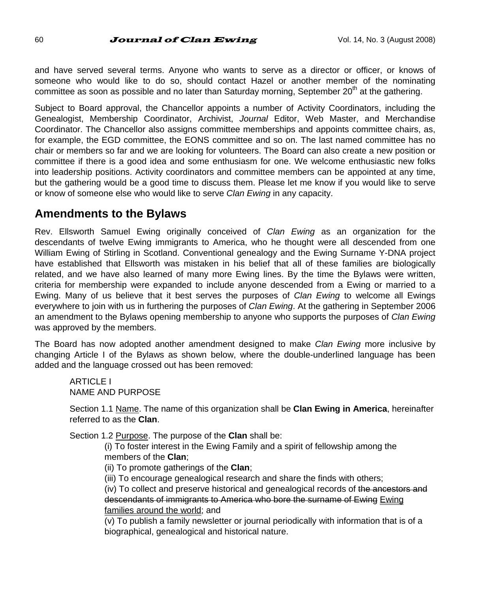and have served several terms. Anyone who wants to serve as a director or officer, or knows of someone who would like to do so, should contact Hazel or another member of the nominating committee as soon as possible and no later than Saturday morning, September 20<sup>th</sup> at the gathering.

Subject to Board approval, the Chancellor appoints a number of Activity Coordinators, including the Genealogist, Membership Coordinator, Archivist, *Journal* Editor, Web Master, and Merchandise Coordinator. The Chancellor also assigns committee memberships and appoints committee chairs, as, for example, the EGD committee, the EONS committee and so on. The last named committee has no chair or members so far and we are looking for volunteers. The Board can also create a new position or committee if there is a good idea and some enthusiasm for one. We welcome enthusiastic new folks into leadership positions. Activity coordinators and committee members can be appointed at any time, but the gathering would be a good time to discuss them. Please let me know if you would like to serve or know of someone else who would like to serve *Clan Ewing* in any capacity.

### **Amendments to the Bylaws**

Rev. Ellsworth Samuel Ewing originally conceived of *Clan Ewing* as an organization for the descendants of twelve Ewing immigrants to America, who he thought were all descended from one William Ewing of Stirling in Scotland. Conventional genealogy and the Ewing Surname Y-DNA project have established that Ellsworth was mistaken in his belief that all of these families are biologically related, and we have also learned of many more Ewing lines. By the time the Bylaws were written, criteria for membership were expanded to include anyone descended from a Ewing or married to a Ewing. Many of us believe that it best serves the purposes of *Clan Ewing* to welcome all Ewings everywhere to join with us in furthering the purposes of *Clan Ewing*. At the gathering in September 2006 an amendment to the Bylaws opening membership to anyone who supports the purposes of *Clan Ewing* was approved by the members.

The Board has now adopted another amendment designed to make *Clan Ewing* more inclusive by changing Article I of the Bylaws as shown below, where the double-underlined language has been added and the language crossed out has been removed:

ARTICLE I NAME AND PURPOSE

Section 1.1 Name. The name of this organization shall be **Clan Ewing in America**, hereinafter referred to as the **Clan**.

Section 1.2 Purpose. The purpose of the **Clan** shall be:

(i) To foster interest in the Ewing Family and a spirit of fellowship among the members of the **Clan**;

(ii) To promote gatherings of the **Clan**;

(iii) To encourage genealogical research and share the finds with others;

(iv) To collect and preserve historical and genealogical records of the ancestors and descendants of immigrants to America who bore the surname of Ewing Ewing families around the world; and

(v) To publish a family newsletter or journal periodically with information that is of a biographical, genealogical and historical nature.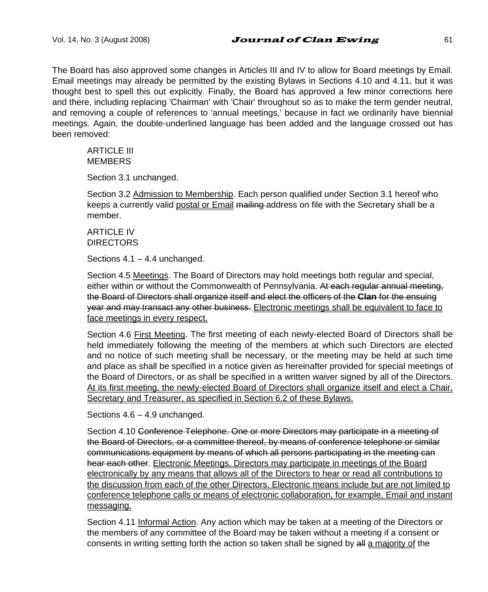The Board has also approved some changes in Articles III and IV to allow for Board meetings by Email. Email meetings may already be permitted by the existing Bylaws in Sections 4.10 and 4.11, but it was thought best to spell this out explicitly. Finally, the Board has approved a few minor corrections here and there, including replacing 'Chairman' with 'Chair' throughout so as to make the term gender neutral, and removing a couple of references to 'annual meetings,' because in fact we ordinarily have biennial meetings. Again, the double-underlined language has been added and the language crossed out has been removed:

ARTICLE III MEMBERS

Section 3.1 unchanged.

Section 3.2 Admission to Membership. Each person qualified under Section 3.1 hereof who keeps a currently valid postal or Email mailing address on file with the Secretary shall be a member.

ARTICLE IV **DIRECTORS** 

Sections  $4.1 - 4.4$  unchanged.

Section 4.5 Meetings. The Board of Directors may hold meetings both regular and special, either within or without the Commonwealth of Pennsylvania. At each regular annual meeting, the Board of Directors shall organize itself and elect the officers of the **Clan** for the ensuing year and may transact any other business. Electronic meetings shall be equivalent to face to face meetings in every respect.

Section 4.6 First Meeting. The first meeting of each newly-elected Board of Directors shall be held immediately following the meeting of the members at which such Directors are elected and no notice of such meeting shall be necessary, or the meeting may be held at such time and place as shall be specified in a notice given as hereinafter provided for special meetings of the Board of Directors, or as shall be specified in a written waiver signed by all of the Directors. At its first meeting, the newly-elected Board of Directors shall organize itself and elect a Chair, Secretary and Treasurer, as specified in Section 6.2 of these Bylaws.

Sections 4.6 – 4.9 unchanged.

Section 4.10 Conference Telephone. One or more Directors may participate in a meeting of the Board of Directors, or a committee thereof, by means of conference telephone or similar communications equipment by means of which all persons participating in the meeting can hear each other. Electronic Meetings. Directors may participate in meetings of the Board electronically by any means that allows all of the Directors to hear or read all contributions to the discussion from each of the other Directors. Electronic means include but are not limited to conference telephone calls or means of electronic collaboration, for example, Email and instant messaging.

Section 4.11 Informal Action. Any action which may be taken at a meeting of the Directors or the members of any committee of the Board may be taken without a meeting if a consent or consents in writing setting forth the action so taken shall be signed by all a majority of the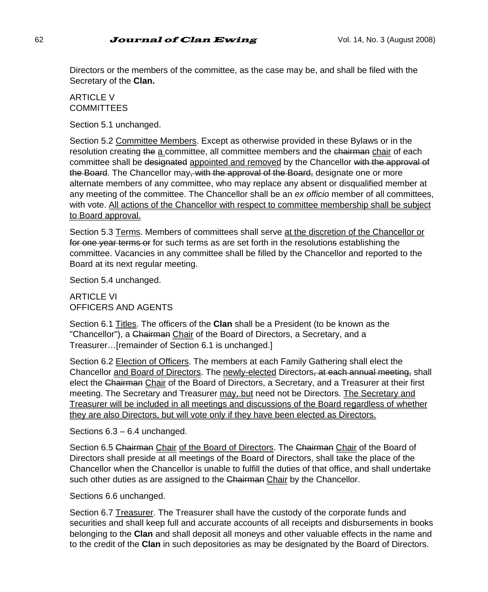Directors or the members of the committee, as the case may be, and shall be filed with the Secretary of the **Clan.**

### **ARTICLE V COMMITTEES**

Section 5.1 unchanged.

Section 5.2 Committee Members. Except as otherwise provided in these Bylaws or in the resolution creating the a committee, all committee members and the chairman chair of each committee shall be designated appointed and removed by the Chancellor with the approval of the Board. The Chancellor may<del>, with the approval of the Board,</del> designate one or more alternate members of any committee, who may replace any absent or disqualified member at any meeting of the committee. The Chancellor shall be an *ex officio* member of all committees, with vote. All actions of the Chancellor with respect to committee membership shall be subject to Board approval.

Section 5.3 Terms. Members of committees shall serve at the discretion of the Chancellor or for one year terms or for such terms as are set forth in the resolutions establishing the committee. Vacancies in any committee shall be filled by the Chancellor and reported to the Board at its next regular meeting.

Section 5.4 unchanged.

ARTICLE VI OFFICERS AND AGENTS

Section 6.1 Titles. The officers of the **Clan** shall be a President (to be known as the "Chancellor"), a Chairman Chair of the Board of Directors, a Secretary, and a Treasurer…[remainder of Section 6.1 is unchanged.]

Section 6.2 Election of Officers. The members at each Family Gathering shall elect the Chancellor and Board of Directors. The newly-elected Directors, at each annual meeting, shall elect the Chairman Chair of the Board of Directors, a Secretary, and a Treasurer at their first meeting. The Secretary and Treasurer may, but need not be Directors. The Secretary and Treasurer will be included in all meetings and discussions of the Board regardless of whether they are also Directors, but will vote only if they have been elected as Directors.

Sections 6.3 – 6.4 unchanged.

Section 6.5 Chairman Chair of the Board of Directors. The Chairman Chair of the Board of Directors shall preside at all meetings of the Board of Directors, shall take the place of the Chancellor when the Chancellor is unable to fulfill the duties of that office, and shall undertake such other duties as are assigned to the Chairman Chair by the Chancellor.

Sections 6.6 unchanged.

Section 6.7 Treasurer. The Treasurer shall have the custody of the corporate funds and securities and shall keep full and accurate accounts of all receipts and disbursements in books belonging to the **Clan** and shall deposit all moneys and other valuable effects in the name and to the credit of the **Clan** in such depositories as may be designated by the Board of Directors.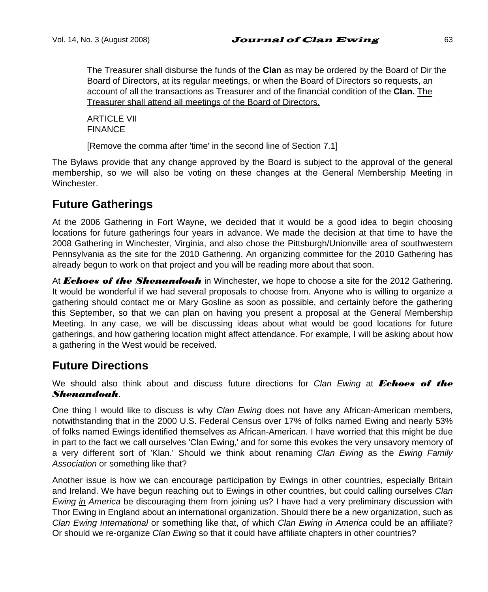The Treasurer shall disburse the funds of the **Clan** as may be ordered by the Board of Dir the Board of Directors, at its regular meetings, or when the Board of Directors so requests, an account of all the transactions as Treasurer and of the financial condition of the **Clan.** The Treasurer shall attend all meetings of the Board of Directors.

ARTICLE VII **FINANCE** 

[Remove the comma after 'time' in the second line of Section 7.1]

The Bylaws provide that any change approved by the Board is subject to the approval of the general membership, so we will also be voting on these changes at the General Membership Meeting in Winchester.

## **Future Gatherings**

At the 2006 Gathering in Fort Wayne, we decided that it would be a good idea to begin choosing locations for future gatherings four years in advance. We made the decision at that time to have the 2008 Gathering in Winchester, Virginia, and also chose the Pittsburgh/Unionville area of southwestern Pennsylvania as the site for the 2010 Gathering. An organizing committee for the 2010 Gathering has already begun to work on that project and you will be reading more about that soon.

At *Echoes of the Shenandoah* in Winchester, we hope to choose a site for the 2012 Gathering. It would be wonderful if we had several proposals to choose from. Anyone who is willing to organize a gathering should contact me or Mary Gosline as soon as possible, and certainly before the gathering this September, so that we can plan on having you present a proposal at the General Membership Meeting. In any case, we will be discussing ideas about what would be good locations for future gatherings, and how gathering location might affect attendance. For example, I will be asking about how a gathering in the West would be received.

### **Future Directions**

We should also think about and discuss future directions for *Clan Ewing* at *Echoes of the Shenandoah*.

One thing I would like to discuss is why *Clan Ewing* does not have any African-American members, notwithstanding that in the 2000 U.S. Federal Census over 17% of folks named Ewing and nearly 53% of folks named Ewings identified themselves as African-American. I have worried that this might be due in part to the fact we call ourselves 'Clan Ewing,' and for some this evokes the very unsavory memory of a very different sort of 'Klan.' Should we think about renaming *Clan Ewing* as the *Ewing Family Association* or something like that?

Another issue is how we can encourage participation by Ewings in other countries, especially Britain and Ireland. We have begun reaching out to Ewings in other countries, but could calling ourselves *Clan Ewing in America* be discouraging them from joining us? I have had a very preliminary discussion with Thor Ewing in England about an international organization. Should there be a new organization, such as *Clan Ewing International* or something like that, of which *Clan Ewing in America* could be an affiliate? Or should we re-organize *Clan Ewing* so that it could have affiliate chapters in other countries?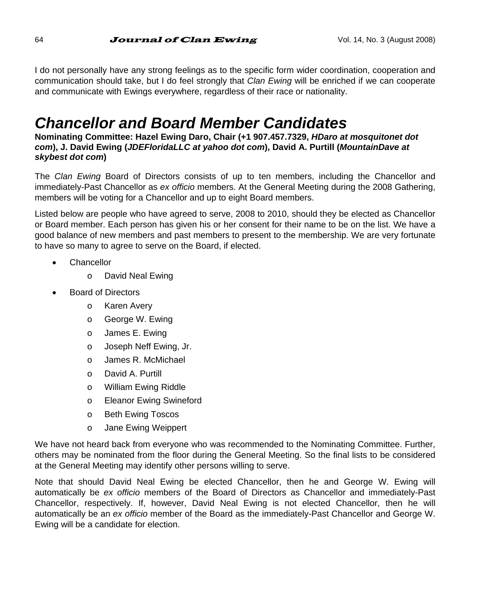I do not personally have any strong feelings as to the specific form wider coordination, cooperation and communication should take, but I do feel strongly that *Clan Ewing* will be enriched if we can cooperate and communicate with Ewings everywhere, regardless of their race or nationality.

# *Chancellor and Board Member Candidates*

**Nominating Committee: Hazel Ewing Daro, Chair (+1 907.457.7329,** *HDaro at mosquitonet dot com***), J. David Ewing (***JDEFloridaLLC at yahoo dot com***), David A. Purtill (***MountainDave at skybest dot com***)** 

The *Clan Ewing* Board of Directors consists of up to ten members, including the Chancellor and immediately-Past Chancellor as *ex officio* members. At the General Meeting during the 2008 Gathering, members will be voting for a Chancellor and up to eight Board members.

Listed below are people who have agreed to serve, 2008 to 2010, should they be elected as Chancellor or Board member. Each person has given his or her consent for their name to be on the list. We have a good balance of new members and past members to present to the membership. We are very fortunate to have so many to agree to serve on the Board, if elected.

- Chancellor
	- o David Neal Ewing
- Board of Directors
	- o Karen Avery
	- o George W. Ewing
	- o James E. Ewing
	- o Joseph Neff Ewing, Jr.
	- o James R. McMichael
	- o David A. Purtill
	- o William Ewing Riddle
	- o Eleanor Ewing Swineford
	- o Beth Ewing Toscos
	- o Jane Ewing Weippert

We have not heard back from everyone who was recommended to the Nominating Committee. Further, others may be nominated from the floor during the General Meeting. So the final lists to be considered at the General Meeting may identify other persons willing to serve.

Note that should David Neal Ewing be elected Chancellor, then he and George W. Ewing will automatically be *ex officio* members of the Board of Directors as Chancellor and immediately-Past Chancellor, respectively. If, however, David Neal Ewing is not elected Chancellor, then he will automatically be an *ex officio* member of the Board as the immediately-Past Chancellor and George W. Ewing will be a candidate for election.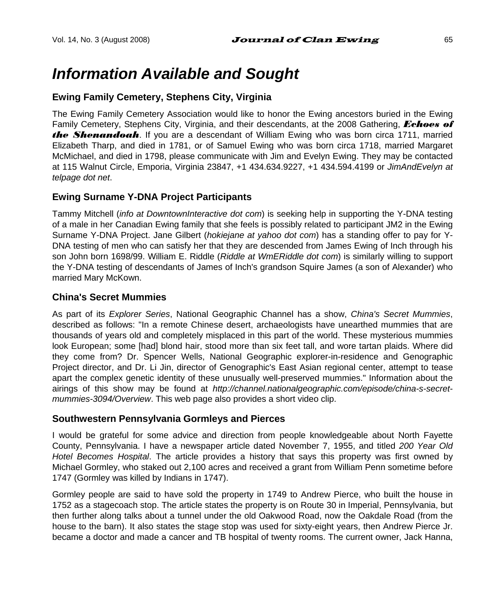# *Information Available and Sought*

### **Ewing Family Cemetery, Stephens City, Virginia**

The Ewing Family Cemetery Association would like to honor the Ewing ancestors buried in the Ewing Family Cemetery, Stephens City, Virginia, and their descendants, at the 2008 Gathering, *Echoes of the Shenandoah*. If you are a descendant of William Ewing who was born circa 1711, married Elizabeth Tharp, and died in 1781, or of Samuel Ewing who was born circa 1718, married Margaret McMichael, and died in 1798, please communicate with Jim and Evelyn Ewing. They may be contacted at 115 Walnut Circle, Emporia, Virginia 23847, +1 434.634.9227, +1 434.594.4199 or *JimAndEvelyn at telpage dot net*.

### **Ewing Surname Y-DNA Project Participants**

Tammy Mitchell (*info at DowntownInteractive dot com*) is seeking help in supporting the Y-DNA testing of a male in her Canadian Ewing family that she feels is possibly related to participant JM2 in the Ewing Surname Y-DNA Project. Jane Gilbert (*hokiejane at yahoo dot com*) has a standing offer to pay for Y-DNA testing of men who can satisfy her that they are descended from James Ewing of Inch through his son John born 1698/99. William E. Riddle (*Riddle at WmERiddle dot com*) is similarly willing to support the Y-DNA testing of descendants of James of Inch's grandson Squire James (a son of Alexander) who married Mary McKown.

### **China's Secret Mummies**

As part of its *Explorer Series*, National Geographic Channel has a show, *China's Secret Mummies*, described as follows: "In a remote Chinese desert, archaeologists have unearthed mummies that are thousands of years old and completely misplaced in this part of the world. These mysterious mummies look European; some [had] blond hair, stood more than six feet tall, and wore tartan plaids. Where did they come from? Dr. Spencer Wells, National Geographic explorer-in-residence and Genographic Project director, and Dr. Li Jin, director of Genographic's East Asian regional center, attempt to tease apart the complex genetic identity of these unusually well-preserved mummies." Information about the airings of this show may be found at *http://channel.nationalgeographic.com/episode/china-s-secretmummies-3094/Overview*. This web page also provides a short video clip.

### **Southwestern Pennsylvania Gormleys and Pierces**

I would be grateful for some advice and direction from people knowledgeable about North Fayette County, Pennsylvania. I have a newspaper article dated November 7, 1955, and titled *200 Year Old Hotel Becomes Hospital*. The article provides a history that says this property was first owned by Michael Gormley, who staked out 2,100 acres and received a grant from William Penn sometime before 1747 (Gormley was killed by Indians in 1747).

Gormley people are said to have sold the property in 1749 to Andrew Pierce, who built the house in 1752 as a stagecoach stop. The article states the property is on Route 30 in Imperial, Pennsylvania, but then further along talks about a tunnel under the old Oakwood Road, now the Oakdale Road (from the house to the barn). It also states the stage stop was used for sixty-eight years, then Andrew Pierce Jr. became a doctor and made a cancer and TB hospital of twenty rooms. The current owner, Jack Hanna,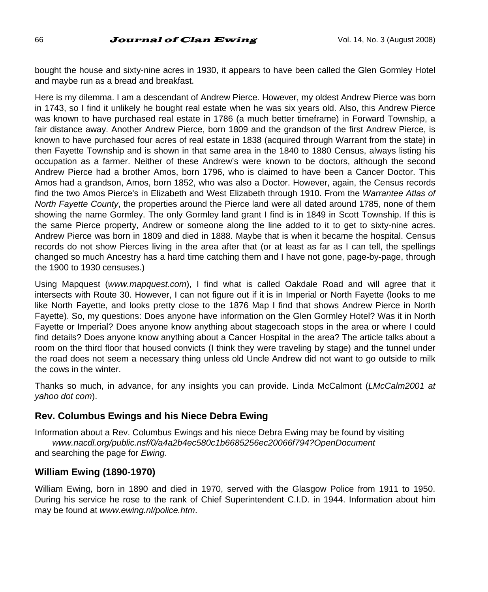bought the house and sixty-nine acres in 1930, it appears to have been called the Glen Gormley Hotel and maybe run as a bread and breakfast.

Here is my dilemma. I am a descendant of Andrew Pierce. However, my oldest Andrew Pierce was born in 1743, so I find it unlikely he bought real estate when he was six years old. Also, this Andrew Pierce was known to have purchased real estate in 1786 (a much better timeframe) in Forward Township, a fair distance away. Another Andrew Pierce, born 1809 and the grandson of the first Andrew Pierce, is known to have purchased four acres of real estate in 1838 (acquired through Warrant from the state) in then Fayette Township and is shown in that same area in the 1840 to 1880 Census, always listing his occupation as a farmer. Neither of these Andrew's were known to be doctors, although the second Andrew Pierce had a brother Amos, born 1796, who is claimed to have been a Cancer Doctor. This Amos had a grandson, Amos, born 1852, who was also a Doctor. However, again, the Census records find the two Amos Pierce's in Elizabeth and West Elizabeth through 1910. From the *Warrantee Atlas of North Fayette County*, the properties around the Pierce land were all dated around 1785, none of them showing the name Gormley. The only Gormley land grant I find is in 1849 in Scott Township. If this is the same Pierce property, Andrew or someone along the line added to it to get to sixty-nine acres. Andrew Pierce was born in 1809 and died in 1888. Maybe that is when it became the hospital. Census records do not show Pierces living in the area after that (or at least as far as I can tell, the spellings changed so much Ancestry has a hard time catching them and I have not gone, page-by-page, through the 1900 to 1930 censuses.)

Using Mapquest (*www.mapquest.com*), I find what is called Oakdale Road and will agree that it intersects with Route 30. However, I can not figure out if it is in Imperial or North Fayette (looks to me like North Fayette, and looks pretty close to the 1876 Map I find that shows Andrew Pierce in North Fayette). So, my questions: Does anyone have information on the Glen Gormley Hotel? Was it in North Fayette or Imperial? Does anyone know anything about stagecoach stops in the area or where I could find details? Does anyone know anything about a Cancer Hospital in the area? The article talks about a room on the third floor that housed convicts (I think they were traveling by stage) and the tunnel under the road does not seem a necessary thing unless old Uncle Andrew did not want to go outside to milk the cows in the winter.

Thanks so much, in advance, for any insights you can provide. Linda McCalmont (*LMcCalm2001 at yahoo dot com*).

### **Rev. Columbus Ewings and his Niece Debra Ewing**

Information about a Rev. Columbus Ewings and his niece Debra Ewing may be found by visiting *www.nacdl.org/public.nsf/0/a4a2b4ec580c1b6685256ec20066f794?OpenDocument*  and searching the page for *Ewing*.

### **William Ewing (1890-1970)**

William Ewing, born in 1890 and died in 1970, served with the Glasgow Police from 1911 to 1950. During his service he rose to the rank of Chief Superintendent C.I.D. in 1944. Information about him may be found at *www.ewing.nl/police.htm*.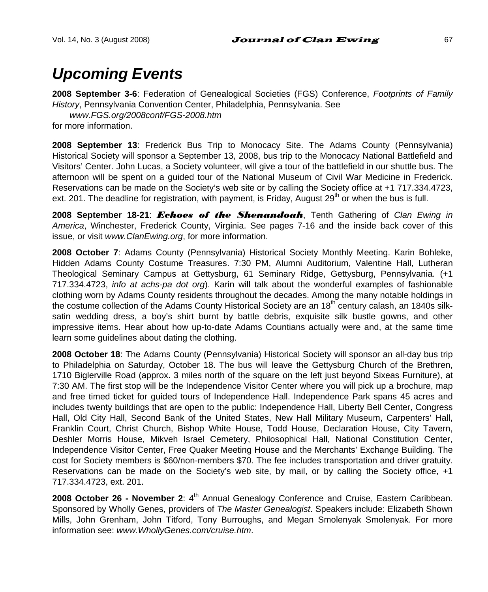# *Upcoming Events*

**2008 September 3-6**: Federation of Genealogical Societies (FGS) Conference, *Footprints of Family History*, Pennsylvania Convention Center, Philadelphia, Pennsylvania. See

*www.FGS.org/2008conf/FGS-2008.htm* for more information.

**2008 September 13**: Frederick Bus Trip to Monocacy Site. The Adams County (Pennsylvania) Historical Society will sponsor a September 13, 2008, bus trip to the Monocacy National Battlefield and Visitors' Center. John Lucas, a Society volunteer, will give a tour of the battlefield in our shuttle bus. The afternoon will be spent on a guided tour of the National Museum of Civil War Medicine in Frederick. Reservations can be made on the Society's web site or by calling the Society office at +1 717.334.4723, ext. 201. The deadline for registration, with payment, is Friday, August 29<sup>th</sup> or when the bus is full.

**2008 September 18-21**: *Echoes of the Shenandoah*, Tenth Gathering of *Clan Ewing in America*, Winchester, Frederick County, Virginia. See pages 7-16 and the inside back cover of this issue, or visit *www.ClanEwing.org*, for more information.

**2008 October 7**: Adams County (Pennsylvania) Historical Society Monthly Meeting. Karin Bohleke, Hidden Adams County Costume Treasures. 7:30 PM, Alumni Auditorium, Valentine Hall, Lutheran Theological Seminary Campus at Gettysburg, 61 Seminary Ridge, Gettysburg, Pennsylvania. (+1 717.334.4723, *info at achs-pa dot org*). Karin will talk about the wonderful examples of fashionable clothing worn by Adams County residents throughout the decades. Among the many notable holdings in the costume collection of the Adams County Historical Society are an  $18<sup>th</sup>$  century calash, an 1840s silksatin wedding dress, a boy's shirt burnt by battle debris, exquisite silk bustle gowns, and other impressive items. Hear about how up-to-date Adams Countians actually were and, at the same time learn some guidelines about dating the clothing.

**2008 October 18**: The Adams County (Pennsylvania) Historical Society will sponsor an all-day bus trip to Philadelphia on Saturday, October 18. The bus will leave the Gettysburg Church of the Brethren, 1710 Biglerville Road (approx. 3 miles north of the square on the left just beyond Sixeas Furniture), at 7:30 AM. The first stop will be the Independence Visitor Center where you will pick up a brochure, map and free timed ticket for guided tours of Independence Hall. Independence Park spans 45 acres and includes twenty buildings that are open to the public: Independence Hall, Liberty Bell Center, Congress Hall, Old City Hall, Second Bank of the United States, New Hall Military Museum, Carpenters' Hall, Franklin Court, Christ Church, Bishop White House, Todd House, Declaration House, City Tavern, Deshler Morris House, Mikveh Israel Cemetery, Philosophical Hall, National Constitution Center, Independence Visitor Center, Free Quaker Meeting House and the Merchants' Exchange Building. The cost for Society members is \$60/non-members \$70. The fee includes transportation and driver gratuity. Reservations can be made on the Society's web site, by mail, or by calling the Society office, +1 717.334.4723, ext. 201.

2008 October 26 - November 2: 4<sup>th</sup> Annual Genealogy Conference and Cruise, Eastern Caribbean. Sponsored by Wholly Genes, providers of *The Master Genealogist*. Speakers include: Elizabeth Shown Mills, John Grenham, John Titford, Tony Burroughs, and Megan Smolenyak Smolenyak. For more information see: *www.WhollyGenes.com/cruise.htm*.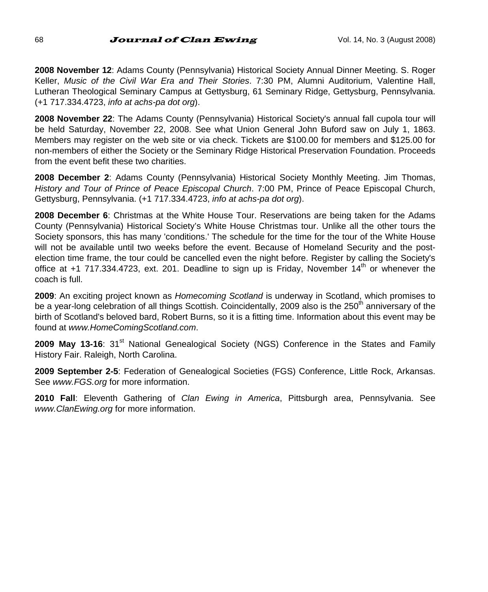#### 68  $Journal$  of Clan Ewing  $Vol. 14$ , No. 3 (August 2008)

**2008 November 12**: Adams County (Pennsylvania) Historical Society Annual Dinner Meeting. S. Roger Keller, *Music of the Civil War Era and Their Stories*. 7:30 PM, Alumni Auditorium, Valentine Hall, Lutheran Theological Seminary Campus at Gettysburg, 61 Seminary Ridge, Gettysburg, Pennsylvania. (+1 717.334.4723, *info at achs-pa dot org*).

**2008 November 22**: The Adams County (Pennsylvania) Historical Society's annual fall cupola tour will be held Saturday, November 22, 2008. See what Union General John Buford saw on July 1, 1863. Members may register on the web site or via check. Tickets are \$100.00 for members and \$125.00 for non-members of either the Society or the Seminary Ridge Historical Preservation Foundation. Proceeds from the event befit these two charities.

**2008 December 2**: Adams County (Pennsylvania) Historical Society Monthly Meeting. Jim Thomas, *History and Tour of Prince of Peace Episcopal Church*. 7:00 PM, Prince of Peace Episcopal Church, Gettysburg, Pennsylvania. (+1 717.334.4723, *info at achs-pa dot org*).

**2008 December 6**: Christmas at the White House Tour. Reservations are being taken for the Adams County (Pennsylvania) Historical Society's White House Christmas tour. Unlike all the other tours the Society sponsors, this has many 'conditions.' The schedule for the time for the tour of the White House will not be available until two weeks before the event. Because of Homeland Security and the postelection time frame, the tour could be cancelled even the night before. Register by calling the Society's office at  $+1$  717.334.4723, ext. 201. Deadline to sign up is Friday, November  $14<sup>th</sup>$  or whenever the coach is full.

**2009**: An exciting project known as *Homecoming Scotland* is underway in Scotland, which promises to be a year-long celebration of all things Scottish. Coincidentally, 2009 also is the 250<sup>th</sup> anniversary of the birth of Scotland's beloved bard, Robert Burns, so it is a fitting time. Information about this event may be found at *www.HomeComingScotland.com*.

2009 Mav 13-16: 31<sup>st</sup> National Genealogical Society (NGS) Conference in the States and Family History Fair. Raleigh, North Carolina.

**2009 September 2-5**: Federation of Genealogical Societies (FGS) Conference, Little Rock, Arkansas. See *www.FGS.org* for more information.

**2010 Fall**: Eleventh Gathering of *Clan Ewing in America*, Pittsburgh area, Pennsylvania. See *www.ClanEwing.org* for more information.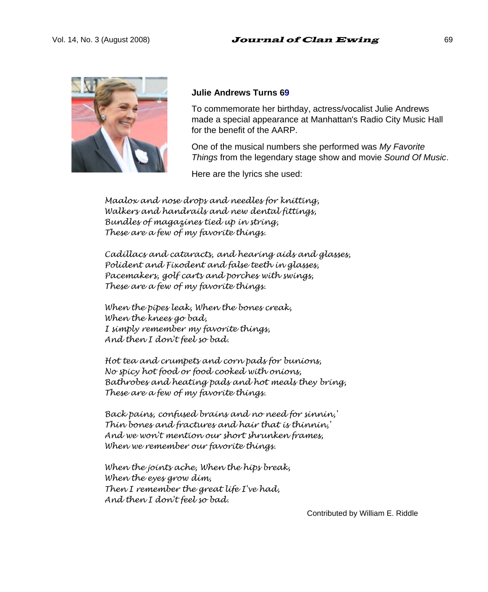

#### **Julie Andrews Turns 69**

To commemorate her birthday, actress/vocalist Julie Andrews made a special appearance at Manhattan's Radio City Music Hall for the benefit of the AARP.

One of the musical numbers she performed was *My Favorite Things* from the legendary stage show and movie *Sound Of Music*.

Here are the lyrics she used:

*Maalox and nose drops and needles for knitting, Walkers and handrails and new dental fittings, Bundles of magazines tied up in string, These are a few of my favorite things.* 

*Cadillacs and cataracts, and hearing aids and glasses, Polident and Fixodent and false teeth in glasses, Pacemakers, golf carts and porches with swings, These are a few of my favorite things.* 

*When the pipes leak, When the bones creak, When the knees go bad, I simply remember my favorite things, And then I don't feel so bad.* 

*Hot tea and crumpets and corn pads for bunions, No spicy hot food or food cooked with onions, Bathrobes and heating pads and hot meals they bring, These are a few of my favorite things.* 

*Back pains, confused brains and no need for sinnin,' Thin bones and fractures and hair that is thinnin,' And we won't mention our short shrunken frames, When we remember our favorite things.* 

*When the joints ache, When the hips break, When the eyes grow dim, Then I remember the great life I've had, And then I don't feel so bad.* 

Contributed by William E. Riddle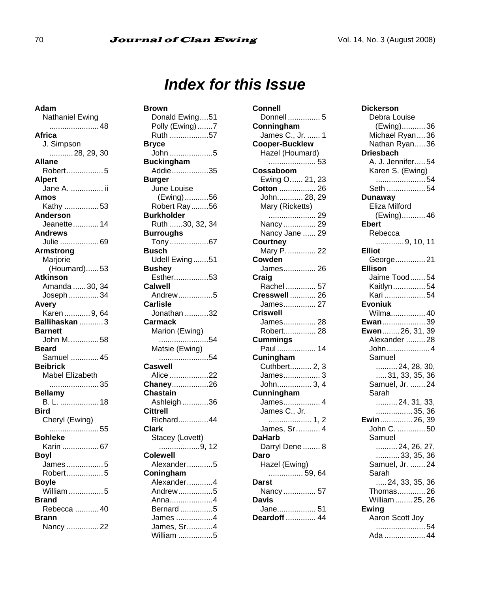# *Index for this Issue*

**Connell** 

**Adam**  Nathaniel Ewing .......................48 **Africa**  J. Simpson ...........28, 29, 30 **Allane**  Robert.................5 **Alpert**  Jane A. ............... ii **Amos**  Kathy ................53 **Anderson**  Jeanette............14 **Andrews**  Julie ..................69 **Armstrong**  Marjorie (Houmard)......53 **Atkinson**  Amanda ......30, 34 Joseph ..............34 **Avery**  Karen ............9, 64 **Ballihaskan** ...........3 **Barnett**  John M..............58 **Beard**  Samuel .............45 **Beibrick**  Mabel Elizabeth .......................35 **Bellamy**  B. L. ..................18 **Bird**  Cheryl (Ewing) .......................55 **Bohleke**  Karin .................67 **Boyl**  James .................5 Robert.................5 **Boyle**  William ................5 **Brand**  Rebecca ...........40 **Brann**  Nancy ...............22

#### **Brown**  Donald Ewing....51 Polly (Ewing) .......7 Ruth ..................57 **Bryce**  John ....................5 **Buckingham**  Addie.................35 **Burger**  June Louise (Ewing)...........56 Robert Ray........56 **Burkholder**  Ruth ......30, 32, 34 **Burroughs**  Tony..................67 **Busch**  Udell Ewing .......51 **Bushey**  Esther................53 **Calwell**  Andrew................5 **Carlisle**  Jonathan ...........32 **Carmack**  Marion (Ewing) .......................54 Matsie (Ewing) .......................54 **Caswell**  Alice ..................22 **Chaney**.................26 **Chastain**  Ashleigh ............36 **Cittrell**  Richard..............44 **Clark**  Stacey (Lovett) ...................9, 12 **Colewell**  Alexander............5 **Coningham**  Alexander............4 Andrew................5 Anna....................4 Bernard ...............5 James .................4 James, Sr............4 William ................5

| Donnell  5           |  |
|----------------------|--|
| Conningham           |  |
| James C., Jr.  1     |  |
| Cooper-Bucklew       |  |
|                      |  |
| Hazel (Houmard)      |  |
| 53                   |  |
| Cossaboom            |  |
| Ewing O 21, 23       |  |
| Cotton<br>26         |  |
|                      |  |
| John 28, 29          |  |
| Mary (Ricketts)      |  |
| 29                   |  |
| Nancy<br>29          |  |
|                      |  |
| Nancy Jane<br>29     |  |
| Courtney             |  |
| Mary P.  22          |  |
| Cowden               |  |
| James 26             |  |
|                      |  |
| Craig                |  |
| Rachel  57           |  |
| Cresswell  26        |  |
| James 27             |  |
| Criswell             |  |
| James 28             |  |
| Robert 28            |  |
| Cummings             |  |
|                      |  |
| Paul 14              |  |
| Cuningham            |  |
| Cuthbert 2, 3        |  |
| James 3              |  |
| John 3, 4            |  |
| Cunningham           |  |
| James 4              |  |
| James C., Jr.        |  |
| 1, 2                 |  |
| James, Sr.  4        |  |
|                      |  |
| DaHarb               |  |
| Darryl Dene  8       |  |
| Daro                 |  |
| Hazel (Ewing)        |  |
|                      |  |
| Darst                |  |
| <b></b><br>Nancy  57 |  |
|                      |  |
| Davis                |  |
| Jane 51              |  |
| Deardoff  44         |  |
|                      |  |

**Dickerson**  Debra Louise (Ewing)...........36 Michael Ryan....36 Nathan Ryan.....36 **Driesbach**  A. J. Jennifer.....54 Karen S. (Ewing) .......................54 Seth ..................54 **Dunaway**  Eliza Milford (Ewing)...........46 **Ebert**  Rebecca .............9, 10, 11 **Elliot**  George..............21 **Ellison**  Jaime Tood.......54 Kaitlyn...............54 Kari ...................54 **Evoniuk**  Wilma................40 **Ewan**....................39 **Ewen**........26, 31, 39 Alexander .........28 John....................4 Samuel ..........24, 28, 30, .....31, 33, 35, 36 Samuel, Jr. .......24 Sarah ..........24, 31, 33, .................35, 36 **Ewin**...............26, 39 John C. .............50 Samuel ..........24, 26, 27, ...........33, 35, 36 Samuel, Jr. .......24 Sarah .....24, 33, 35, 36 Thomas.............26 William ........25, 26 **Ewing**  Aaron Scott Joy .......................54 Ada ...................44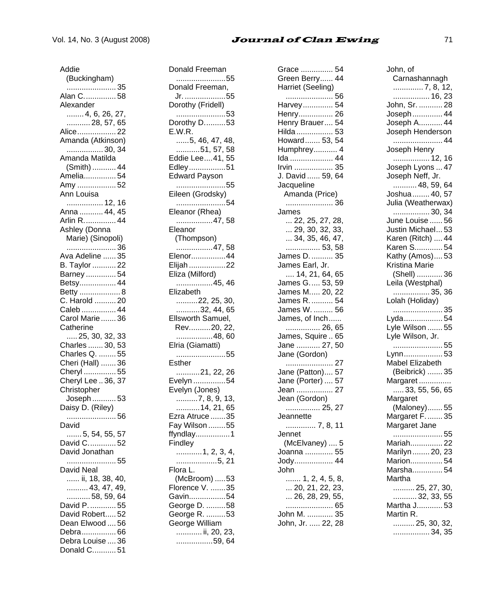Addie (Buckingham) ....................... 35 Alan C............... 58 Alexander ........ 4, 6, 26, 27, ........... 28, 57, 65 Alice.................. 22 Amanda (Atkinson) ................. 30, 34 Amanda Matilda (Smith) ........... 44 Amelia............... 54 Amy .................. 52 Ann Louisa ................. 12, 16 Anna ........... 44, 45 Arlin R............... 44 Ashley (Donna Marie) (Sinopoli) ....................... 36 Ava Adeline ...... 35 B. Taylor ........... 22 Barney .............. 54 Betsy................. 44 Betty ................... 8 C. Harold .......... 20 Caleb ................ 44 Carol Marie....... 36 **Catherine**  ..... 25, 30, 32, 33 Charles ....... 30, 53 Charles Q. ........ 55 Cheri (Hall) ....... 36 Cheryl ............... 55 Cheryl Lee .. 36, 37 Christopher Joseph ........... 53 Daisy D. (Riley) ....................... 56 David ....... 5, 54, 55, 57 David C............. 52 David Jonathan ....................... 55 David Neal ...... ii, 18, 38, 40, .......... 43, 47, 49, ........... 58, 59, 64 David P............. 55 David Robert..... 52 Dean Elwood .... 56 Debra................ 66 Debra Louise .... 36

Donald C........... 51

Donald Freeman .......................55 Donald Freeman, Jr. ...................55 Dorothy (Fridell) .......................53 Dorothy D..........53 E.W.R. ......5, 46, 47, 48, ...........51, 57, 58 Eddie Lee....41, 55 Edley.................51 Edward Payson .......................55 Eileen (Grodsky) .......................54 Eleanor (Rhea) .................47, 58 Eleanor (Thompson) .................47, 58 Elenor................44 Elijah .................22 Eliza (Milford) .................45, 46 Elizabeth ..........22, 25, 30, ...........32, 44, 65 Ellsworth Samuel, Rev..........20, 22, .................48, 60 Elria (Giamatti) .......................55 Esther ...........21, 22, 26 Evelyn ...............54 Evelyn (Jones) ..........7, 8, 9, 13, ...........14, 21, 65 Ezra Atruce .......35 Fay Wilson ........55 ffyndlay................1 Findley ............1, 2, 3, 4, ...................5, 21 Flora L. (McBroom) .....53 Florence V. .......35 Gavin.................54 George D. .........58 George R. .........53 George William ............ ii, 20, 23, .................59, 64

Grace ............... 54 Green Berry...... 44 Harriet (Seeling) ...................... 56 Harvey.............. 54 Henry................ 26 Henry Brauer.... 54 Hilda ................. 53 Howard....... 53, 54 Humphrey........... 4 Ida .................... 44 Irvin .................. 35 J. David ...... 59, 64 **Jacqueline** Amanda (Price) ...................... 36 James ... 22, 25, 27, 28, ... 29, 30, 32, 33, ... 34, 35, 46, 47, ................ 53, 58 James D. .......... 35 James Earl, Jr. .... 14, 21, 64, 65 James G..... 53, 59 James M..... 20, 22 James R. .......... 54 James W. ......... 56 James, of Inch...... ................ 26, 65 James, Squire .. 65 Jane ........... 27, 50 Jane (Gordon) ...................... 27 Jane (Patton).... 57 Jane (Porter) .... 57 Jean ................. 27 Jean (Gordon) ................ 25, 27 **Jeannette**  .............. 7, 8, 11 Jennet (McElvaney) .... 5 Joanna ............. 55 Jody.................. 44 John ....... 1, 2, 4, 5, 8, ... 20, 21, 22, 23, ... 26, 28, 29, 55, ...................... 65 John M. ............ 35 John, Jr. ..... 22, 28

John, of Carnashannagh .............. 7, 8, 12, ................. 16, 23 John, Sr. ........... 28 Joseph.............. 44 Joseph A........... 44 Joseph Henderson ....................... 44 Joseph Henry ................. 12, 16 Joseph Lyons ... 47 Joseph Neff, Jr. ........... 48, 59, 64 Joshua........ 40, 57 Julia (Weatherwax) ................. 30, 34 June Louise ...... 56 Justin Michael... 53 Karen (Ritch) .... 44 Karen S............. 54 Kathy (Amos).... 53 Kristina Marie (Shell) ............ 36 Leila (Westphal) ................. 35, 36 Lolah (Holiday) ....................... 35 Lyda.................. 54 Lyle Wilson ....... 55 Lyle Wilson, Jr. ....................... 55 Lynn.................. 53 Mabel Elizabeth (Beibrick) ....... 35 Margaret ............... ..... 33, 55, 56, 65 **Margaret** (Maloney)....... 55 Margaret F........ 35 Margaret Jane ....................... 55 Mariah............... 22 Marilyn........ 20, 23 Marion............... 54 Marsha.............. 54 Martha .......... 25, 27, 30, ........... 32, 33, 55 Martha J............ 53 Martin R. .......... 25, 30, 32, ................. 34, 35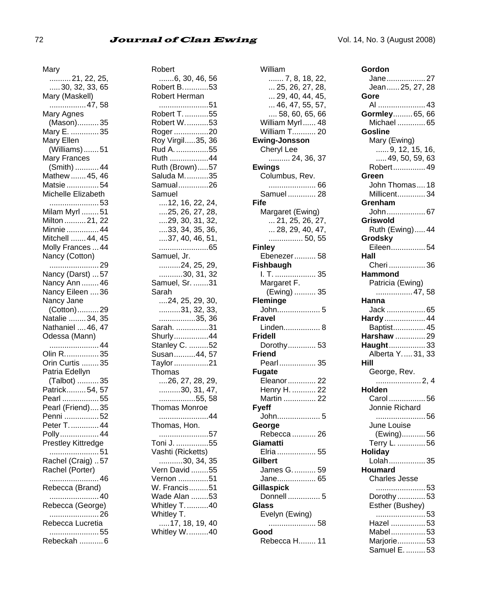#### 72 **Journal of Clan Ewing**  $V$ ol. 14, No. 3 (August 2008)

| Mary                            |
|---------------------------------|
| 21, 22, 25,                     |
| 30, 32, 33, 65                  |
| Mary (Maskell)                  |
| 47, 58                          |
| Mary Agnes                      |
| (Mason)35                       |
| Mary E. 35                      |
| Mary Ellen                      |
| (Williams) 51                   |
| Mary Frances                    |
| (Smith)  44<br>Mathew  45, 46   |
|                                 |
| Matsie 54<br>Michelle Elizabeth |
| 53                              |
| Milam Myrl  51                  |
| Milton  21, 22                  |
| Minnie  44                      |
| Mitchell  44, 45                |
| Molly Frances  44               |
| Nancy (Cotton)                  |
|                                 |
| Nancy (Darst)  57               |
| Nancy Ann  46                   |
| Nancy Eileen 36                 |
| Nancy Jane                      |
| Cotton)29<br>Natalie  34, 35    |
|                                 |
| Nathaniel  46, 47               |
| Odessa (Mann)                   |
|                                 |
| Olin R35                        |
| Orin Curtis  35                 |
| Patria Edellyn                  |
| (Talbot)  35                    |
| Patrick 54, 57                  |
| Pearl 55                        |
| Pearl (Friend)35                |
|                                 |
|                                 |
| Polly  44<br>Prestley Kittredge |
|                                 |
| Rachel (Craig) 57               |
| Rachel (Porter)                 |
| 46                              |
| Rebecca (Brand)                 |
|                                 |
| Rebecca (George)                |
| 26                              |
| Rebecca Lucretia                |
| 55                              |
| Rebeckah 6                      |

| Robert                                        |
|-----------------------------------------------|
| 6, 30, 46, 56                                 |
| Robert B53                                    |
| Robert Herman                                 |
| 51                                            |
| Robert T. 55                                  |
| Robert W53                                    |
| Roger 20                                      |
| Roy Virgil35, 36                              |
| Rud A. 55                                     |
| Ruth 44                                       |
| Ruth (Brown)57                                |
| Saluda M35                                    |
| Samual26                                      |
| Samuel                                        |
| 12, 16, 22, 24,                               |
| 28,                                           |
| .=,<br>25, 26, 27,<br>29, 30, 31,<br>32,      |
| $\dots$ 33, 34, 35, 36,                       |
| 37, 40, 46, 51,                               |
| 65                                            |
| Samuel, Jr.                                   |
| 24, 25, 29,                                   |
| 30, 31, 32                                    |
| Samuel, Sr. 31                                |
| Sarah                                         |
| 24, 25, 29, 30,                               |
| 31, 32, 33,<br>35, 36                         |
|                                               |
| Sarah. 31                                     |
| Shurly44                                      |
| Stanley C. 52                                 |
| Susan44, 57                                   |
| Taylor 21                                     |
| Thomas                                        |
| 26, 27, 28, 29,                               |
| 30, 31, 47,<br>55, 58                         |
| Thomas Monroe                                 |
|                                               |
|                                               |
| Thomas, Hon.<br>57                            |
|                                               |
| Toni J. 55<br>Vashti (Ricketts)               |
| 30, 34, 35                                    |
| Vern David 55                                 |
| Vernon 51                                     |
| W. Francis51                                  |
| Wade Alan 53                                  |
|                                               |
|                                               |
| Whitley T. 40<br>Whitley T.<br>17, 18, 19, 40 |
| <br>Whitley W…40                              |

| William                 |
|-------------------------|
| 7, 8, 18, 22,           |
| 25, 26, 27, 28,         |
| 29, 40, 44, 45,         |
| $$ 46, 47, 55, 57,      |
| $\dots$ 58, 60, 65, 66  |
| William Myrl 48         |
| William T 20            |
| Ewing-Jonsson           |
| Cheryl Lee              |
| 24, 36, 37              |
| Ewings                  |
| Columbus, Rev.          |
|                         |
| 66                      |
| Samuel  28              |
| Fife                    |
| Margaret (Ewing)        |
| $\dots$ 21, 25, 26, 27, |
| $\dots$ 28, 29, 40, 47, |
| 50, 55                  |
| Finley                  |
| Ebenezer 58             |
| Fishbaugh               |
| I. T.  35               |
| Margaret F.             |
| (Ewing)  35             |
| Fleminge                |
| John 5                  |
| Fravel                  |
| Linden 8                |
| Fridell                 |
| Dorothy 53              |
|                         |
| Friend                  |
| Pearl 35                |
| Fugate                  |
| Eleanor 22              |
| Henry H.  22            |
| Martin  22              |
| Fyeff                   |
| John 5                  |
| George                  |
| Rebecca  26             |
| Giamatti                |
| Elria  55               |
| Gilbert                 |
| James G 59              |
| Jane 65                 |
| Gillaspick              |
| Donnell  5              |
| Glass                   |
|                         |
| Evelyn (Ewing)          |
| 58                      |
| Good                    |
| Rebecca H<br>11         |

**Gordon**  Jane..................27 Jean......25, 27, 28 **Gore**  Al ......................43 **Gormley**.........65, 66 Michael .............65 **Gosline**  Mary (Ewing) ......9, 12, 15, 16, .....49, 50, 59, 63 Robert...............49 **Green**  John Thomas....18 Millicent.............34 **Grenham**  John..................67 **Griswold**  Ruth (Ewing).....44 **Grodsky**  Eileen................54 **Hall**  Cheri .................36 **Hammond**  Patricia (Ewing) .................47, 58 **Hanna**  Jack ..................65 **Hardy** ...................44 Baptist...............45 **Harshaw** ..............29 **Haught**.................33 Alberta Y.....31, 33 **Hill**  George, Rev. .....................2, 4 **Holden**  Carol .................56 Jonnie Richard .......................56 June Louise (Ewing)...........56 Terry L. .............56 **Holiday**  Lolah.................35 **Houmard**  Charles Jesse .......................53 Dorothy .............53 Esther (Bushey) .......................53 Hazel ................53 Mabel................53 Marjorie.............53 Samuel E. .........53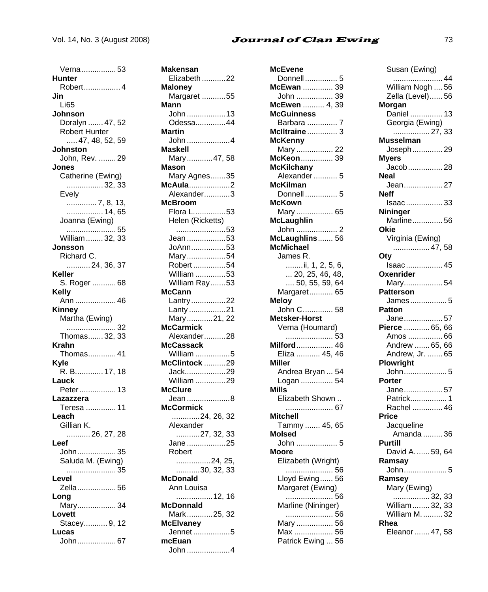### Vol. 14, No. 3 (August 2008) **Journal of Clan Ewing** 73

| Verna  53                |
|--------------------------|
| Hunter                   |
| Robert 4                 |
| Jin                      |
| Li65                     |
| Johnson                  |
| Doralyn  47, 52          |
| Robert Hunter            |
| 47, 48, 52, 59           |
| Johnston                 |
| John, Rev.  29           |
| Jones                    |
| Catherine (Ewing)        |
| 32, 33                   |
| Evely                    |
| 7, 8, 13,                |
| 14, 65<br>Joanna (Ewing) |
|                          |
| 55<br>William  32, 33    |
| Jonsson                  |
| Richard C.               |
| 24, 36, 37               |
| Keller                   |
| S. Roger  68             |
| Kelly                    |
| Ann  46                  |
| Kinney                   |
| Martha (Ewing)           |
| 32                       |
| Thomas 32, 33            |
| Krahn                    |
| Thomas 41                |
| Kyle                     |
| .<br>R. B 17, 18         |
| Lauck                    |
| Peter 13                 |
| Lazazzera                |
| Teresa  11               |
| Leach                    |
| Gillian K.               |
| 26, 27, 28               |
| Leef                     |
| John 35                  |
|                          |
| Saluda M. (Ewing)        |
| 35                       |
| Level                    |
| Zella 56                 |
| Long                     |
| Mary 34                  |
| Lovett                   |
| Stacey 9, 12             |
| Lucas<br>John 67         |

| Makensan                     |
|------------------------------|
| Elizabeth22                  |
| Maloney                      |
| Margaret 55                  |
| Mann                         |
| John 13                      |
| Odessa44                     |
| Martin                       |
| John 4                       |
| Maskell<br>Mary47, 58        |
| <b>Mason</b>                 |
| Mary Agnes35                 |
| McAula2                      |
| Alexander3                   |
| <b>McBroom</b>               |
| Flora L53                    |
| Helen (Ricketts)             |
| 53                           |
| Jean 53                      |
| JoAnn53                      |
| Mary54                       |
| Robert54                     |
| William 53<br>William Ray 53 |
|                              |
| McCann                       |
| Lantry22                     |
| Lanty 21                     |
| Mary 21, 22                  |
| <b>McCarmick</b>             |
| Alexander28                  |
| <b>McCassack</b>             |
| William 5<br>McClintock 29   |
| Jack29                       |
| William 29                   |
| McClure                      |
| Jean 8                       |
| <b>McCormick</b>             |
| 24, 26, 32                   |
| Alexander                    |
| 27, 32, 33                   |
| Jane 25                      |
| Robert                       |
| 24, 25,                      |
| 30, 32, 33                   |
| McDonald                     |
| Ann Louisa                   |
| 12, 16                       |
| McDonnald                    |
| Mark25, 32                   |
| <b>McElvaney</b><br>Jennet 5 |
| mcEuan                       |
| John 4                       |
|                              |

| <b>McEvene</b>            |
|---------------------------|
| Donnell  5                |
| McEwan  39                |
| John  39                  |
| McEwen  4, 39             |
| <b>McGuinness</b>         |
| Barbara<br>7              |
| <b>McIltraine  3</b>      |
| McKenny<br>Mary  22       |
|                           |
| McKeon 39                 |
| McKilchany<br>Alexander 5 |
| McKilman                  |
| Donnell  5                |
| McKown                    |
| Mary  65                  |
| McLaughlin                |
| John  2                   |
| McLaughlins 56            |
| <b>McMichael</b>          |
| James R.                  |
| ii, 1, 2, 5, 6,           |
| $\dots$ 20, 25, 46, 48,   |
| $\dots$ 50, 55, 59, 64    |
| Margaret 65               |
| Meloy                     |
| John C 58                 |
| Metsker-Horst             |
| Verna (Houmard)           |
| 53                        |
| Milford 46                |
| Eliza  45, 46             |
| Miller                    |
| <br>Andrea Bryan  54      |
| Logan  54                 |
| Mills                     |
| Elizabeth Shown           |
| 67                        |
| Mitchell                  |
| Tammy  45, 65             |
| Molsed                    |
| --- <i>--</i><br>John  5  |
| Moore                     |
| Elizabeth (Wright)        |
| 56                        |
| Lloyd Ewing 56            |
| Margaret (Ewing)          |
| 56<br>Marline (Nininger)  |
| 56                        |
| Mary  56                  |
| Max  56                   |
| Patrick Ewing  56         |
|                           |

| Susan (Ewing)                              |
|--------------------------------------------|
| 44<br>William Nogh  56<br>Zella (Level) 56 |
| Morgan<br>Daniel  13                       |
| Georgia (Ewing)                            |
|                                            |
| Musselman                                  |
| ------------<br>Joseph  29<br>Myers        |
| ,<br>Jacob  28                             |
| Neal                                       |
| Jean 27                                    |
| <b>Neff</b>                                |
| Isaac 33<br>Nininger                       |
| Marline 56                                 |
| Okie                                       |
| Virginia (Ewing)                           |
| 47, 58                                     |
| Otv<br>.<br>Isaac  45                      |
| Oxenrider                                  |
| Mary54                                     |
| Patterson                                  |
| James5                                     |
| Patton<br>Jane 57                          |
| Pierce  65, 66                             |
| Amos  66                                   |
| Andrew  65, 66                             |
| Andrew, Jr.  65                            |
| Plowright<br>John5                         |
| Porter                                     |
| Jane 57                                    |
| Patrick 1                                  |
| Rachel  46<br>Price                        |
| Jacqueline                                 |
| Amanda  36                                 |
| Purtill                                    |
| David A.  59, 64                           |
| Ramsay<br>John5                            |
| Ramsey                                     |
| Mary (Ewing)                               |
| 32, 33.<br>William  32, 33                 |
|                                            |
| William M.  32<br>Rhea                     |
| Eleanor  47,<br>58                         |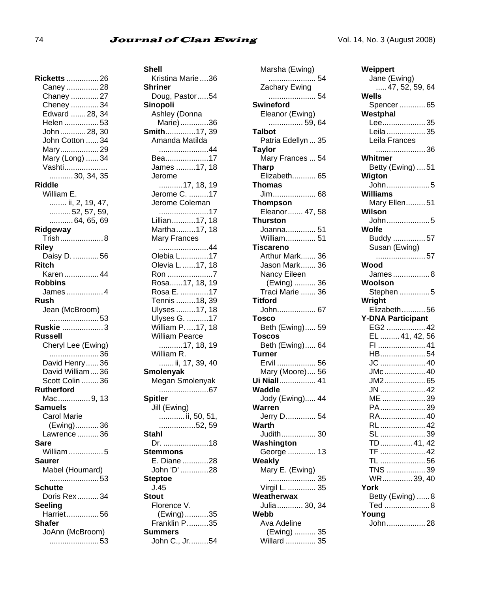#### 74 **Journal of Clan Ewing Transf**  $V$ ol. 14, No. 3 (August 2008)

| <b>Ricketts</b> 26<br>Caney 28<br>Chaney 27             |
|---------------------------------------------------------|
| Cheney  34<br>Edward  28,<br>34<br>Helen 53             |
| John  28, 30<br>John Cotton  34<br>Mary29               |
| Mary (Long)  34<br>Vashti<br>30, 34, 35                 |
| Riddle<br>William E.<br>ii, 2, 19, 47,                  |
| 52, 57, 59,<br>64, 65, 69<br>Ridgeway                   |
| Trish8<br>Riley<br>Daisy D.  56                         |
| Ritch<br>Karen  44                                      |
| Robbins<br>James  4<br>Rush                             |
| Jean (McBroom)<br>53<br><b>Ruskie</b> 3                 |
| Russell<br>Cheryl Lee (Ewing)<br>36                     |
| David Henry36<br>David William<br>36<br>Scott Colin  36 |
| Rutherford<br>Мас…………… 9, 13<br>Samuels<br>Carol Marie  |
| (Ewing)36<br>Lawrence  36                               |
| Sare<br>William 5<br>Saurer                             |
| Mabel (Houmard)<br>53<br>Schutte                        |
| Doris Rex34<br>Seeling<br>Harriet56                     |
| Shafer<br>JoAnn (McBroom)<br>53                         |

#### **Shell**  Kristina Marie....36 **Shriner**  Doug, Pastor .....54 **Sinopoli**  Ashley (Donna Marie).............36 **Smith**..............17, 39 Amanda Matilda .......................44 Bea....................17 James .........17, 18 Jerome ...........17, 18, 19 Jerome C. .........17 Jerome Coleman .......................17 Lillian...........17, 18 Martha.........17, 18 Mary Frances .......................44 Olebia L.............17 Olevia L.......17, 18 Ron .....................7 Rosa......17, 18, 19 Rosa E. .............17 Tennis .........18, 39 Ulyses .........17, 18 Ulyses G. ..........17 William P.....17, 18 William Pearce ...........17, 18, 19 William R. ....... ii, 17, 39, 40 **Smolenyak**  Megan Smolenyak .......................67 **Spitler**  Jill (Ewing) ............ ii, 50, 51, .................52, 59 **Stahl**  Dr. .....................18 **Stemmons**  E. Diane ............28 John 'D' .............28 **Steptoe**  J. 45 **Stout**  Florence V. (Ewing)...........35 Franklin P..........35 **Summers**  John C., Jr.........54

Marsha (Ewing) ...................... 54 Zachary Ewing ...................... 54 **Swineford**  Eleanor (Ewing) ................ 59, 64 **Talbot**  Patria Edellyn ... 35 **Taylor**  Mary Frances ... 54 **Tharp**  Elizabeth........... 65 **Thomas**  Jim.................... 68 **Thompson**  Eleanor....... 47, 58 **Thurston**  Joanna.............. 51 William.............. 51 **Tiscareno**  Arthur Mark....... 36 Jason Mark....... 36 Nancy Eileen (Ewing) .......... 36 Traci Marie ....... 36 **Titford**  John.................. 67 **Tosco**  Beth (Ewing)..... 59 **Toscos**  Beth (Ewing)..... 64 **Turner**  Ervil .................. 56 Mary (Moore).... 56 **Ui Niall**................. 41 **Waddle**  Jody (Ewing)..... 44 **Warren**  Jerry D.............. 54 **Warth**  Judith................ 30 **Washington**  George ............. 13 **Weakly**  Mary E. (Ewing) ...................... 35 Virgil L. ............. 35 **Weatherwax**  Julia............ 30, 34 **Webb**  Ava Adeline (Ewing) .......... 35 Willard .............. 35 **Weippert**  Jane (Ewing) .....47, 52, 59, 64 **Wells**  Spencer ............65 **Westphal**  Lee....................35 Leila ..................35 Leila Frances .......................36 **Whitmer**  Betty (Ewing) ....51 **Wigton**  John....................5 **Williams**  Mary Ellen.........51 **Wilson**  John....................5 **Wolfe**  Buddy ...............57 Susan (Ewing) .......................57 **Wood**  James .................8 **Woolson**  Stephen ..............5 **Wright**  Elizabeth...........56 **Y-DNA Participant**  EG2 ..................42 EL .........41, 42, 56 FI ......................41 HB.....................54 JC .....................40 JMc ...................40 JM2...................65 JN .....................42 ME ....................39 PA.....................39 RA.....................40 RL .....................42 SL .....................39 TD...............41, 42 TF .....................42 TL .....................56 TNS ..................39 WR..............39, 40 **York**  Betty (Ewing) ......8 Ted .....................8 **Young**  John..................28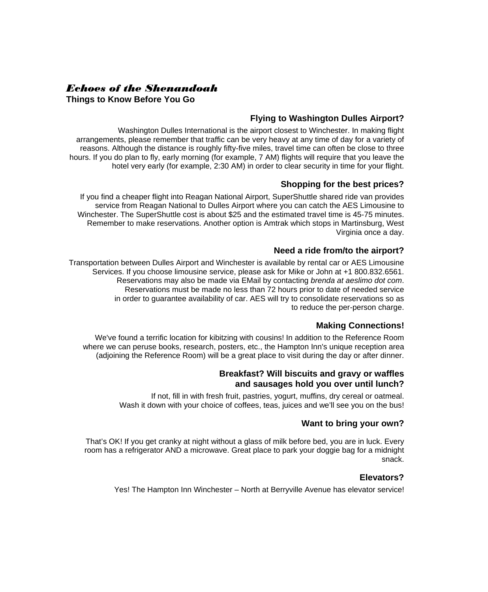### *Echoes of the Shenandoah* **Things to Know Before You Go**

### **Flying to Washington Dulles Airport?**

Washington Dulles International is the airport closest to Winchester. In making flight arrangements, please remember that traffic can be very heavy at any time of day for a variety of reasons. Although the distance is roughly fifty-five miles, travel time can often be close to three hours. If you do plan to fly, early morning (for example, 7 AM) flights will require that you leave the hotel very early (for example, 2:30 AM) in order to clear security in time for your flight.

### **Shopping for the best prices?**

If you find a cheaper flight into Reagan National Airport, SuperShuttle shared ride van provides service from Reagan National to Dulles Airport where you can catch the AES Limousine to Winchester. The SuperShuttle cost is about \$25 and the estimated travel time is 45-75 minutes. Remember to make reservations. Another option is Amtrak which stops in Martinsburg, West Virginia once a day.

### **Need a ride from/to the airport?**

Transportation between Dulles Airport and Winchester is available by rental car or AES Limousine Services. If you choose limousine service, please ask for Mike or John at +1 800.832.6561. Reservations may also be made via EMail by contacting *brenda at aeslimo dot com*. Reservations must be made no less than 72 hours prior to date of needed service in order to guarantee availability of car. AES will try to consolidate reservations so as to reduce the per-person charge.

### **Making Connections!**

We've found a terrific location for kibitzing with cousins! In addition to the Reference Room where we can peruse books, research, posters, etc., the Hampton Inn's unique reception area (adjoining the Reference Room) will be a great place to visit during the day or after dinner.

#### **Breakfast? Will biscuits and gravy or waffles and sausages hold you over until lunch?**

If not, fill in with fresh fruit, pastries, yogurt, muffins, dry cereal or oatmeal. Wash it down with your choice of coffees, teas, juices and we'll see you on the bus!

#### **Want to bring your own?**

That's OK! If you get cranky at night without a glass of milk before bed, you are in luck. Every room has a refrigerator AND a microwave. Great place to park your doggie bag for a midnight snack.

### **Elevators?**

Yes! The Hampton Inn Winchester – North at Berryville Avenue has elevator service!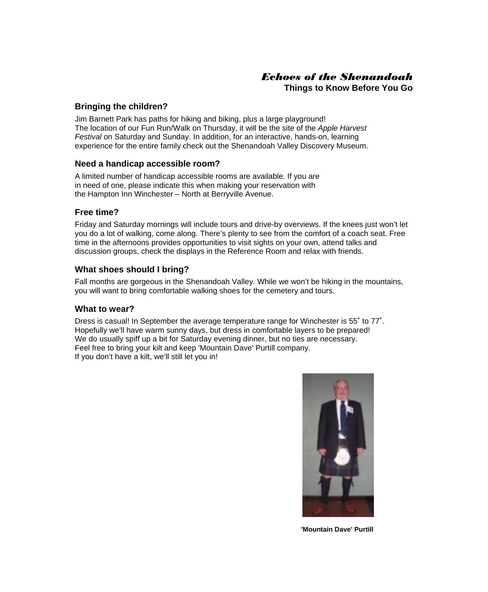# *Echoes of the Shenandoah*

**Things to Know Before You Go** 

### **Bringing the children?**

Jim Barnett Park has paths for hiking and biking, plus a large playground! The location of our Fun Run/Walk on Thursday, it will be the site of the *Apple Harvest Festival* on Saturday and Sunday. In addition, for an interactive, hands-on, learning experience for the entire family check out the Shenandoah Valley Discovery Museum.

#### **Need a handicap accessible room?**

A limited number of handicap accessible rooms are available. If you are in need of one, please indicate this when making your reservation with the Hampton Inn Winchester – North at Berryville Avenue.

### **Free time?**

Friday and Saturday mornings will include tours and drive-by overviews. If the knees just won't let you do a lot of walking, come along. There's plenty to see from the comfort of a coach seat. Free time in the afternoons provides opportunities to visit sights on your own, attend talks and discussion groups, check the displays in the Reference Room and relax with friends.

### **What shoes should I bring?**

Fall months are gorgeous in the Shenandoah Valley. While we won't be hiking in the mountains, you will want to bring comfortable walking shoes for the cemetery and tours.

#### **What to wear?**

Dress is casual! In September the average temperature range for Winchester is 55˚ to 77˚. Hopefully we'll have warm sunny days, but dress in comfortable layers to be prepared! We do usually spiff up a bit for Saturday evening dinner, but no ties are necessary. Feel free to bring your kilt and keep 'Mountain Dave' Purtill company. If you don't have a kilt, we'll still let you in!



 **'Mountain Dave' Purtill**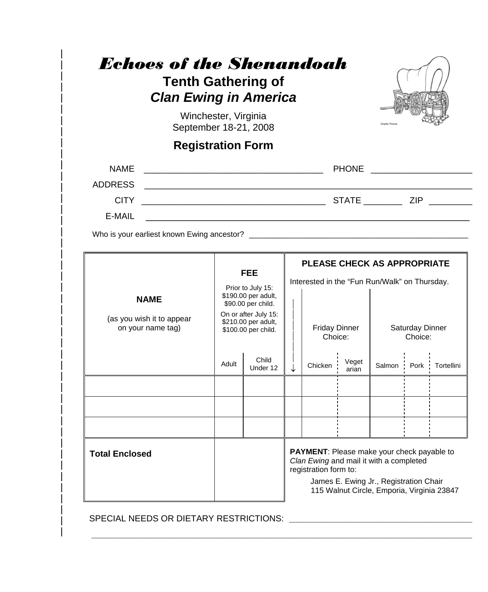| NAME<br>ADDRESS<br><b>CITY</b><br>E-MAIL       | <b>Registration Form</b> |                                                                                          |                                                        |                                                                                                                       |                |                                                                                      |                            |  |
|------------------------------------------------|--------------------------|------------------------------------------------------------------------------------------|--------------------------------------------------------|-----------------------------------------------------------------------------------------------------------------------|----------------|--------------------------------------------------------------------------------------|----------------------------|--|
|                                                |                          |                                                                                          |                                                        |                                                                                                                       |                |                                                                                      |                            |  |
|                                                |                          |                                                                                          |                                                        |                                                                                                                       |                |                                                                                      |                            |  |
|                                                |                          |                                                                                          |                                                        |                                                                                                                       |                |                                                                                      |                            |  |
|                                                | <b>NAME</b>              |                                                                                          | <b>FEE</b><br>Prior to July 15:<br>\$190.00 per adult, | <b>PLEASE CHECK AS APPROPRIATE</b><br>Interested in the "Fun Run/Walk" on Thursday.                                   |                |                                                                                      |                            |  |
| (as you wish it to appear<br>on your name tag) |                          | \$90.00 per child.<br>On or after July 15:<br>\$210.00 per adult,<br>\$100.00 per child. |                                                        | <b>Friday Dinner</b><br>Choice:                                                                                       |                |                                                                                      | Saturday Dinner<br>Choice: |  |
|                                                |                          | Adult                                                                                    | Child<br>Under 12                                      | Chicken                                                                                                               | Veget<br>arian | Salmon Pork Tortellini                                                               |                            |  |
|                                                |                          |                                                                                          |                                                        |                                                                                                                       |                |                                                                                      |                            |  |
|                                                |                          |                                                                                          |                                                        |                                                                                                                       |                |                                                                                      |                            |  |
| <b>Total Enclosed</b>                          |                          |                                                                                          |                                                        | <b>PAYMENT:</b> Please make your check payable to<br>Clan Ewing and mail it with a completed<br>registration form to: |                | James E. Ewing Jr., Registration Chair<br>115 Walnut Circle, Emporia, Virginia 23847 |                            |  |

**\_\_\_\_\_\_\_\_\_\_\_\_\_\_\_\_\_\_\_\_\_\_\_\_\_\_\_\_\_\_\_\_\_\_\_\_\_\_\_\_\_\_\_\_\_\_\_\_\_\_\_\_\_\_\_\_\_\_\_\_\_\_\_\_\_\_\_\_\_\_\_\_\_\_\_\_\_\_\_** 

SPECIAL NEEDS OR DIETARY RESTRICTIONS: **\_\_\_\_\_\_\_\_\_\_\_\_\_\_\_\_\_\_\_\_\_\_\_\_\_\_\_\_\_\_\_\_\_\_\_\_\_\_** 

| | | | | | | | | | | | | | | | | | | | | | | | | | | | | | | | | | | | | | | | | | | |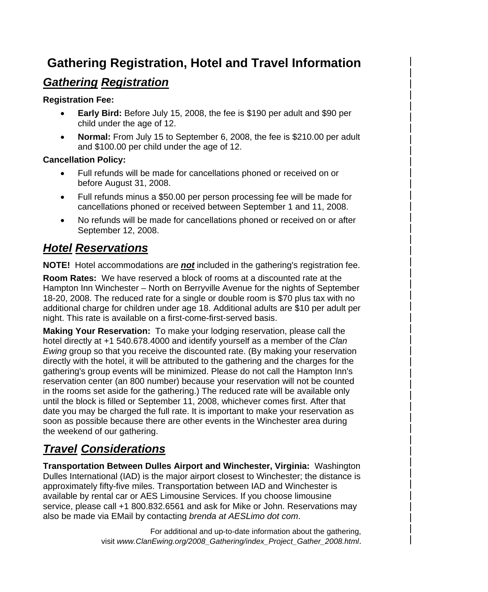# **Gathering Registration, Hotel and Travel Information**

| | | | | | | | | | | | | | | | | | | | | | | | | | | | | | | | | | | | | | | | | | | |

# *Gathering Registration*

### **Registration Fee:**

- **Early Bird:** Before July 15, 2008, the fee is \$190 per adult and \$90 per child under the age of 12.
- **Normal:** From July 15 to September 6, 2008, the fee is \$210.00 per adult and \$100.00 per child under the age of 12.

**Cancellation Policy:** 

- Full refunds will be made for cancellations phoned or received on or before August 31, 2008.
- Full refunds minus a \$50.00 per person processing fee will be made for cancellations phoned or received between September 1 and 11, 2008.
- No refunds will be made for cancellations phoned or received on or after September 12, 2008.

# *Hotel Reservations*

**NOTE!** Hotel accommodations are *not* included in the gathering's registration fee.

**Room Rates:** We have reserved a block of rooms at a discounted rate at the Hampton Inn Winchester – North on Berryville Avenue for the nights of September 18-20, 2008. The reduced rate for a single or double room is \$70 plus tax with no additional charge for children under age 18. Additional adults are \$10 per adult per night. This rate is available on a first-come-first-served basis.

**Making Your Reservation:** To make your lodging reservation, please call the hotel directly at +1 540.678.4000 and identify yourself as a member of the *Clan Ewing* group so that you receive the discounted rate. (By making your reservation directly with the hotel, it will be attributed to the gathering and the charges for the gathering's group events will be minimized. Please do not call the Hampton Inn's reservation center (an 800 number) because your reservation will not be counted in the rooms set aside for the gathering.) The reduced rate will be available only until the block is filled or September 11, 2008, whichever comes first. After that date you may be charged the full rate. It is important to make your reservation as soon as possible because there are other events in the Winchester area during the weekend of our gathering.

# *Travel Considerations*

**Transportation Between Dulles Airport and Winchester, Virginia:** Washington Dulles International (IAD) is the major airport closest to Winchester; the distance is approximately fifty-five miles. Transportation between IAD and Winchester is available by rental car or AES Limousine Services. If you choose limousine service, please call +1 800.832.6561 and ask for Mike or John. Reservations may also be made via EMail by contacting *brenda at AESLimo dot com*.

> For additional and up-to-date information about the gathering, visit *www.ClanEwing.org/2008\_Gathering/index\_Project\_Gather\_2008.html*.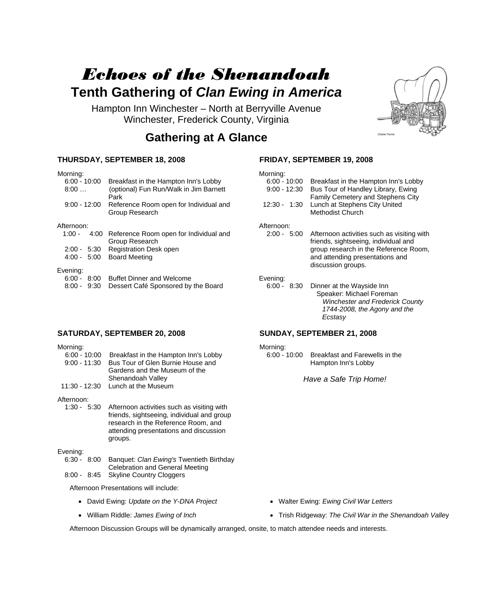# *Echoes of the Shenandoah* **Tenth Gathering of** *Clan Ewing in America*

Hampton Inn Winchester – North at Berryville Avenue Winchester, Frederick County, Virginia

## **Gathering at A Glance**



#### Morning:

| iviorning:     |      |                                        |
|----------------|------|----------------------------------------|
| $6:00 - 10:00$ |      | Breakfast in the Hampton Inn's Lobby   |
| 8:00           |      | (optional) Fun Run/Walk in Jim Barnett |
|                |      | Park                                   |
| $9:00 - 12:00$ |      | Reference Room open for Individual and |
|                |      | Group Research                         |
| Afternoon:     |      |                                        |
|                |      |                                        |
| $1:00 -$       | 4:00 | Reference Room open for Individual and |
|                |      | Group Research                         |
| $2:00 - 5:30$  |      | <b>Registration Desk open</b>          |
| $4:00 - 5:00$  |      | <b>Board Meeting</b>                   |
| Evening:       |      |                                        |
| $6:00 -$       | 8:00 | <b>Buffet Dinner and Welcome</b>       |
| $8:00 -$       | 9:30 | Dessert Café Sponsored by the Board    |
|                |      |                                        |

#### **FRIDAY, SEPTEMBER 19, 2008**

#### Morning:<br>6:00 - 10:00 6:00 - 10:00 Breakfast in the Hampton Inn's Lobby Bus Tour of Handley Library, Ewing Family Cemetery and Stephens City 12:30 - 1:30 Lunch at Stephens City United Methodist Church Afternoon:<br>2:00 - 5:00 Afternoon activities such as visiting with friends, sightseeing, individual and group research in the Reference Room, and attending presentations and discussion groups. Evening:

 6:00 - 8:30 Dinner at the Wayside Inn Speaker: Michael Foreman *Winchester and Frederick County 1744-2008, the Agony and the Ecstasy* 

 6:00 - 10:00 Breakfast and Farewells in the Hampton Inn's Lobby *Have a Safe Trip Home!* 

#### **SATURDAY, SEPTEMBER 20, 2008 SUNDAY, SEPTEMBER 21, 2008**

Morning:

#### Morning:

| $6:00 - 10:00$  | Breakfast in the Hampton Inn's Lobby |
|-----------------|--------------------------------------|
| $9:00 - 11:30$  | Bus Tour of Glen Burnie House and    |
|                 | Gardens and the Museum of the        |
|                 | Shenandoah Vallev                    |
| $11:30 - 12:30$ | Lunch at the Museum                  |

# Afternoon:<br>1:30 - 5:30

Afternoon activities such as visiting with friends, sightseeing, individual and group research in the Reference Room, and attending presentations and discussion groups.

#### Evening:

- 6:30 8:00 Banquet: *Clan Ewing's* Twentieth Birthday Celebration and General Meeting
- 8:00 8:45 Skyline Country Cloggers

Afternoon Presentations will include:

- David Ewing: *Update on the Y-DNA Project* Walter Ewing: *Ewing Civil War Letters*
- 
- 
- William Riddle: *James Ewing of Inch* Trish Ridgeway: *The Civil War in the Shenandoah Valle*y

Afternoon Discussion Groups will be dynamically arranged, onsite, to match attendee needs and interests.